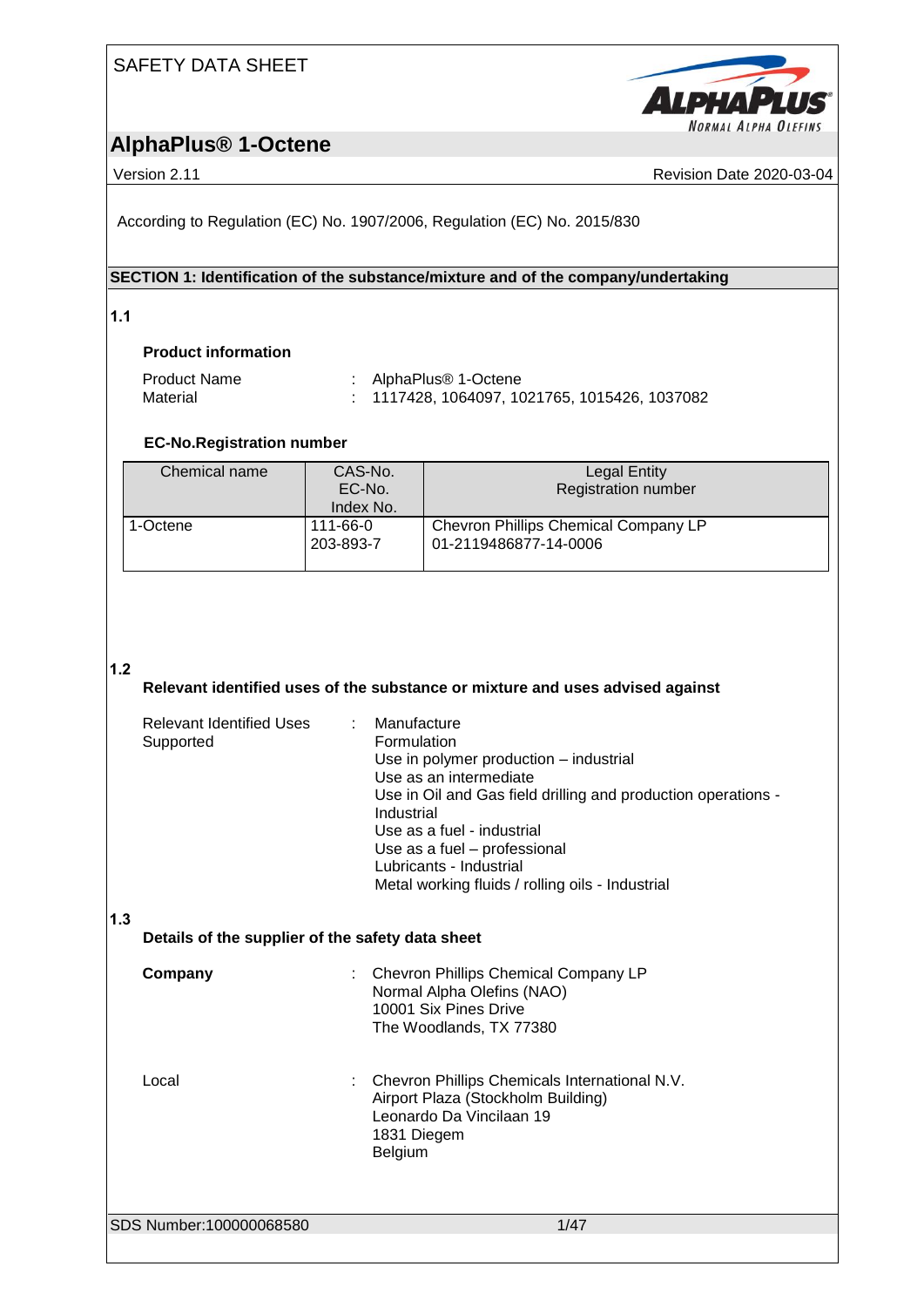

## **AlphaPlus® 1-Octene**

Version 2.11 **New York 2020-03-04** Revision Date 2020-03-04

According to Regulation (EC) No. 1907/2006, Regulation (EC) No. 2015/830

#### **SECTION 1: Identification of the substance/mixture and of the company/undertaking**

**1.1** 

#### **Product information**

| <b>Product Name</b> | : AlphaPlus® 1-Octene                           |
|---------------------|-------------------------------------------------|
| Material            | $: 1117428, 1064097, 1021765, 1015426, 1037082$ |

#### **EC-No.Registration number**

| Chemical name                     | CAS-No.<br>EC-No.<br>Index No. | Legal Entity<br><b>Registration number</b>                    |
|-----------------------------------|--------------------------------|---------------------------------------------------------------|
| 1-Octene<br>111-66-0<br>203-893-7 |                                | Chevron Phillips Chemical Company LP<br>01-2119486877-14-0006 |

#### **1.2**

#### **Relevant identified uses of the substance or mixture and uses advised against**

|     | <b>Relevant Identified Uses</b><br>Supported     | : Manufacture<br>Formulation<br>Use in polymer production – industrial<br>Use as an intermediate<br>Use in Oil and Gas field drilling and production operations -<br>Industrial<br>Use as a fuel - industrial<br>Use as a fuel - professional<br>Lubricants - Industrial<br>Metal working fluids / rolling oils - Industrial |
|-----|--------------------------------------------------|------------------------------------------------------------------------------------------------------------------------------------------------------------------------------------------------------------------------------------------------------------------------------------------------------------------------------|
| 1.3 | Details of the supplier of the safety data sheet |                                                                                                                                                                                                                                                                                                                              |
|     | Company                                          | Chevron Phillips Chemical Company LP<br>Normal Alpha Olefins (NAO)<br>10001 Six Pines Drive<br>The Woodlands, TX 77380                                                                                                                                                                                                       |
|     | Local                                            | Chevron Phillips Chemicals International N.V.<br>Airport Plaza (Stockholm Building)<br>Leonardo Da Vincilaan 19                                                                                                                                                                                                              |

1831 Diegem Belgium

SDS Number:100000068580 1/47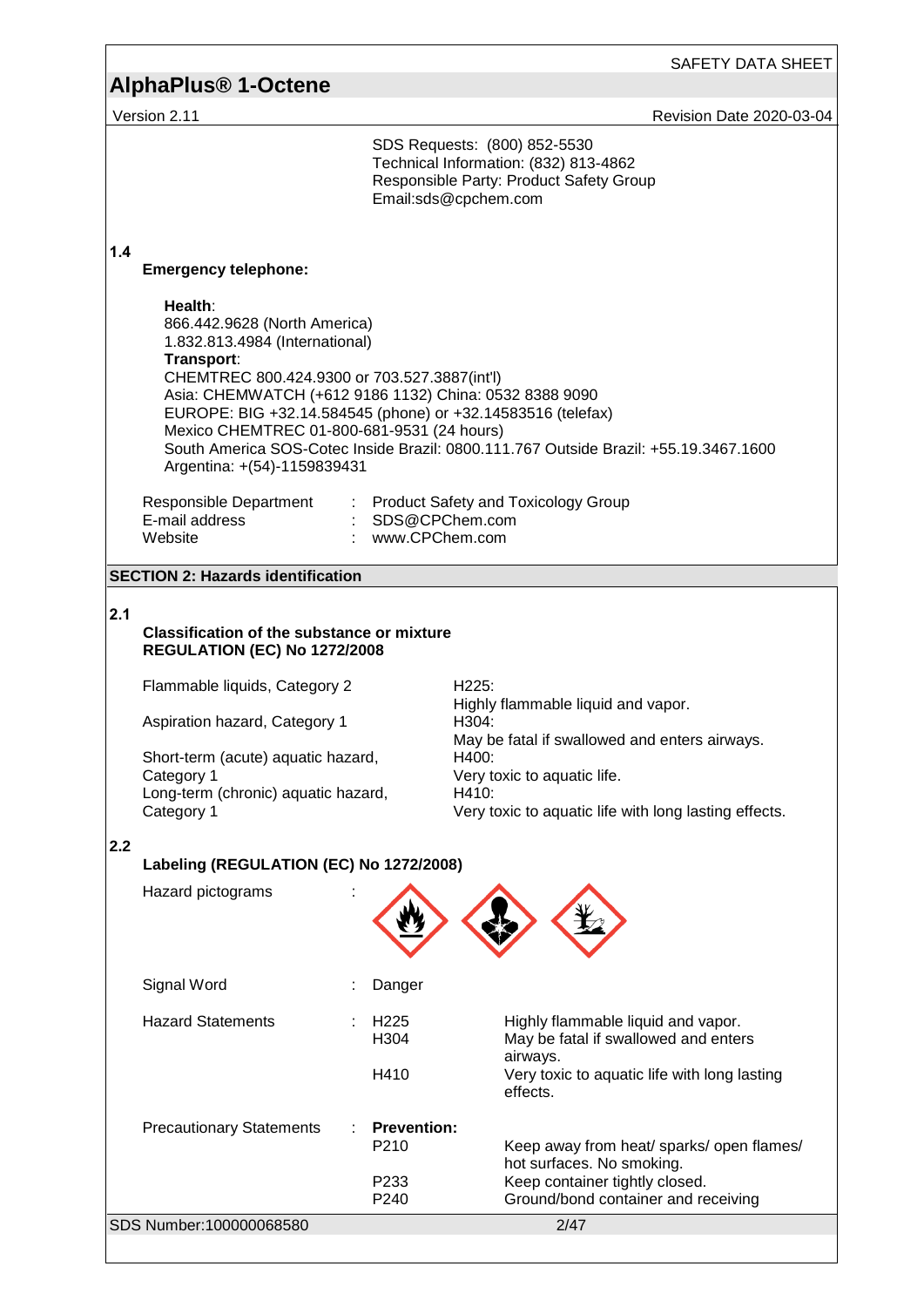Version 2.11 **New Search 2020-03-04** Revision Date 2020-03-04

SDS Requests: (800) 852-5530 Technical Information: (832) 813-4862 Responsible Party: Product Safety Group Email:sds@cpchem.com

**1.4** 

#### **Emergency telephone:**

**Health**:

866.442.9628 (North America) 1.832.813.4984 (International) **Transport**: CHEMTREC 800.424.9300 or 703.527.3887(int'l) Asia: CHEMWATCH (+612 9186 1132) China: 0532 8388 9090 EUROPE: BIG +32.14.584545 (phone) or +32.14583516 (telefax) Mexico CHEMTREC 01-800-681-9531 (24 hours) South America SOS-Cotec Inside Brazil: 0800.111.767 Outside Brazil: +55.19.3467.1600 Argentina: +(54)-1159839431

| Responsible Department | : Product Safety and Toxicology Group |  |
|------------------------|---------------------------------------|--|
| E-mail address         | $\therefore$ SDS@CPChem.com           |  |
| Website                | www.CPChem.com                        |  |

#### **SECTION 2: Hazards identification**

#### **2.1**

#### **Classification of the substance or mixture REGULATION (EC) No 1272/2008**

Flammable liquids, Category 2 H225:

Aspiration hazard, Category 1 H304:

Short-term (acute) aquatic hazard, Category 1 Long-term (chronic) aquatic hazard, Category 1

Highly flammable liquid and vapor. May be fatal if swallowed and enters airways. H400: Very toxic to aquatic life. H410: Very toxic to aquatic life with long lasting effects.

#### **2.2**

#### **Labeling (REGULATION (EC) No 1272/2008)**

| Hazard pictograms               |                                                                                 |                                                                                                                                                    |
|---------------------------------|---------------------------------------------------------------------------------|----------------------------------------------------------------------------------------------------------------------------------------------------|
| Signal Word                     | Danger                                                                          |                                                                                                                                                    |
| <b>Hazard Statements</b>        | H <sub>225</sub><br>H304<br>H410                                                | Highly flammable liquid and vapor.<br>May be fatal if swallowed and enters<br>airways.<br>Very toxic to aquatic life with long lasting<br>effects. |
| <b>Precautionary Statements</b> | <b>Prevention:</b><br>P <sub>210</sub><br>P <sub>2</sub> 33<br>P <sub>240</sub> | Keep away from heat/ sparks/ open flames/<br>hot surfaces. No smoking.<br>Keep container tightly closed.<br>Ground/bond container and receiving    |
| SDS Number:100000068580         |                                                                                 | 2/47                                                                                                                                               |
|                                 |                                                                                 |                                                                                                                                                    |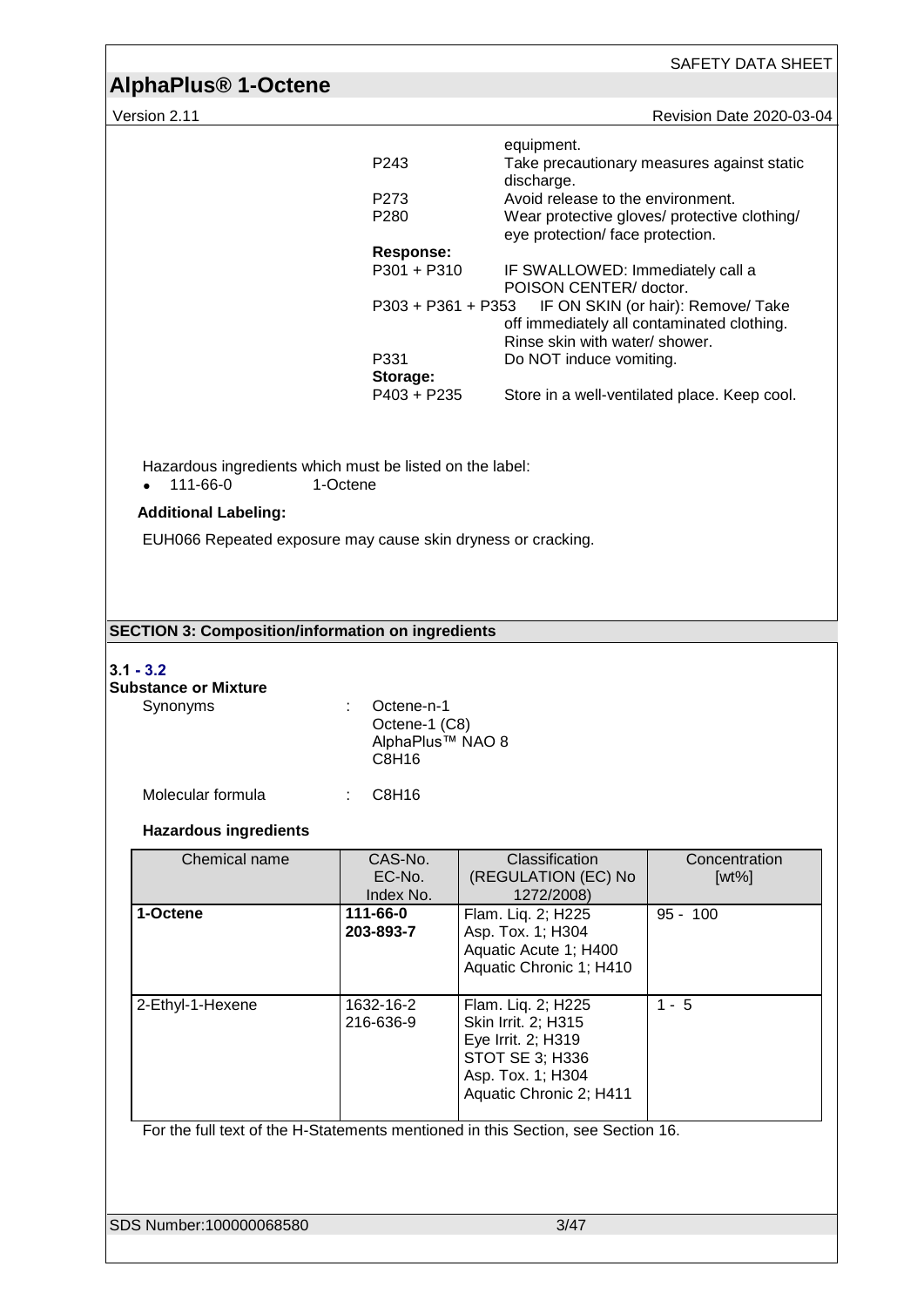| <b>AlphaPlus<sup>®</sup> 1-Octene</b>                                                                                                                   |                                                                      |                                                                                                                                    | SAFETY DATA SHEET                            |  |  |
|---------------------------------------------------------------------------------------------------------------------------------------------------------|----------------------------------------------------------------------|------------------------------------------------------------------------------------------------------------------------------------|----------------------------------------------|--|--|
| Version 2.11                                                                                                                                            |                                                                      |                                                                                                                                    | Revision Date 2020-03-04                     |  |  |
|                                                                                                                                                         |                                                                      |                                                                                                                                    |                                              |  |  |
|                                                                                                                                                         | P243                                                                 | equipment.<br>discharge.                                                                                                           | Take precautionary measures against static   |  |  |
|                                                                                                                                                         | P273<br>P280                                                         | Avoid release to the environment.<br>eye protection/ face protection.                                                              | Wear protective gloves/ protective clothing/ |  |  |
|                                                                                                                                                         | <b>Response:</b>                                                     |                                                                                                                                    |                                              |  |  |
|                                                                                                                                                         | P301 + P310                                                          | IF SWALLOWED: Immediately call a<br>POISON CENTER/ doctor.                                                                         |                                              |  |  |
|                                                                                                                                                         | $P303 + P361 + P353$                                                 | off immediately all contaminated clothing.<br>Rinse skin with water/ shower.                                                       | IF ON SKIN (or hair): Remove/ Take           |  |  |
|                                                                                                                                                         | P331<br>Storage:                                                     | Do NOT induce vomiting.                                                                                                            |                                              |  |  |
|                                                                                                                                                         | P403 + P235                                                          |                                                                                                                                    | Store in a well-ventilated place. Keep cool. |  |  |
| <b>Additional Labeling:</b><br>EUH066 Repeated exposure may cause skin dryness or cracking.<br><b>SECTION 3: Composition/information on ingredients</b> |                                                                      |                                                                                                                                    |                                              |  |  |
| $3.1 - 3.2$<br><b>Substance or Mixture</b>                                                                                                              |                                                                      |                                                                                                                                    |                                              |  |  |
| Synonyms                                                                                                                                                | Octene-n-1<br>Octene-1 (C8)<br>AlphaPlus <sup>™</sup> NAO 8<br>C8H16 |                                                                                                                                    |                                              |  |  |
| Molecular formula                                                                                                                                       | C8H16                                                                |                                                                                                                                    |                                              |  |  |
| <b>Hazardous ingredients</b>                                                                                                                            |                                                                      |                                                                                                                                    |                                              |  |  |
| Chemical name                                                                                                                                           | CAS-No.<br>EC-No.<br>Index No.                                       | Classification<br>(REGULATION (EC) No<br>1272/2008)                                                                                | Concentration<br>$[wt\%]$                    |  |  |
| 1-Octene                                                                                                                                                | 111-66-0<br>203-893-7                                                | Flam. Lig. 2; H225<br>Asp. Tox. 1; H304<br>Aquatic Acute 1; H400<br>Aquatic Chronic 1; H410                                        | $95 - 100$                                   |  |  |
| 2-Ethyl-1-Hexene                                                                                                                                        | 1632-16-2<br>216-636-9                                               | Flam. Liq. 2; H225<br>Skin Irrit. 2; H315<br>Eye Irrit. 2; H319<br>STOT SE 3; H336<br>Asp. Tox. 1; H304<br>Aquatic Chronic 2; H411 | $1 - 5$                                      |  |  |
|                                                                                                                                                         |                                                                      | For the full text of the H-Statements mentioned in this Section, see Section 16.                                                   |                                              |  |  |

SDS Number:100000068580 3/47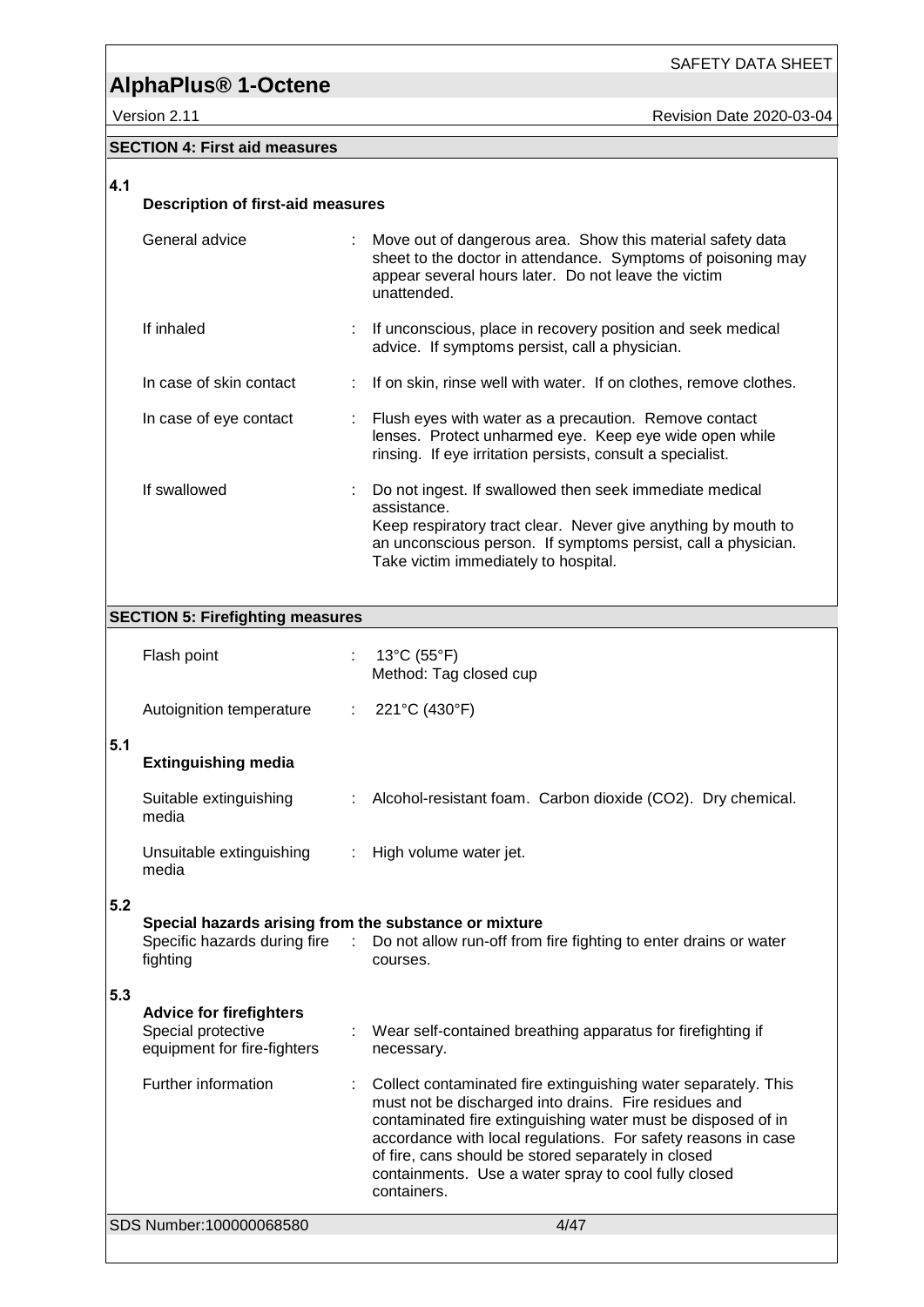SAFETY DATA SHEET

Version 2.11 Version 2.11

| <b>SECTION 4: First aid measures</b> |  |  |  |
|--------------------------------------|--|--|--|
|--------------------------------------|--|--|--|

### **4.1**

| <b>Description of first-aid measures</b> |  |  |
|------------------------------------------|--|--|
|------------------------------------------|--|--|

| General advice          | Move out of dangerous area. Show this material safety data<br>sheet to the doctor in attendance. Symptoms of poisoning may<br>appear several hours later. Do not leave the victim<br>unattended.                                                 |
|-------------------------|--------------------------------------------------------------------------------------------------------------------------------------------------------------------------------------------------------------------------------------------------|
| If inhaled              | : If unconscious, place in recovery position and seek medical<br>advice. If symptoms persist, call a physician.                                                                                                                                  |
| In case of skin contact | : If on skin, rinse well with water. If on clothes, remove clothes.                                                                                                                                                                              |
| In case of eye contact  | : Flush eyes with water as a precaution. Remove contact<br>lenses. Protect unharmed eye. Keep eye wide open while<br>rinsing. If eye irritation persists, consult a specialist.                                                                  |
| If swallowed            | Do not ingest. If swallowed then seek immediate medical<br>assistance.<br>Keep respiratory tract clear. Never give anything by mouth to<br>an unconscious person. If symptoms persist, call a physician.<br>Take victim immediately to hospital. |

#### **SECTION 5: Firefighting measures**

|     | Flash point                                                                         |                               | $13^{\circ}$ C (55 $^{\circ}$ F)<br>Method: Tag closed cup                                                                                                                                                                                                                                                                                                                             |
|-----|-------------------------------------------------------------------------------------|-------------------------------|----------------------------------------------------------------------------------------------------------------------------------------------------------------------------------------------------------------------------------------------------------------------------------------------------------------------------------------------------------------------------------------|
|     | Autoignition temperature                                                            | $\mathcal{L}^{\mathcal{L}}$ . | 221°C (430°F)                                                                                                                                                                                                                                                                                                                                                                          |
| 5.1 | <b>Extinguishing media</b>                                                          |                               |                                                                                                                                                                                                                                                                                                                                                                                        |
|     | Suitable extinguishing<br>media                                                     |                               | Alcohol-resistant foam. Carbon dioxide (CO2). Dry chemical.                                                                                                                                                                                                                                                                                                                            |
|     | Unsuitable extinguishing<br>media                                                   | ÷                             | High volume water jet.                                                                                                                                                                                                                                                                                                                                                                 |
| 5.2 | Special hazards arising from the substance or mixture<br>fighting                   |                               | Specific hazards during fire : Do not allow run-off from fire fighting to enter drains or water<br>courses.                                                                                                                                                                                                                                                                            |
| 5.3 | <b>Advice for firefighters</b><br>Special protective<br>equipment for fire-fighters |                               | Wear self-contained breathing apparatus for firefighting if<br>necessary.                                                                                                                                                                                                                                                                                                              |
|     | Further information                                                                 |                               | Collect contaminated fire extinguishing water separately. This<br>must not be discharged into drains. Fire residues and<br>contaminated fire extinguishing water must be disposed of in<br>accordance with local regulations. For safety reasons in case<br>of fire, cans should be stored separately in closed<br>containments. Use a water spray to cool fully closed<br>containers. |
|     | SDS Number:100000068580                                                             |                               | 4/47                                                                                                                                                                                                                                                                                                                                                                                   |
|     |                                                                                     |                               |                                                                                                                                                                                                                                                                                                                                                                                        |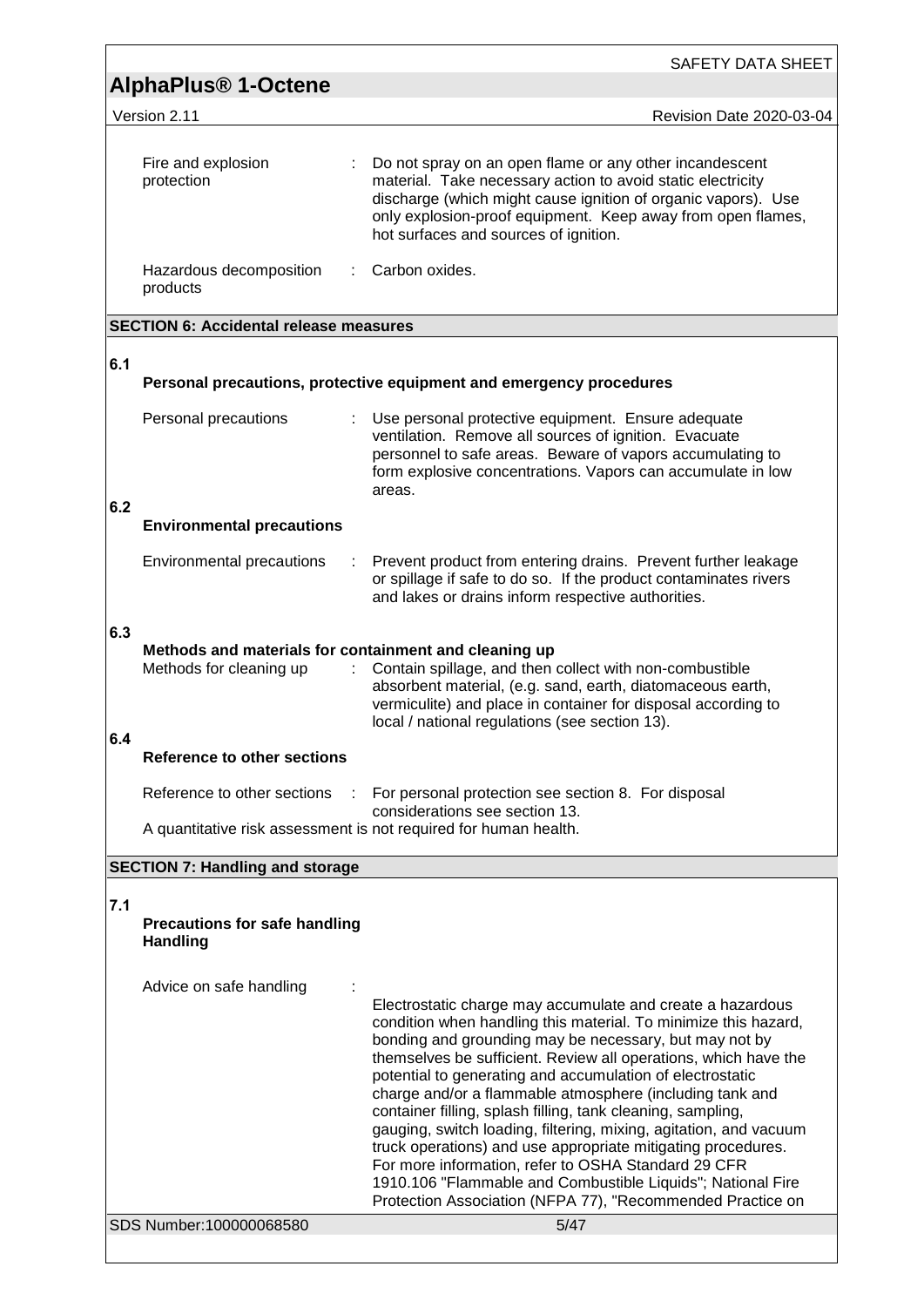|            |                                                                                  | SAFETY DATA SHEET                                                                                                                                                                                                                                                                                                                                                                                                                                                                                                                                                                                                                                                                                                                                                           |
|------------|----------------------------------------------------------------------------------|-----------------------------------------------------------------------------------------------------------------------------------------------------------------------------------------------------------------------------------------------------------------------------------------------------------------------------------------------------------------------------------------------------------------------------------------------------------------------------------------------------------------------------------------------------------------------------------------------------------------------------------------------------------------------------------------------------------------------------------------------------------------------------|
|            | <b>AlphaPlus<sup>®</sup> 1-Octene</b>                                            |                                                                                                                                                                                                                                                                                                                                                                                                                                                                                                                                                                                                                                                                                                                                                                             |
|            | Version 2.11                                                                     | Revision Date 2020-03-04                                                                                                                                                                                                                                                                                                                                                                                                                                                                                                                                                                                                                                                                                                                                                    |
|            | Fire and explosion<br>protection                                                 | Do not spray on an open flame or any other incandescent<br>material. Take necessary action to avoid static electricity<br>discharge (which might cause ignition of organic vapors). Use<br>only explosion-proof equipment. Keep away from open flames,<br>hot surfaces and sources of ignition.                                                                                                                                                                                                                                                                                                                                                                                                                                                                             |
|            | Hazardous decomposition<br>÷.<br>products                                        | Carbon oxides.                                                                                                                                                                                                                                                                                                                                                                                                                                                                                                                                                                                                                                                                                                                                                              |
|            | <b>SECTION 6: Accidental release measures</b>                                    |                                                                                                                                                                                                                                                                                                                                                                                                                                                                                                                                                                                                                                                                                                                                                                             |
| 6.1        |                                                                                  | Personal precautions, protective equipment and emergency procedures                                                                                                                                                                                                                                                                                                                                                                                                                                                                                                                                                                                                                                                                                                         |
|            | Personal precautions                                                             | : Use personal protective equipment. Ensure adequate<br>ventilation. Remove all sources of ignition. Evacuate<br>personnel to safe areas. Beware of vapors accumulating to<br>form explosive concentrations. Vapors can accumulate in low<br>areas.                                                                                                                                                                                                                                                                                                                                                                                                                                                                                                                         |
| 6.2        | <b>Environmental precautions</b>                                                 |                                                                                                                                                                                                                                                                                                                                                                                                                                                                                                                                                                                                                                                                                                                                                                             |
|            | Environmental precautions<br>÷.                                                  | Prevent product from entering drains. Prevent further leakage<br>or spillage if safe to do so. If the product contaminates rivers<br>and lakes or drains inform respective authorities.                                                                                                                                                                                                                                                                                                                                                                                                                                                                                                                                                                                     |
| 6.3<br>6.4 | Methods and materials for containment and cleaning up<br>Methods for cleaning up | Contain spillage, and then collect with non-combustible<br>absorbent material, (e.g. sand, earth, diatomaceous earth,<br>vermiculite) and place in container for disposal according to<br>local / national regulations (see section 13).                                                                                                                                                                                                                                                                                                                                                                                                                                                                                                                                    |
|            | <b>Reference to other sections</b>                                               |                                                                                                                                                                                                                                                                                                                                                                                                                                                                                                                                                                                                                                                                                                                                                                             |
|            | Reference to other sections                                                      | For personal protection see section 8. For disposal<br>considerations see section 13.                                                                                                                                                                                                                                                                                                                                                                                                                                                                                                                                                                                                                                                                                       |
|            | A quantitative risk assessment is not required for human health.                 |                                                                                                                                                                                                                                                                                                                                                                                                                                                                                                                                                                                                                                                                                                                                                                             |
|            | <b>SECTION 7: Handling and storage</b>                                           |                                                                                                                                                                                                                                                                                                                                                                                                                                                                                                                                                                                                                                                                                                                                                                             |
| 7.1        | <b>Precautions for safe handling</b><br><b>Handling</b>                          |                                                                                                                                                                                                                                                                                                                                                                                                                                                                                                                                                                                                                                                                                                                                                                             |
|            | Advice on safe handling                                                          |                                                                                                                                                                                                                                                                                                                                                                                                                                                                                                                                                                                                                                                                                                                                                                             |
|            |                                                                                  | Electrostatic charge may accumulate and create a hazardous<br>condition when handling this material. To minimize this hazard,<br>bonding and grounding may be necessary, but may not by<br>themselves be sufficient. Review all operations, which have the<br>potential to generating and accumulation of electrostatic<br>charge and/or a flammable atmosphere (including tank and<br>container filling, splash filling, tank cleaning, sampling,<br>gauging, switch loading, filtering, mixing, agitation, and vacuum<br>truck operations) and use appropriate mitigating procedures.<br>For more information, refer to OSHA Standard 29 CFR<br>1910.106 "Flammable and Combustible Liquids"; National Fire<br>Protection Association (NFPA 77), "Recommended Practice on |
|            | SDS Number:100000068580                                                          | $5/47$                                                                                                                                                                                                                                                                                                                                                                                                                                                                                                                                                                                                                                                                                                                                                                      |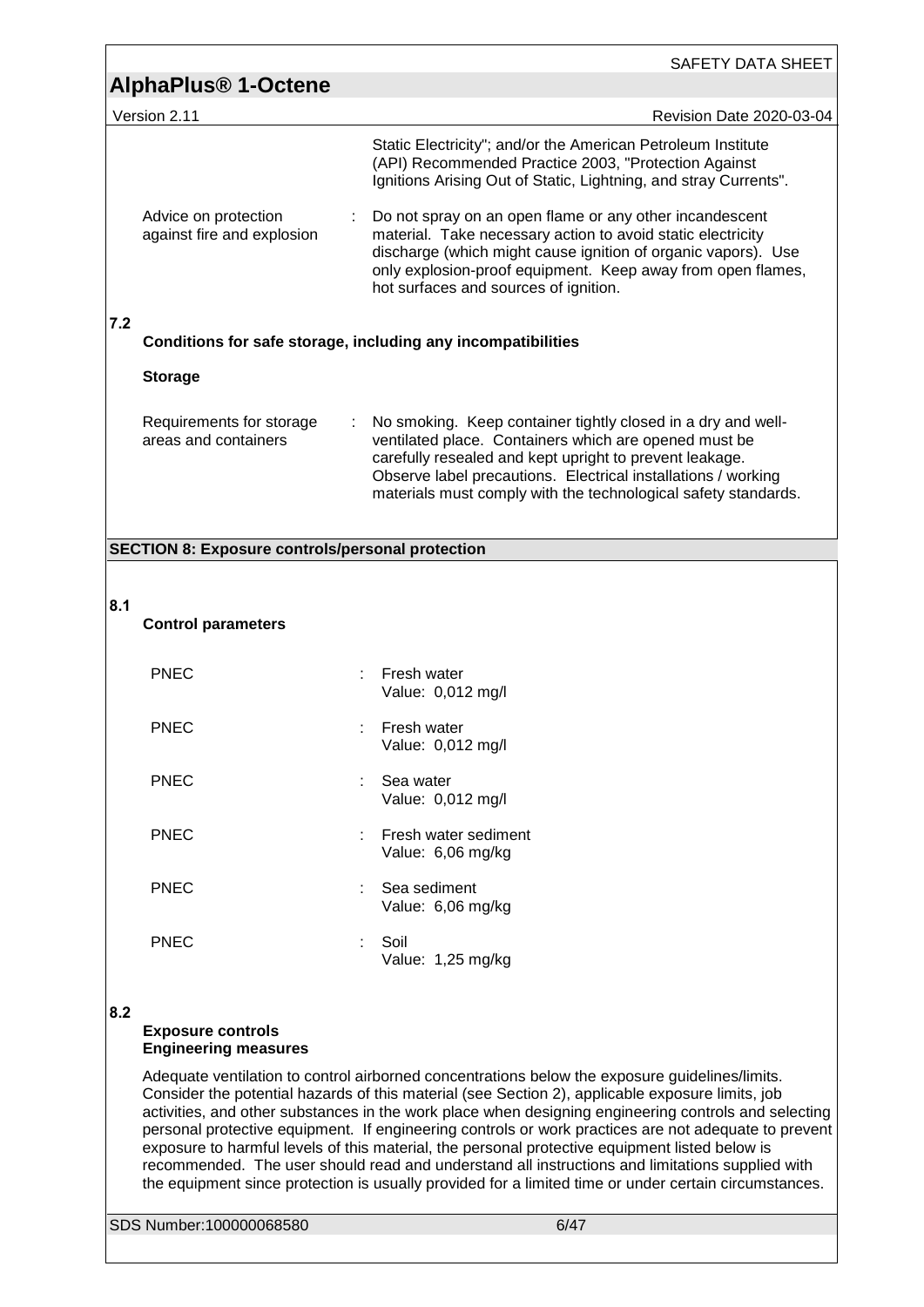|     |                                                         | <b>SAFETY DATA SHEET</b>                                                                                                                                                                                                                                                                                                                                                                                                                                                                                                                                                                                                                                                                                                         |
|-----|---------------------------------------------------------|----------------------------------------------------------------------------------------------------------------------------------------------------------------------------------------------------------------------------------------------------------------------------------------------------------------------------------------------------------------------------------------------------------------------------------------------------------------------------------------------------------------------------------------------------------------------------------------------------------------------------------------------------------------------------------------------------------------------------------|
|     | <b>AlphaPlus<sup>®</sup> 1-Octene</b>                   |                                                                                                                                                                                                                                                                                                                                                                                                                                                                                                                                                                                                                                                                                                                                  |
|     | Version 2.11                                            | <b>Revision Date 2020-03-04</b>                                                                                                                                                                                                                                                                                                                                                                                                                                                                                                                                                                                                                                                                                                  |
|     |                                                         | Static Electricity"; and/or the American Petroleum Institute<br>(API) Recommended Practice 2003, "Protection Against<br>Ignitions Arising Out of Static, Lightning, and stray Currents".                                                                                                                                                                                                                                                                                                                                                                                                                                                                                                                                         |
|     | Advice on protection<br>against fire and explosion      | Do not spray on an open flame or any other incandescent<br>material. Take necessary action to avoid static electricity<br>discharge (which might cause ignition of organic vapors). Use<br>only explosion-proof equipment. Keep away from open flames,<br>hot surfaces and sources of ignition.                                                                                                                                                                                                                                                                                                                                                                                                                                  |
| 7.2 |                                                         | Conditions for safe storage, including any incompatibilities                                                                                                                                                                                                                                                                                                                                                                                                                                                                                                                                                                                                                                                                     |
|     | <b>Storage</b>                                          |                                                                                                                                                                                                                                                                                                                                                                                                                                                                                                                                                                                                                                                                                                                                  |
|     | Requirements for storage<br>areas and containers        | No smoking. Keep container tightly closed in a dry and well-<br>ventilated place. Containers which are opened must be<br>carefully resealed and kept upright to prevent leakage.<br>Observe label precautions. Electrical installations / working<br>materials must comply with the technological safety standards.                                                                                                                                                                                                                                                                                                                                                                                                              |
|     | <b>SECTION 8: Exposure controls/personal protection</b> |                                                                                                                                                                                                                                                                                                                                                                                                                                                                                                                                                                                                                                                                                                                                  |
|     |                                                         |                                                                                                                                                                                                                                                                                                                                                                                                                                                                                                                                                                                                                                                                                                                                  |
| 8.1 | <b>Control parameters</b>                               |                                                                                                                                                                                                                                                                                                                                                                                                                                                                                                                                                                                                                                                                                                                                  |
|     | <b>PNEC</b>                                             | Fresh water<br>Value: 0,012 mg/l                                                                                                                                                                                                                                                                                                                                                                                                                                                                                                                                                                                                                                                                                                 |
|     | <b>PNEC</b>                                             | Fresh water<br>Value: 0,012 mg/l                                                                                                                                                                                                                                                                                                                                                                                                                                                                                                                                                                                                                                                                                                 |
|     | <b>PNEC</b>                                             | Sea water<br>Value: 0,012 mg/l                                                                                                                                                                                                                                                                                                                                                                                                                                                                                                                                                                                                                                                                                                   |
|     | <b>PNEC</b>                                             | Fresh water sediment<br>Value: 6,06 mg/kg                                                                                                                                                                                                                                                                                                                                                                                                                                                                                                                                                                                                                                                                                        |
|     | <b>PNEC</b>                                             | Sea sediment<br>Value: 6,06 mg/kg                                                                                                                                                                                                                                                                                                                                                                                                                                                                                                                                                                                                                                                                                                |
|     | <b>PNEC</b>                                             | Soil<br>Value: 1,25 mg/kg                                                                                                                                                                                                                                                                                                                                                                                                                                                                                                                                                                                                                                                                                                        |
| 8.2 | <b>Exposure controls</b><br><b>Engineering measures</b> |                                                                                                                                                                                                                                                                                                                                                                                                                                                                                                                                                                                                                                                                                                                                  |
|     |                                                         | Adequate ventilation to control airborned concentrations below the exposure guidelines/limits.<br>Consider the potential hazards of this material (see Section 2), applicable exposure limits, job<br>activities, and other substances in the work place when designing engineering controls and selecting<br>personal protective equipment. If engineering controls or work practices are not adequate to prevent<br>exposure to harmful levels of this material, the personal protective equipment listed below is<br>recommended. The user should read and understand all instructions and limitations supplied with<br>the equipment since protection is usually provided for a limited time or under certain circumstances. |
|     | SDS Number:100000068580                                 | 6/47                                                                                                                                                                                                                                                                                                                                                                                                                                                                                                                                                                                                                                                                                                                             |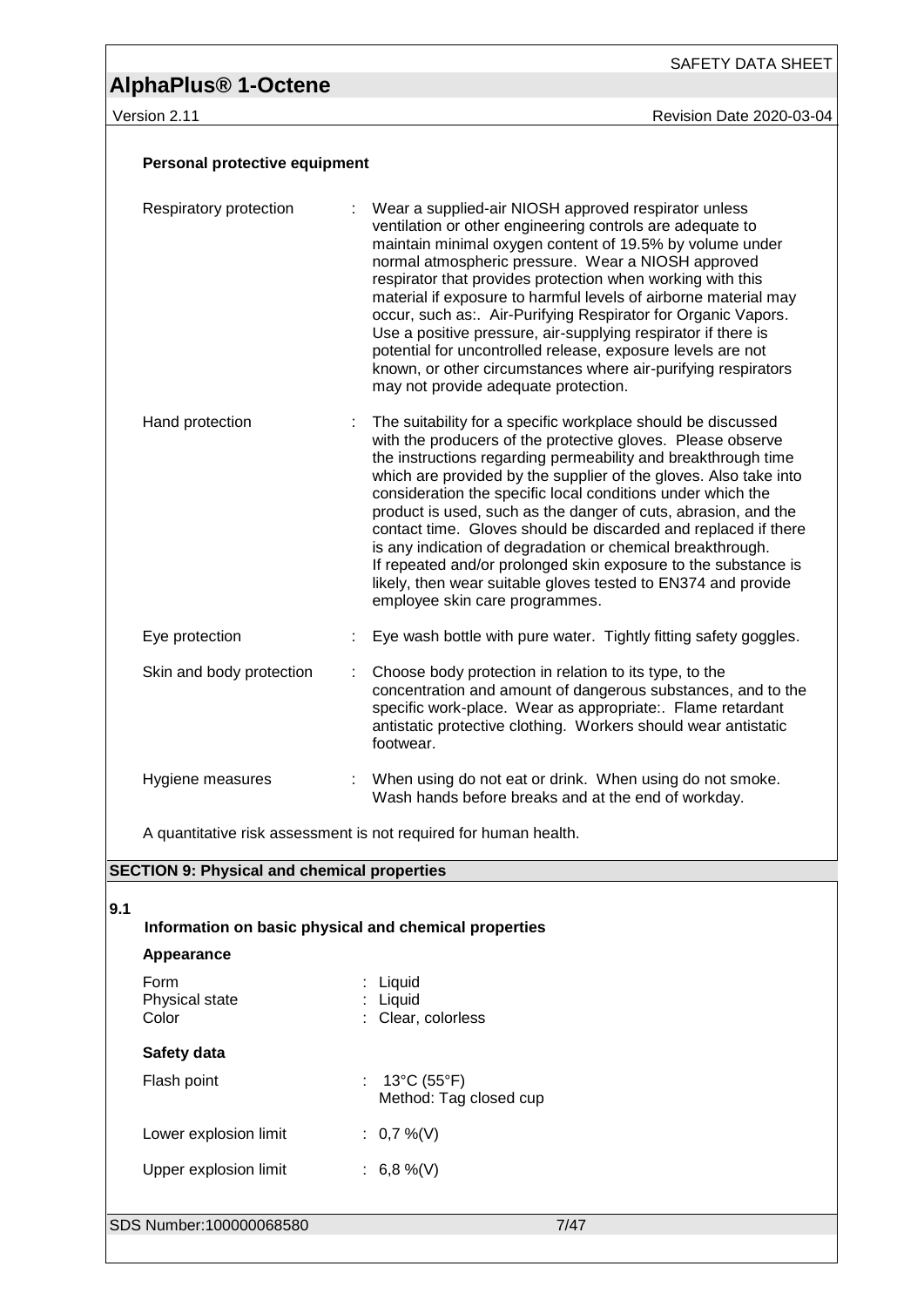SAFETY DATA SHEET

Version 2.11 **Version 2.11** Revision Date 2020-03-04

| Personal protective equipment |                                                                                                                                                                                                                                                                                                                                                                                                                                                                                                                                                                                                                                                                                                        |  |
|-------------------------------|--------------------------------------------------------------------------------------------------------------------------------------------------------------------------------------------------------------------------------------------------------------------------------------------------------------------------------------------------------------------------------------------------------------------------------------------------------------------------------------------------------------------------------------------------------------------------------------------------------------------------------------------------------------------------------------------------------|--|
| Respiratory protection        | Wear a supplied-air NIOSH approved respirator unless<br>ventilation or other engineering controls are adequate to<br>maintain minimal oxygen content of 19.5% by volume under<br>normal atmospheric pressure. Wear a NIOSH approved<br>respirator that provides protection when working with this<br>material if exposure to harmful levels of airborne material may<br>occur, such as:. Air-Purifying Respirator for Organic Vapors.<br>Use a positive pressure, air-supplying respirator if there is<br>potential for uncontrolled release, exposure levels are not<br>known, or other circumstances where air-purifying respirators<br>may not provide adequate protection.                         |  |
| Hand protection               | The suitability for a specific workplace should be discussed<br>with the producers of the protective gloves. Please observe<br>the instructions regarding permeability and breakthrough time<br>which are provided by the supplier of the gloves. Also take into<br>consideration the specific local conditions under which the<br>product is used, such as the danger of cuts, abrasion, and the<br>contact time. Gloves should be discarded and replaced if there<br>is any indication of degradation or chemical breakthrough.<br>If repeated and/or prolonged skin exposure to the substance is<br>likely, then wear suitable gloves tested to EN374 and provide<br>employee skin care programmes. |  |
| Eye protection                | Eye wash bottle with pure water. Tightly fitting safety goggles.                                                                                                                                                                                                                                                                                                                                                                                                                                                                                                                                                                                                                                       |  |
| Skin and body protection      | Choose body protection in relation to its type, to the<br>concentration and amount of dangerous substances, and to the<br>specific work-place. Wear as appropriate:. Flame retardant<br>antistatic protective clothing. Workers should wear antistatic<br>footwear.                                                                                                                                                                                                                                                                                                                                                                                                                                    |  |
| Hygiene measures              | When using do not eat or drink. When using do not smoke.<br>Wash hands before breaks and at the end of workday.                                                                                                                                                                                                                                                                                                                                                                                                                                                                                                                                                                                        |  |
|                               | A quantitative risk assessment is not required for human health.                                                                                                                                                                                                                                                                                                                                                                                                                                                                                                                                                                                                                                       |  |
|                               |                                                                                                                                                                                                                                                                                                                                                                                                                                                                                                                                                                                                                                                                                                        |  |

SDS Number:100000068580 7/47 **Appearance** Form : Liquid<br>
Physical state : Liquid<br>
: Liquid Physical state<br>Color : Clear, colorless **Safety data** Flash point : 13°C (55°F) Method: Tag closed cup Lower explosion limit  $0.7\%$  (V) Upper explosion limit : 6,8 %(V)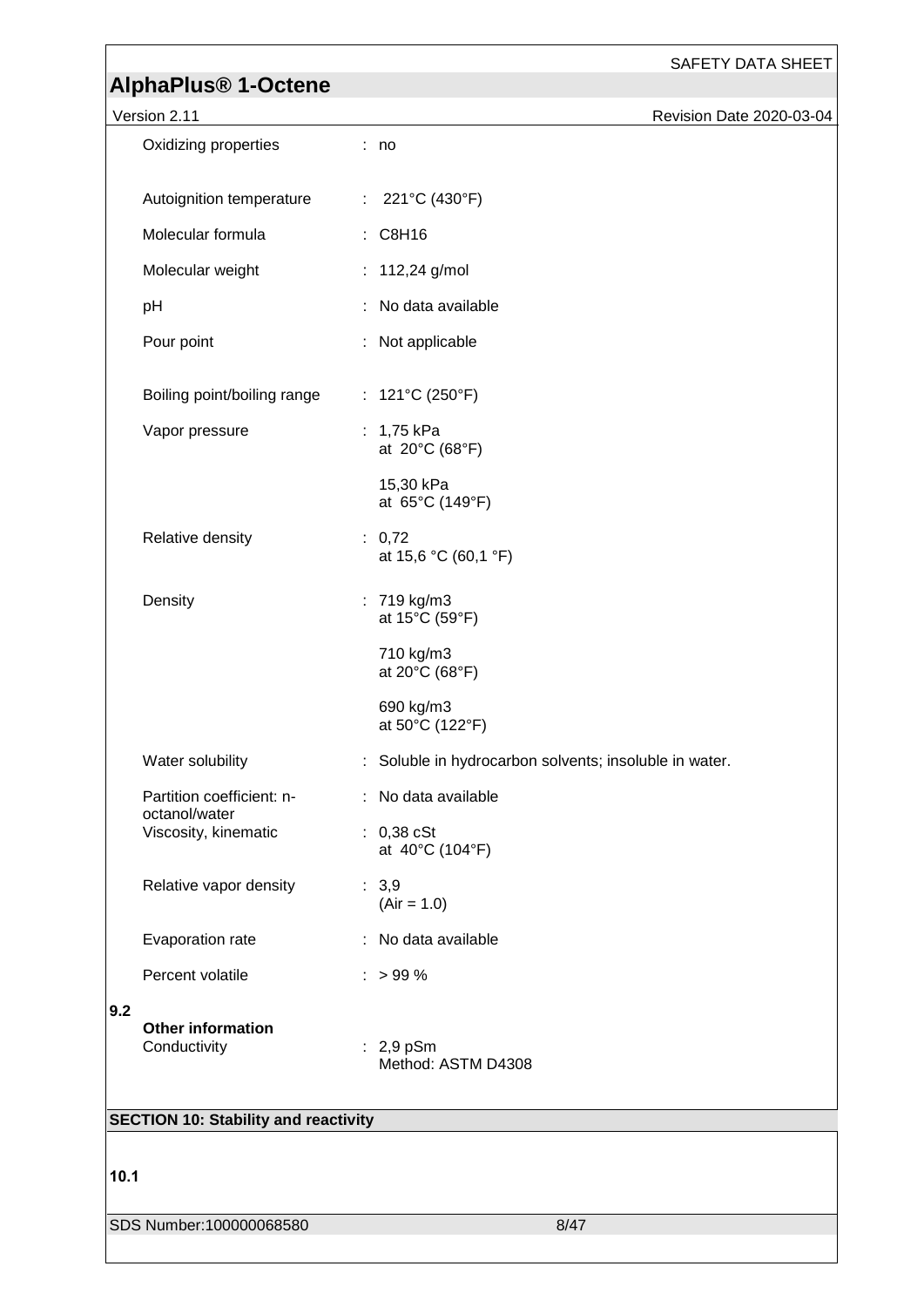# **AlphaPlus® 1-Octene**

| Version 2.11                                    | Revision Date 2020-03-04                               |
|-------------------------------------------------|--------------------------------------------------------|
| Oxidizing properties                            | : no                                                   |
| Autoignition temperature                        | : $221^{\circ}C(430^{\circ}F)$                         |
| Molecular formula                               | : C8H16                                                |
| Molecular weight                                | : 112,24 g/mol                                         |
| pH                                              | : No data available                                    |
| Pour point                                      | : Not applicable                                       |
| Boiling point/boiling range                     | : $121^{\circ}C(250^{\circ}F)$                         |
| Vapor pressure                                  | : $1,75$ kPa<br>at 20°C (68°F)                         |
|                                                 | 15,30 kPa<br>at 65°C (149°F)                           |
| Relative density                                | : 0,72<br>at 15,6 °C (60,1 °F)                         |
| Density                                         | : 719 kg/m3<br>at 15°C (59°F)                          |
|                                                 | 710 kg/m3<br>at 20°C (68°F)                            |
|                                                 | 690 kg/m3<br>at 50°C (122°F)                           |
| Water solubility                                | : Soluble in hydrocarbon solvents; insoluble in water. |
| Partition coefficient: n-<br>octanol/water      | : No data available                                    |
| Viscosity, kinematic                            | $: 0,38$ cSt<br>at 40°C (104°F)                        |
| Relative vapor density                          | : 3,9<br>$(Air = 1.0)$                                 |
| Evaporation rate                                | : No data available                                    |
| Percent volatile                                | $: > 99 \%$                                            |
| 9.2<br><b>Other information</b><br>Conductivity | $: 2,9$ pSm<br>Method: ASTM D4308                      |
| <b>SECTION 10: Stability and reactivity</b>     |                                                        |
| 10.1                                            |                                                        |

SDS Number:100000068580 8/47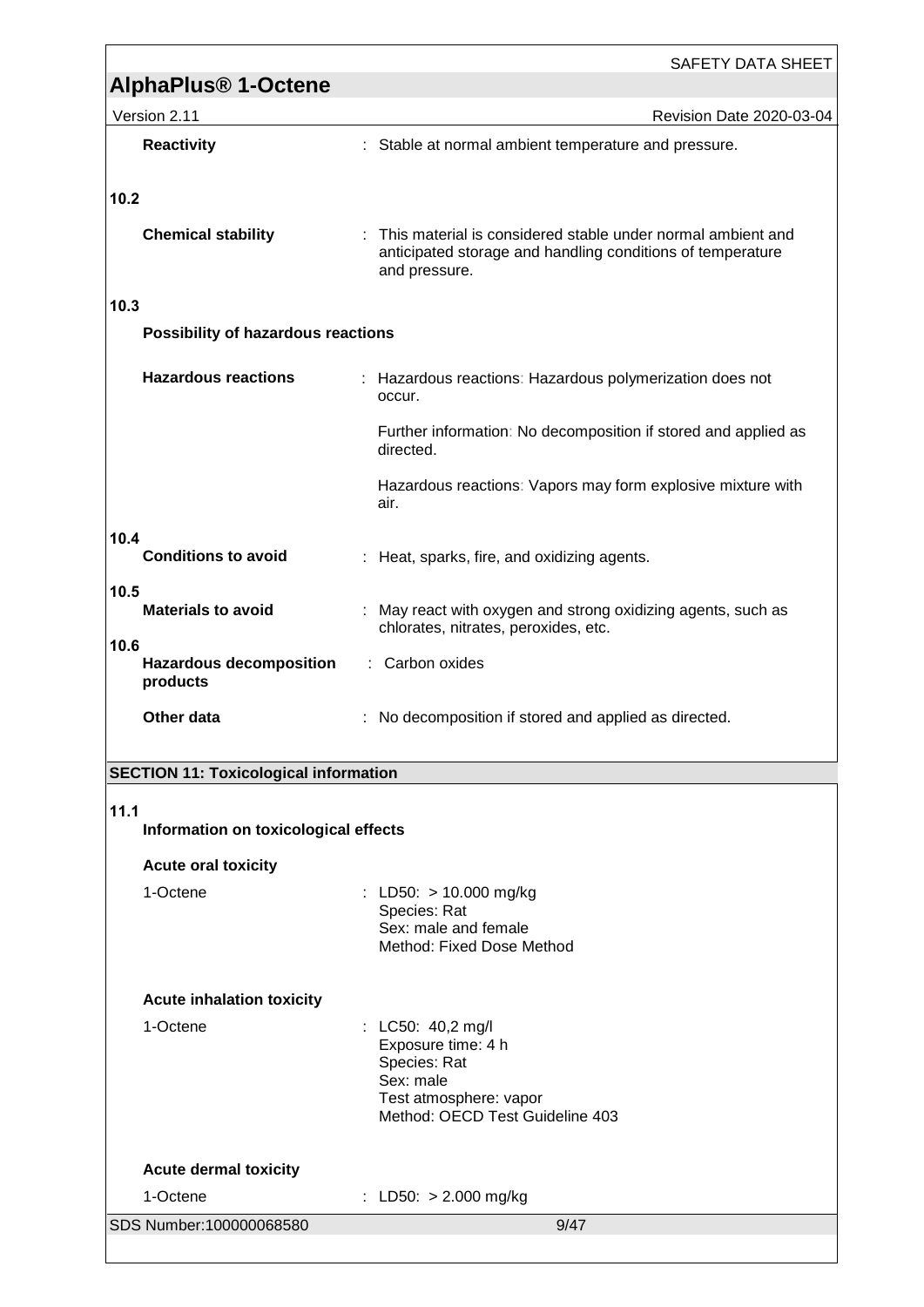|                                                           | <b>SAFETY DATA SHEET</b>                                                                                                                     |
|-----------------------------------------------------------|----------------------------------------------------------------------------------------------------------------------------------------------|
| <b>AlphaPlus<sup>®</sup> 1-Octene</b>                     |                                                                                                                                              |
| Version 2.11                                              | Revision Date 2020-03-04                                                                                                                     |
| <b>Reactivity</b>                                         | : Stable at normal ambient temperature and pressure.                                                                                         |
| 10.2                                                      |                                                                                                                                              |
| <b>Chemical stability</b>                                 | : This material is considered stable under normal ambient and<br>anticipated storage and handling conditions of temperature<br>and pressure. |
| 10.3                                                      |                                                                                                                                              |
| Possibility of hazardous reactions                        |                                                                                                                                              |
| <b>Hazardous reactions</b>                                | : Hazardous reactions: Hazardous polymerization does not<br>occur.                                                                           |
|                                                           | Further information: No decomposition if stored and applied as<br>directed.                                                                  |
|                                                           | Hazardous reactions: Vapors may form explosive mixture with<br>air.                                                                          |
| 10.4<br><b>Conditions to avoid</b>                        | : Heat, sparks, fire, and oxidizing agents.                                                                                                  |
| 10.5<br><b>Materials to avoid</b>                         | : May react with oxygen and strong oxidizing agents, such as<br>chlorates, nitrates, peroxides, etc.                                         |
| 10.6<br>: Carbon oxides<br><b>Hazardous decomposition</b> |                                                                                                                                              |
| products                                                  |                                                                                                                                              |
| Other data                                                | No decomposition if stored and applied as directed.                                                                                          |
| <b>SECTION 11: Toxicological information</b>              |                                                                                                                                              |
| 11.1<br>Information on toxicological effects              |                                                                                                                                              |
| <b>Acute oral toxicity</b>                                |                                                                                                                                              |
| 1-Octene                                                  | : LD50: $> 10.000$ mg/kg<br>Species: Rat<br>Sex: male and female<br>Method: Fixed Dose Method                                                |
| <b>Acute inhalation toxicity</b>                          |                                                                                                                                              |
| 1-Octene                                                  | : LC50: 40,2 mg/l<br>Exposure time: 4 h<br>Species: Rat<br>Sex: male<br>Test atmosphere: vapor<br>Method: OECD Test Guideline 403            |
| <b>Acute dermal toxicity</b>                              |                                                                                                                                              |
| 1-Octene                                                  | : LD50: $> 2.000$ mg/kg                                                                                                                      |
| SDS Number:100000068580                                   | 9/47                                                                                                                                         |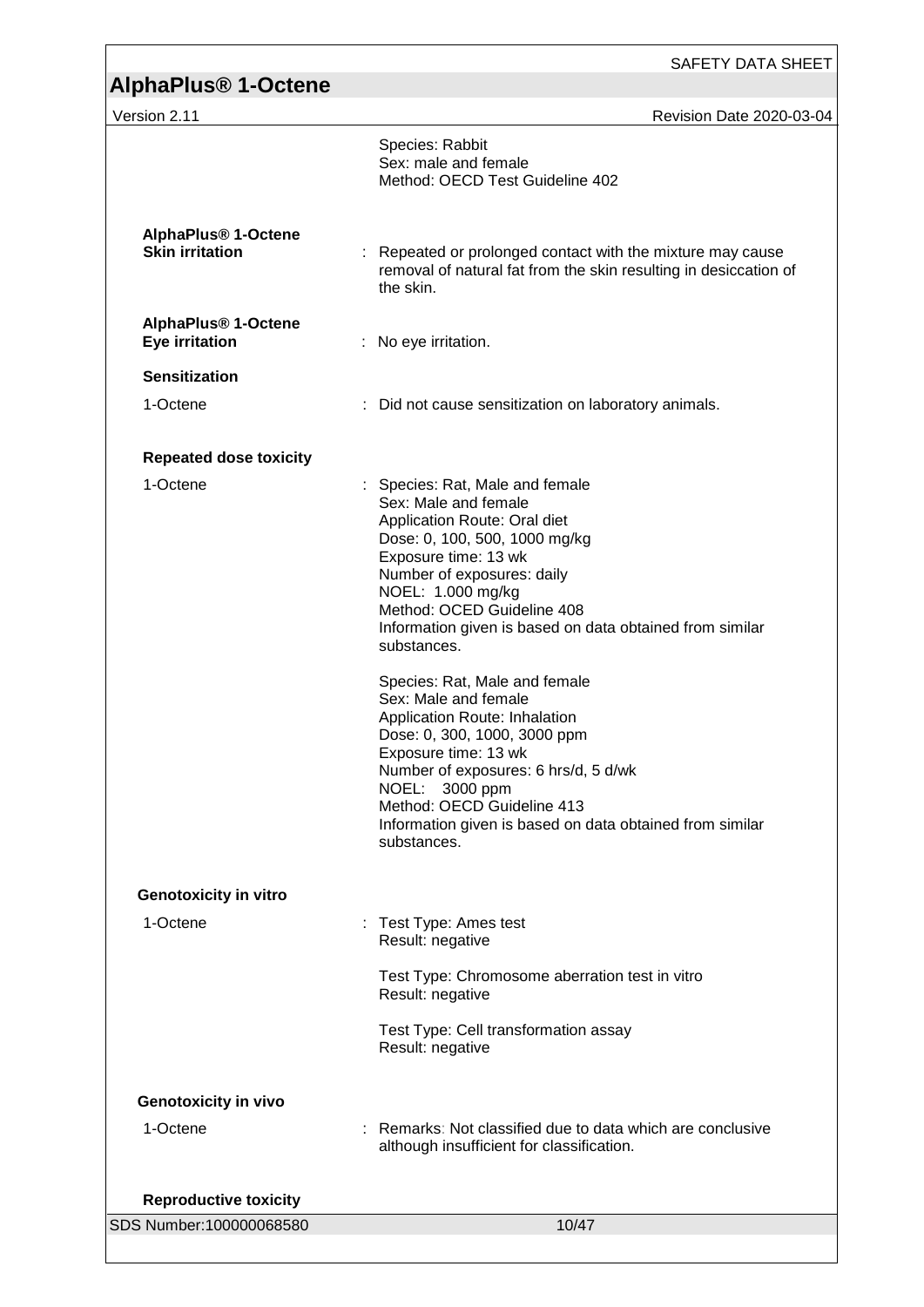| <b>AlphaPlus<sup>®</sup> 1-Octene</b>                     | SAFETY DATA SHEET                                                                                                                                                                                                                                                                                                                                                                                                                                                                                                                                                                                                |
|-----------------------------------------------------------|------------------------------------------------------------------------------------------------------------------------------------------------------------------------------------------------------------------------------------------------------------------------------------------------------------------------------------------------------------------------------------------------------------------------------------------------------------------------------------------------------------------------------------------------------------------------------------------------------------------|
| Version 2.11                                              | <b>Revision Date 2020-03-04</b>                                                                                                                                                                                                                                                                                                                                                                                                                                                                                                                                                                                  |
|                                                           | Species: Rabbit<br>Sex: male and female<br>Method: OECD Test Guideline 402                                                                                                                                                                                                                                                                                                                                                                                                                                                                                                                                       |
| AlphaPlus <sup>®</sup> 1-Octene<br><b>Skin irritation</b> | : Repeated or prolonged contact with the mixture may cause<br>removal of natural fat from the skin resulting in desiccation of<br>the skin.                                                                                                                                                                                                                                                                                                                                                                                                                                                                      |
| AlphaPlus <sup>®</sup> 1-Octene<br><b>Eye irritation</b>  | No eye irritation.                                                                                                                                                                                                                                                                                                                                                                                                                                                                                                                                                                                               |
| <b>Sensitization</b>                                      |                                                                                                                                                                                                                                                                                                                                                                                                                                                                                                                                                                                                                  |
| 1-Octene                                                  | : Did not cause sensitization on laboratory animals.                                                                                                                                                                                                                                                                                                                                                                                                                                                                                                                                                             |
| <b>Repeated dose toxicity</b>                             |                                                                                                                                                                                                                                                                                                                                                                                                                                                                                                                                                                                                                  |
| 1-Octene                                                  | Species: Rat, Male and female<br>Sex: Male and female<br>Application Route: Oral diet<br>Dose: 0, 100, 500, 1000 mg/kg<br>Exposure time: 13 wk<br>Number of exposures: daily<br>NOEL: 1.000 mg/kg<br>Method: OCED Guideline 408<br>Information given is based on data obtained from similar<br>substances.<br>Species: Rat, Male and female<br>Sex: Male and female<br>Application Route: Inhalation<br>Dose: 0, 300, 1000, 3000 ppm<br>Exposure time: 13 wk<br>Number of exposures: 6 hrs/d, 5 d/wk<br>NOEL: 3000 ppm<br>Method: OECD Guideline 413<br>Information given is based on data obtained from similar |
|                                                           | substances.                                                                                                                                                                                                                                                                                                                                                                                                                                                                                                                                                                                                      |
| <b>Genotoxicity in vitro</b><br>1-Octene                  | : Test Type: Ames test<br>Result: negative                                                                                                                                                                                                                                                                                                                                                                                                                                                                                                                                                                       |
|                                                           | Test Type: Chromosome aberration test in vitro<br>Result: negative                                                                                                                                                                                                                                                                                                                                                                                                                                                                                                                                               |
|                                                           | Test Type: Cell transformation assay<br>Result: negative                                                                                                                                                                                                                                                                                                                                                                                                                                                                                                                                                         |
| <b>Genotoxicity in vivo</b>                               |                                                                                                                                                                                                                                                                                                                                                                                                                                                                                                                                                                                                                  |
| 1-Octene                                                  | Remarks: Not classified due to data which are conclusive<br>although insufficient for classification.                                                                                                                                                                                                                                                                                                                                                                                                                                                                                                            |
| <b>Reproductive toxicity</b>                              |                                                                                                                                                                                                                                                                                                                                                                                                                                                                                                                                                                                                                  |
| SDS Number:100000068580                                   | 10/47                                                                                                                                                                                                                                                                                                                                                                                                                                                                                                                                                                                                            |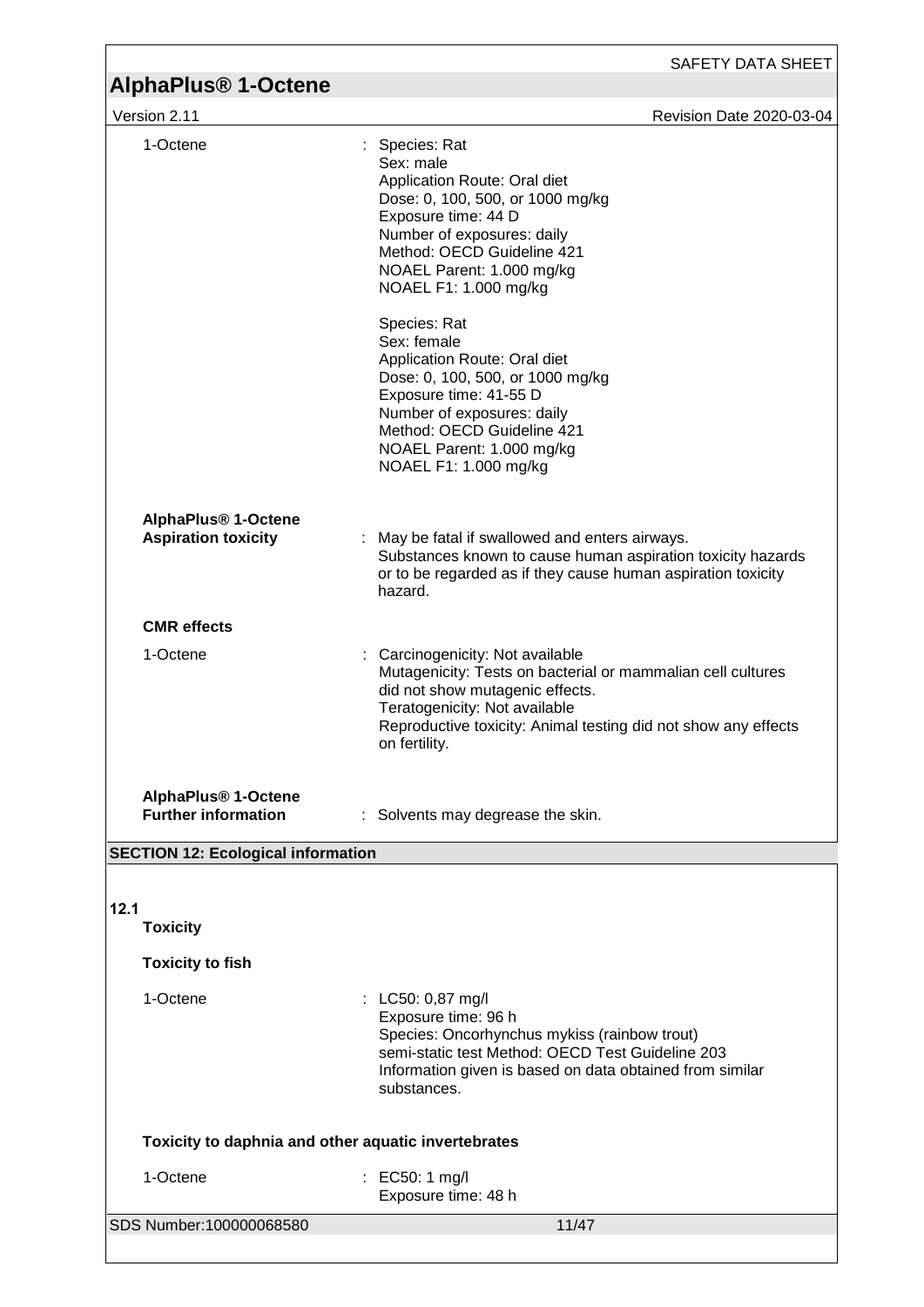| <b>AlphaPlus<sup>®</sup> 1-Octene</b>                         | SAFETY DATA SHEET                                                                                                                                                                                                                                                                                                                                                                                                                                                                     |
|---------------------------------------------------------------|---------------------------------------------------------------------------------------------------------------------------------------------------------------------------------------------------------------------------------------------------------------------------------------------------------------------------------------------------------------------------------------------------------------------------------------------------------------------------------------|
| Version 2.11                                                  | Revision Date 2020-03-04                                                                                                                                                                                                                                                                                                                                                                                                                                                              |
| 1-Octene                                                      | Species: Rat<br>Sex: male<br>Application Route: Oral diet<br>Dose: 0, 100, 500, or 1000 mg/kg<br>Exposure time: 44 D<br>Number of exposures: daily<br>Method: OECD Guideline 421<br>NOAEL Parent: 1.000 mg/kg<br>NOAEL F1: 1.000 mg/kg<br>Species: Rat<br>Sex: female<br>Application Route: Oral diet<br>Dose: 0, 100, 500, or 1000 mg/kg<br>Exposure time: 41-55 D<br>Number of exposures: daily<br>Method: OECD Guideline 421<br>NOAEL Parent: 1.000 mg/kg<br>NOAEL F1: 1.000 mg/kg |
| AlphaPlus <sup>®</sup> 1-Octene<br><b>Aspiration toxicity</b> | May be fatal if swallowed and enters airways.<br>Substances known to cause human aspiration toxicity hazards<br>or to be regarded as if they cause human aspiration toxicity<br>hazard.                                                                                                                                                                                                                                                                                               |
| <b>CMR</b> effects                                            |                                                                                                                                                                                                                                                                                                                                                                                                                                                                                       |
| 1-Octene                                                      | : Carcinogenicity: Not available<br>Mutagenicity: Tests on bacterial or mammalian cell cultures<br>did not show mutagenic effects.<br>Teratogenicity: Not available<br>Reproductive toxicity: Animal testing did not show any effects<br>on fertility.                                                                                                                                                                                                                                |
| AlphaPlus <sup>®</sup> 1-Octene<br><b>Further information</b> | : Solvents may degrease the skin.                                                                                                                                                                                                                                                                                                                                                                                                                                                     |
| <b>SECTION 12: Ecological information</b>                     |                                                                                                                                                                                                                                                                                                                                                                                                                                                                                       |
| 12.1<br><b>Toxicity</b>                                       |                                                                                                                                                                                                                                                                                                                                                                                                                                                                                       |
| <b>Toxicity to fish</b>                                       |                                                                                                                                                                                                                                                                                                                                                                                                                                                                                       |
| 1-Octene                                                      | : LC50: 0,87 mg/l<br>Exposure time: 96 h<br>Species: Oncorhynchus mykiss (rainbow trout)<br>semi-static test Method: OECD Test Guideline 203<br>Information given is based on data obtained from similar<br>substances.                                                                                                                                                                                                                                                               |
| Toxicity to daphnia and other aquatic invertebrates           |                                                                                                                                                                                                                                                                                                                                                                                                                                                                                       |
| 1-Octene                                                      | EC50: 1 mg/l<br>Exposure time: 48 h                                                                                                                                                                                                                                                                                                                                                                                                                                                   |
| SDS Number:100000068580                                       | 11/47                                                                                                                                                                                                                                                                                                                                                                                                                                                                                 |
|                                                               |                                                                                                                                                                                                                                                                                                                                                                                                                                                                                       |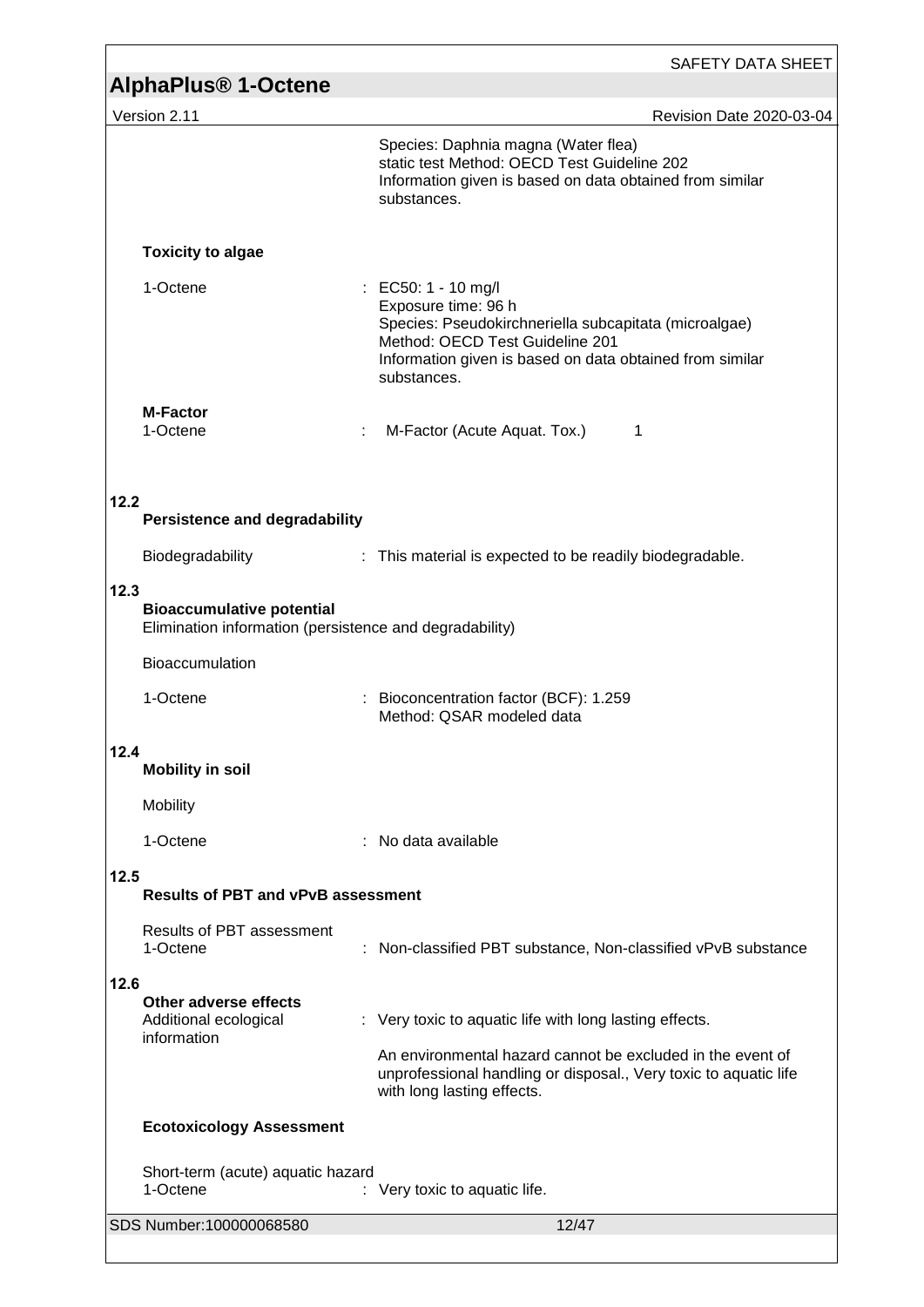|                                                                                                     | <b>SAFETY DATA SHEET</b>                                                                                                                                                                                          |
|-----------------------------------------------------------------------------------------------------|-------------------------------------------------------------------------------------------------------------------------------------------------------------------------------------------------------------------|
| <b>AlphaPlus<sup>®</sup> 1-Octene</b>                                                               |                                                                                                                                                                                                                   |
| Version 2.11                                                                                        | Revision Date 2020-03-04                                                                                                                                                                                          |
|                                                                                                     | Species: Daphnia magna (Water flea)<br>static test Method: OECD Test Guideline 202<br>Information given is based on data obtained from similar<br>substances.                                                     |
| <b>Toxicity to algae</b>                                                                            |                                                                                                                                                                                                                   |
| 1-Octene                                                                                            | : EC50: 1 - 10 mg/l<br>Exposure time: 96 h<br>Species: Pseudokirchneriella subcapitata (microalgae)<br>Method: OECD Test Guideline 201<br>Information given is based on data obtained from similar<br>substances. |
| <b>M-Factor</b><br>1-Octene                                                                         | M-Factor (Acute Aquat. Tox.)<br>1                                                                                                                                                                                 |
| 12.2<br><b>Persistence and degradability</b>                                                        |                                                                                                                                                                                                                   |
| Biodegradability                                                                                    | : This material is expected to be readily biodegradable.                                                                                                                                                          |
| 12.3<br><b>Bioaccumulative potential</b><br>Elimination information (persistence and degradability) |                                                                                                                                                                                                                   |
| <b>Bioaccumulation</b>                                                                              |                                                                                                                                                                                                                   |
| 1-Octene                                                                                            | : Bioconcentration factor (BCF): 1.259<br>Method: QSAR modeled data                                                                                                                                               |
| 12.4<br><b>Mobility in soil</b>                                                                     |                                                                                                                                                                                                                   |
| Mobility                                                                                            |                                                                                                                                                                                                                   |
| 1-Octene                                                                                            | : No data available                                                                                                                                                                                               |
| 12.5<br><b>Results of PBT and vPvB assessment</b>                                                   |                                                                                                                                                                                                                   |
| <b>Results of PBT assessment</b><br>1-Octene                                                        | : Non-classified PBT substance, Non-classified vPvB substance                                                                                                                                                     |
| 12.6<br><b>Other adverse effects</b><br>Additional ecological<br>information                        | : Very toxic to aquatic life with long lasting effects.                                                                                                                                                           |
|                                                                                                     | An environmental hazard cannot be excluded in the event of<br>unprofessional handling or disposal., Very toxic to aquatic life<br>with long lasting effects.                                                      |
| <b>Ecotoxicology Assessment</b>                                                                     |                                                                                                                                                                                                                   |
| Short-term (acute) aquatic hazard<br>1-Octene                                                       | Very toxic to aquatic life.                                                                                                                                                                                       |
| SDS Number:100000068580                                                                             | 12/47                                                                                                                                                                                                             |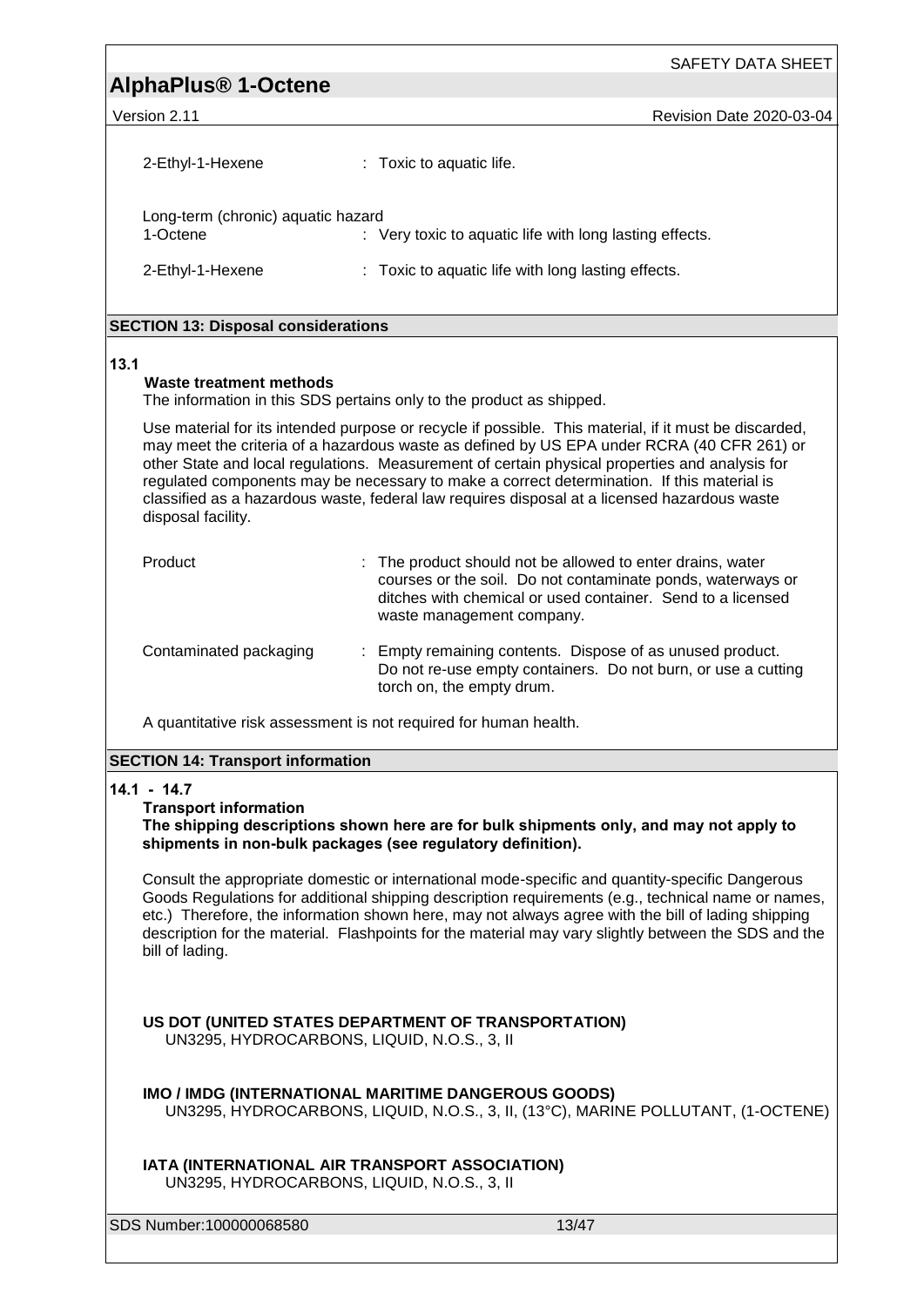SAFETY DATA SHEET **AlphaPlus® 1-Octene**  Version 2.11 **New Strategies 2020-03-04** Revision Date 2020-03-04 2-Ethyl-1-Hexene : Toxic to aquatic life. Long-term (chronic) aquatic hazard<br>1-Octene : \  $\therefore$  Very toxic to aquatic life with long lasting effects. 2-Ethyl-1-Hexene : Toxic to aquatic life with long lasting effects.

#### **SECTION 13: Disposal considerations**

#### **13.1**

#### **Waste treatment methods**

The information in this SDS pertains only to the product as shipped.

Use material for its intended purpose or recycle if possible. This material, if it must be discarded, may meet the criteria of a hazardous waste as defined by US EPA under RCRA (40 CFR 261) or other State and local regulations. Measurement of certain physical properties and analysis for regulated components may be necessary to make a correct determination. If this material is classified as a hazardous waste, federal law requires disposal at a licensed hazardous waste disposal facility.

| Product                | : The product should not be allowed to enter drains, water<br>courses or the soil. Do not contaminate ponds, waterways or<br>ditches with chemical or used container. Send to a licensed<br>waste management company. |
|------------------------|-----------------------------------------------------------------------------------------------------------------------------------------------------------------------------------------------------------------------|
| Contaminated packaging | : Empty remaining contents. Dispose of as unused product.<br>Do not re-use empty containers. Do not burn, or use a cutting<br>torch on, the empty drum.                                                               |

A quantitative risk assessment is not required for human health.

#### **SECTION 14: Transport information**

#### **14.1 - 14.7**

#### **Transport information**

**The shipping descriptions shown here are for bulk shipments only, and may not apply to shipments in non-bulk packages (see regulatory definition).**

Consult the appropriate domestic or international mode-specific and quantity-specific Dangerous Goods Regulations for additional shipping description requirements (e.g., technical name or names, etc.) Therefore, the information shown here, may not always agree with the bill of lading shipping description for the material. Flashpoints for the material may vary slightly between the SDS and the bill of lading.

#### **US DOT (UNITED STATES DEPARTMENT OF TRANSPORTATION)**

UN3295, HYDROCARBONS, LIQUID, N.O.S., 3, II

### **IMO / IMDG (INTERNATIONAL MARITIME DANGEROUS GOODS)** UN3295, HYDROCARBONS, LIQUID, N.O.S., 3, II, (13°C), MARINE POLLUTANT, (1-OCTENE)

#### **IATA (INTERNATIONAL AIR TRANSPORT ASSOCIATION)** UN3295, HYDROCARBONS, LIQUID, N.O.S., 3, II

#### SDS Number:100000068580 13/47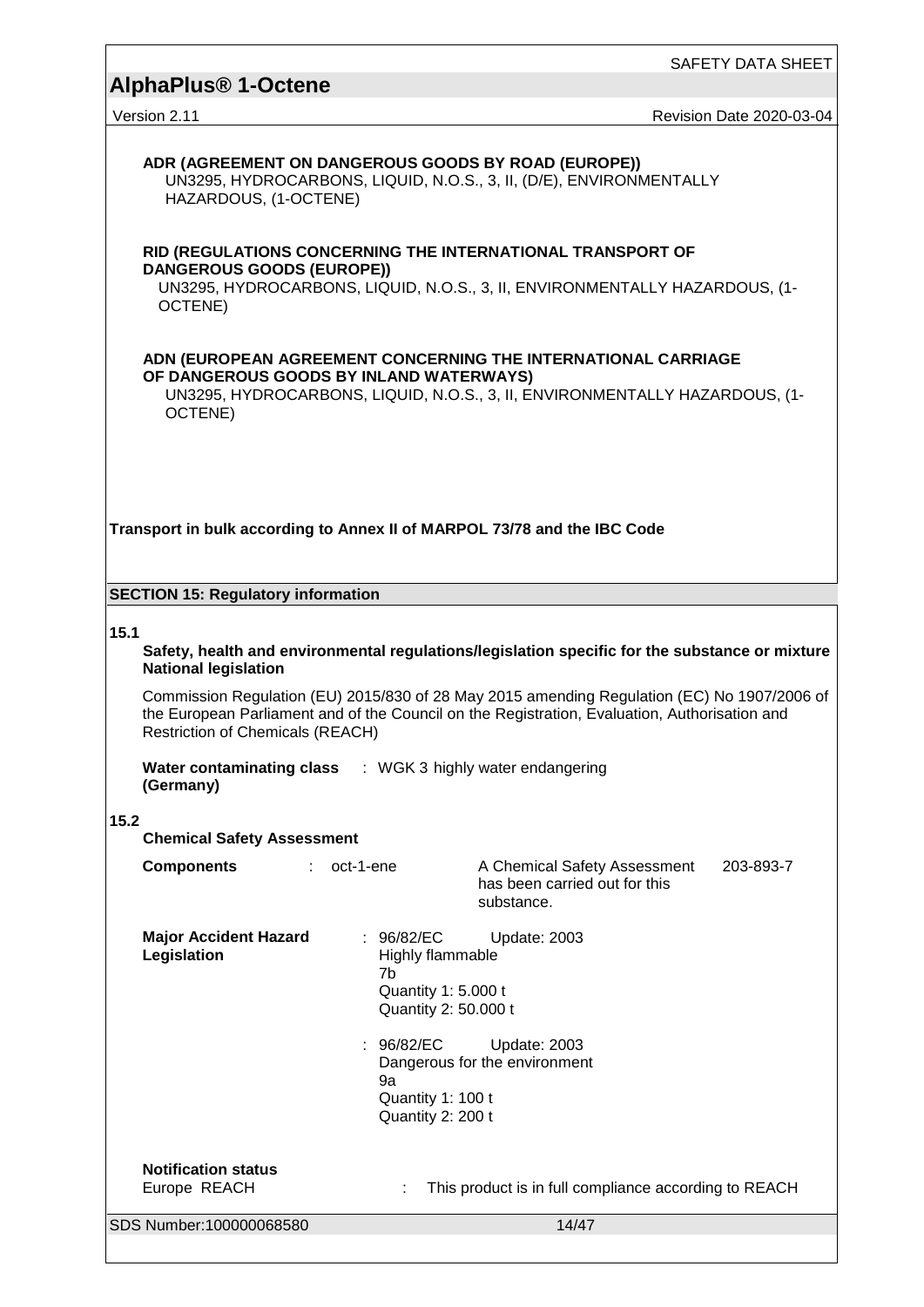# **AlphaPlus® 1-Octene**

version 2.11 **Version 2.11** Revision Date 2020-03-04

| ADR (AGREEMENT ON DANGEROUS GOODS BY ROAD (EUROPE))<br>HAZARDOUS, (1-OCTENE)                                                                                                                                                            |                                                                                                                                                   | UN3295, HYDROCARBONS, LIQUID, N.O.S., 3, II, (D/E), ENVIRONMENTALLY                                                                          |           |  |  |
|-----------------------------------------------------------------------------------------------------------------------------------------------------------------------------------------------------------------------------------------|---------------------------------------------------------------------------------------------------------------------------------------------------|----------------------------------------------------------------------------------------------------------------------------------------------|-----------|--|--|
| RID (REGULATIONS CONCERNING THE INTERNATIONAL TRANSPORT OF<br><b>DANGEROUS GOODS (EUROPE))</b><br>UN3295, HYDROCARBONS, LIQUID, N.O.S., 3, II, ENVIRONMENTALLY HAZARDOUS, (1-<br>OCTENE)                                                |                                                                                                                                                   |                                                                                                                                              |           |  |  |
| OF DANGEROUS GOODS BY INLAND WATERWAYS)<br>OCTENE)                                                                                                                                                                                      |                                                                                                                                                   | ADN (EUROPEAN AGREEMENT CONCERNING THE INTERNATIONAL CARRIAGE<br>UN3295, HYDROCARBONS, LIQUID, N.O.S., 3, II, ENVIRONMENTALLY HAZARDOUS, (1- |           |  |  |
| Transport in bulk according to Annex II of MARPOL 73/78 and the IBC Code                                                                                                                                                                |                                                                                                                                                   |                                                                                                                                              |           |  |  |
| <b>SECTION 15: Regulatory information</b>                                                                                                                                                                                               |                                                                                                                                                   |                                                                                                                                              |           |  |  |
| 15.1<br><b>National legislation</b>                                                                                                                                                                                                     |                                                                                                                                                   | Safety, health and environmental regulations/legislation specific for the substance or mixture                                               |           |  |  |
| Commission Regulation (EU) 2015/830 of 28 May 2015 amending Regulation (EC) No 1907/2006 of<br>the European Parliament and of the Council on the Registration, Evaluation, Authorisation and<br><b>Restriction of Chemicals (REACH)</b> |                                                                                                                                                   |                                                                                                                                              |           |  |  |
| Water contaminating class : WGK 3 highly water endangering<br>(Germany)                                                                                                                                                                 |                                                                                                                                                   |                                                                                                                                              |           |  |  |
| 15.2<br><b>Chemical Safety Assessment</b>                                                                                                                                                                                               |                                                                                                                                                   |                                                                                                                                              |           |  |  |
| <b>Components</b><br>÷.                                                                                                                                                                                                                 | oct-1-ene                                                                                                                                         | A Chemical Safety Assessment<br>has been carried out for this<br>substance.                                                                  | 203-893-7 |  |  |
| <b>Major Accident Hazard</b><br>Legislation                                                                                                                                                                                             | : $96/82/EC$<br>Highly flammable<br>7b<br>Quantity 1: 5.000 t<br>Quantity 2: 50.000 t<br>96/82/EC<br>9a<br>Quantity 1: 100 t<br>Quantity 2: 200 t | Update: 2003<br>Update: 2003<br>Dangerous for the environment                                                                                |           |  |  |
| <b>Notification status</b><br>Europe REACH                                                                                                                                                                                              |                                                                                                                                                   | This product is in full compliance according to REACH                                                                                        |           |  |  |
| SDS Number:100000068580                                                                                                                                                                                                                 |                                                                                                                                                   | 14/47                                                                                                                                        |           |  |  |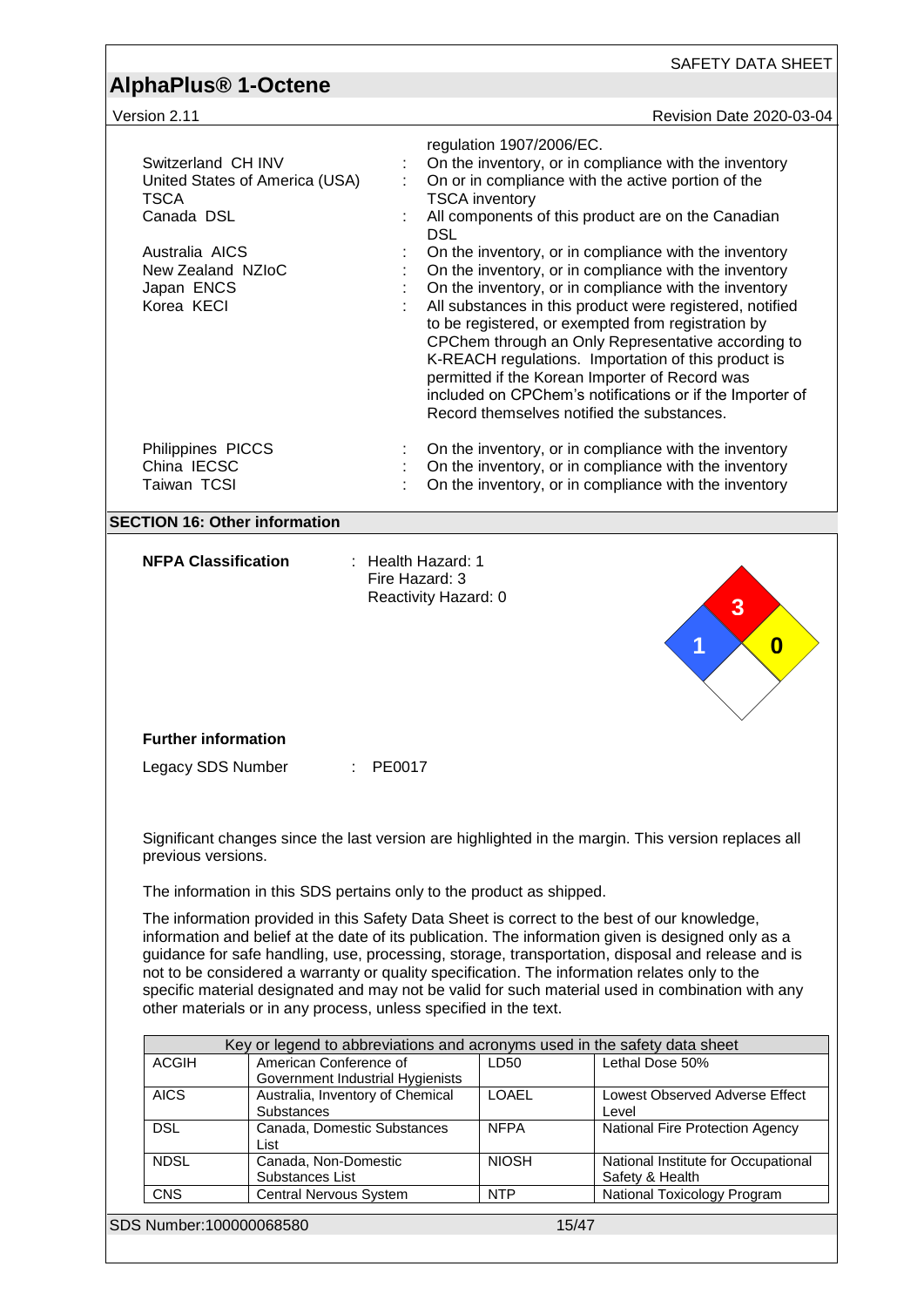| <b>AlphaPlus<sup>®</sup> 1-Octene</b>                                                                                                                          |                                                                                                                                                                                                                                                                                                                                                                                                                                                                                                                                                                                                                                                                                                                                                                                                            |
|----------------------------------------------------------------------------------------------------------------------------------------------------------------|------------------------------------------------------------------------------------------------------------------------------------------------------------------------------------------------------------------------------------------------------------------------------------------------------------------------------------------------------------------------------------------------------------------------------------------------------------------------------------------------------------------------------------------------------------------------------------------------------------------------------------------------------------------------------------------------------------------------------------------------------------------------------------------------------------|
| Version 2.11                                                                                                                                                   | Revision Date 2020-03-04                                                                                                                                                                                                                                                                                                                                                                                                                                                                                                                                                                                                                                                                                                                                                                                   |
| Switzerland CH INV<br>United States of America (USA)<br><b>TSCA</b><br>Canada DSL<br>Australia AICS<br>New Zealand NZIoC<br>Japan ENCS<br>Korea KECI           | regulation 1907/2006/EC.<br>On the inventory, or in compliance with the inventory<br>On or in compliance with the active portion of the<br><b>TSCA</b> inventory<br>All components of this product are on the Canadian<br><b>DSL</b><br>On the inventory, or in compliance with the inventory<br>On the inventory, or in compliance with the inventory<br>On the inventory, or in compliance with the inventory<br>All substances in this product were registered, notified<br>to be registered, or exempted from registration by<br>CPChem through an Only Representative according to<br>K-REACH regulations. Importation of this product is<br>permitted if the Korean Importer of Record was<br>included on CPChem's notifications or if the Importer of<br>Record themselves notified the substances. |
| Philippines PICCS<br>China IECSC                                                                                                                               | On the inventory, or in compliance with the inventory<br>On the inventory, or in compliance with the inventory                                                                                                                                                                                                                                                                                                                                                                                                                                                                                                                                                                                                                                                                                             |
| Taiwan TCSI                                                                                                                                                    | On the inventory, or in compliance with the inventory                                                                                                                                                                                                                                                                                                                                                                                                                                                                                                                                                                                                                                                                                                                                                      |
| <b>SECTION 16: Other information</b>                                                                                                                           |                                                                                                                                                                                                                                                                                                                                                                                                                                                                                                                                                                                                                                                                                                                                                                                                            |
|                                                                                                                                                                | Reactivity Hazard: 0<br>3<br>1<br>$\boldsymbol{0}$                                                                                                                                                                                                                                                                                                                                                                                                                                                                                                                                                                                                                                                                                                                                                         |
|                                                                                                                                                                |                                                                                                                                                                                                                                                                                                                                                                                                                                                                                                                                                                                                                                                                                                                                                                                                            |
| <b>Further information</b>                                                                                                                                     |                                                                                                                                                                                                                                                                                                                                                                                                                                                                                                                                                                                                                                                                                                                                                                                                            |
| Legacy SDS Number                                                                                                                                              | PE0017                                                                                                                                                                                                                                                                                                                                                                                                                                                                                                                                                                                                                                                                                                                                                                                                     |
| previous versions.<br>The information in this SDS pertains only to the product as shipped.<br>other materials or in any process, unless specified in the text. | Significant changes since the last version are highlighted in the margin. This version replaces all<br>The information provided in this Safety Data Sheet is correct to the best of our knowledge,<br>information and belief at the date of its publication. The information given is designed only as a<br>guidance for safe handling, use, processing, storage, transportation, disposal and release and is<br>not to be considered a warranty or quality specification. The information relates only to the<br>specific material designated and may not be valid for such material used in combination with any                                                                                                                                                                                         |
|                                                                                                                                                                |                                                                                                                                                                                                                                                                                                                                                                                                                                                                                                                                                                                                                                                                                                                                                                                                            |
| <b>ACGIH</b><br>American Conference of<br>Government Industrial Hygienists                                                                                     | Key or legend to abbreviations and acronyms used in the safety data sheet<br>LD50<br>Lethal Dose 50%                                                                                                                                                                                                                                                                                                                                                                                                                                                                                                                                                                                                                                                                                                       |
| <b>AICS</b><br>Australia, Inventory of Chemical<br>Substances                                                                                                  | <b>LOAEL</b><br>Lowest Observed Adverse Effect<br>Level                                                                                                                                                                                                                                                                                                                                                                                                                                                                                                                                                                                                                                                                                                                                                    |
| <b>DSL</b><br>Canada, Domestic Substances<br>List                                                                                                              | <b>NFPA</b><br>National Fire Protection Agency                                                                                                                                                                                                                                                                                                                                                                                                                                                                                                                                                                                                                                                                                                                                                             |
| <b>NDSL</b><br>Canada, Non-Domestic                                                                                                                            | <b>NIOSH</b><br>National Institute for Occupational                                                                                                                                                                                                                                                                                                                                                                                                                                                                                                                                                                                                                                                                                                                                                        |
| Substances List<br><b>CNS</b><br>Central Nervous System                                                                                                        | Safety & Health<br>NTP<br>National Toxicology Program                                                                                                                                                                                                                                                                                                                                                                                                                                                                                                                                                                                                                                                                                                                                                      |

Г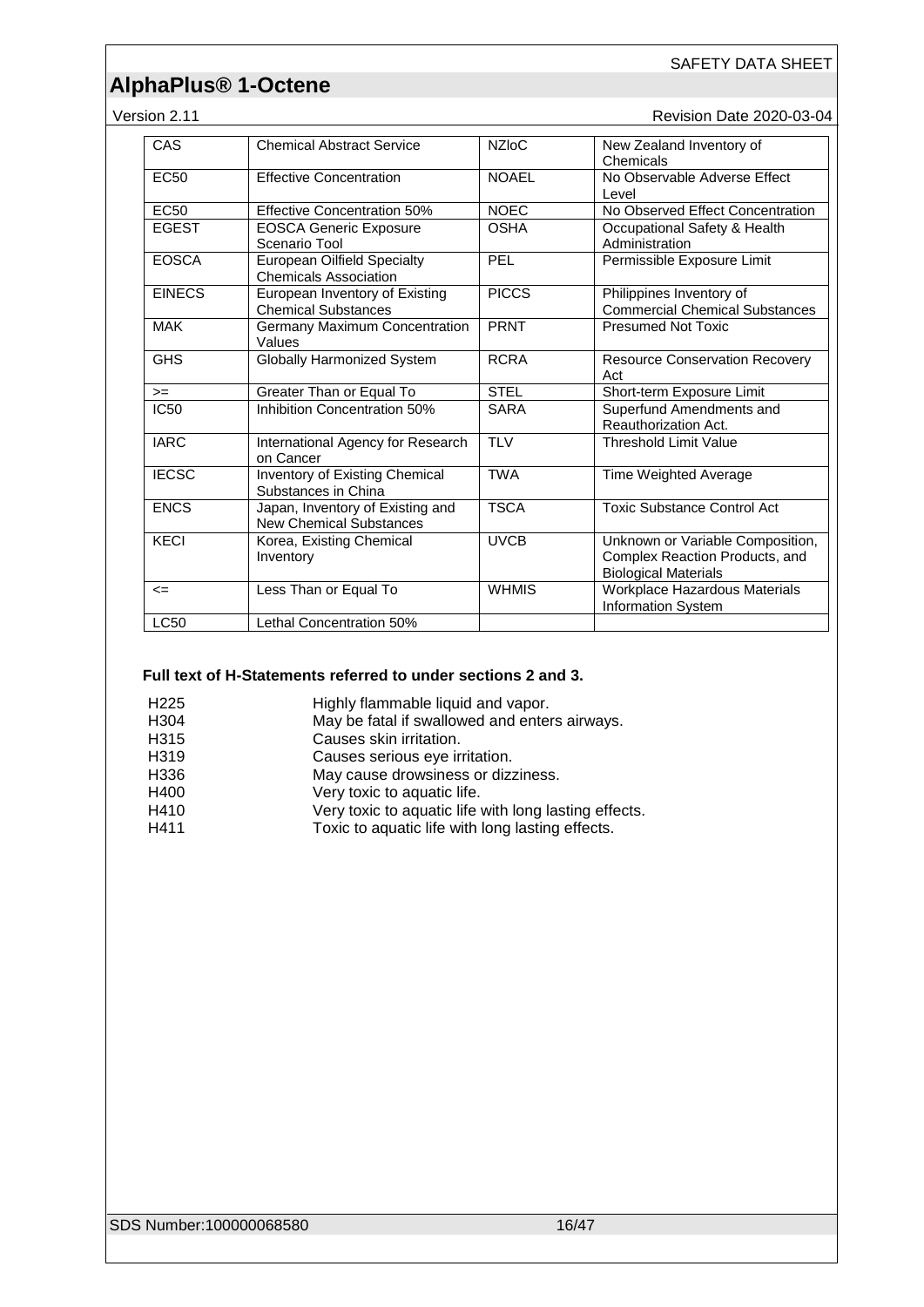SAFETY DATA SHEET

Version 2.11 **Version 2.11** Revision Date 2020-03-04

| CAS              | <b>Chemical Abstract Service</b>                                   | <b>NZIOC</b> | New Zealand Inventory of<br>Chemicals                                                             |
|------------------|--------------------------------------------------------------------|--------------|---------------------------------------------------------------------------------------------------|
| EC <sub>50</sub> | <b>Effective Concentration</b>                                     | <b>NOAEL</b> | No Observable Adverse Effect<br>Level                                                             |
| EC <sub>50</sub> | <b>Effective Concentration 50%</b>                                 | <b>NOEC</b>  | No Observed Effect Concentration                                                                  |
| <b>EGEST</b>     | <b>EOSCA Generic Exposure</b><br>Scenario Tool                     | <b>OSHA</b>  | Occupational Safety & Health<br>Administration                                                    |
| <b>EOSCA</b>     | <b>European Oilfield Specialty</b><br><b>Chemicals Association</b> | PFL          | Permissible Exposure Limit                                                                        |
| <b>EINECS</b>    | European Inventory of Existing<br><b>Chemical Substances</b>       | <b>PICCS</b> | Philippines Inventory of<br><b>Commercial Chemical Substances</b>                                 |
| <b>MAK</b>       | Germany Maximum Concentration<br>Values                            | <b>PRNT</b>  | <b>Presumed Not Toxic</b>                                                                         |
| <b>GHS</b>       | Globally Harmonized System                                         | <b>RCRA</b>  | <b>Resource Conservation Recovery</b><br>Act                                                      |
| $>=$             | Greater Than or Equal To                                           | <b>STEL</b>  | Short-term Exposure Limit                                                                         |
| <b>IC50</b>      | Inhibition Concentration 50%                                       | <b>SARA</b>  | Superfund Amendments and<br>Reauthorization Act.                                                  |
| <b>IARC</b>      | International Agency for Research<br>on Cancer                     | <b>TLV</b>   | <b>Threshold Limit Value</b>                                                                      |
| <b>IECSC</b>     | Inventory of Existing Chemical<br>Substances in China              | <b>TWA</b>   | <b>Time Weighted Average</b>                                                                      |
| <b>ENCS</b>      | Japan, Inventory of Existing and<br><b>New Chemical Substances</b> | <b>TSCA</b>  | <b>Toxic Substance Control Act</b>                                                                |
| <b>KECI</b>      | Korea, Existing Chemical<br>Inventory                              | <b>UVCB</b>  | Unknown or Variable Composition,<br>Complex Reaction Products, and<br><b>Biological Materials</b> |
| $\leq$           | Less Than or Equal To                                              | <b>WHMIS</b> | Workplace Hazardous Materials<br>Information System                                               |
| <b>LC50</b>      | Lethal Concentration 50%                                           |              |                                                                                                   |

#### **Full text of H-Statements referred to under sections 2 and 3.**

| H <sub>225</sub> | Highly flammable liquid and vapor.            |
|------------------|-----------------------------------------------|
| H304             | May be fatal if swallowed and enters airways. |
| H315             | Causes skin irritation.                       |
| H319             | Causes serious eye irritation.                |
| H336             | May cause drowsiness or dizziness.            |
| H400             | Very toxic to aquatic life.                   |
| 1.111            |                                               |

H410 Very toxic to aquatic life with long lasting effects. H411 Toxic to aquatic life with long lasting effects.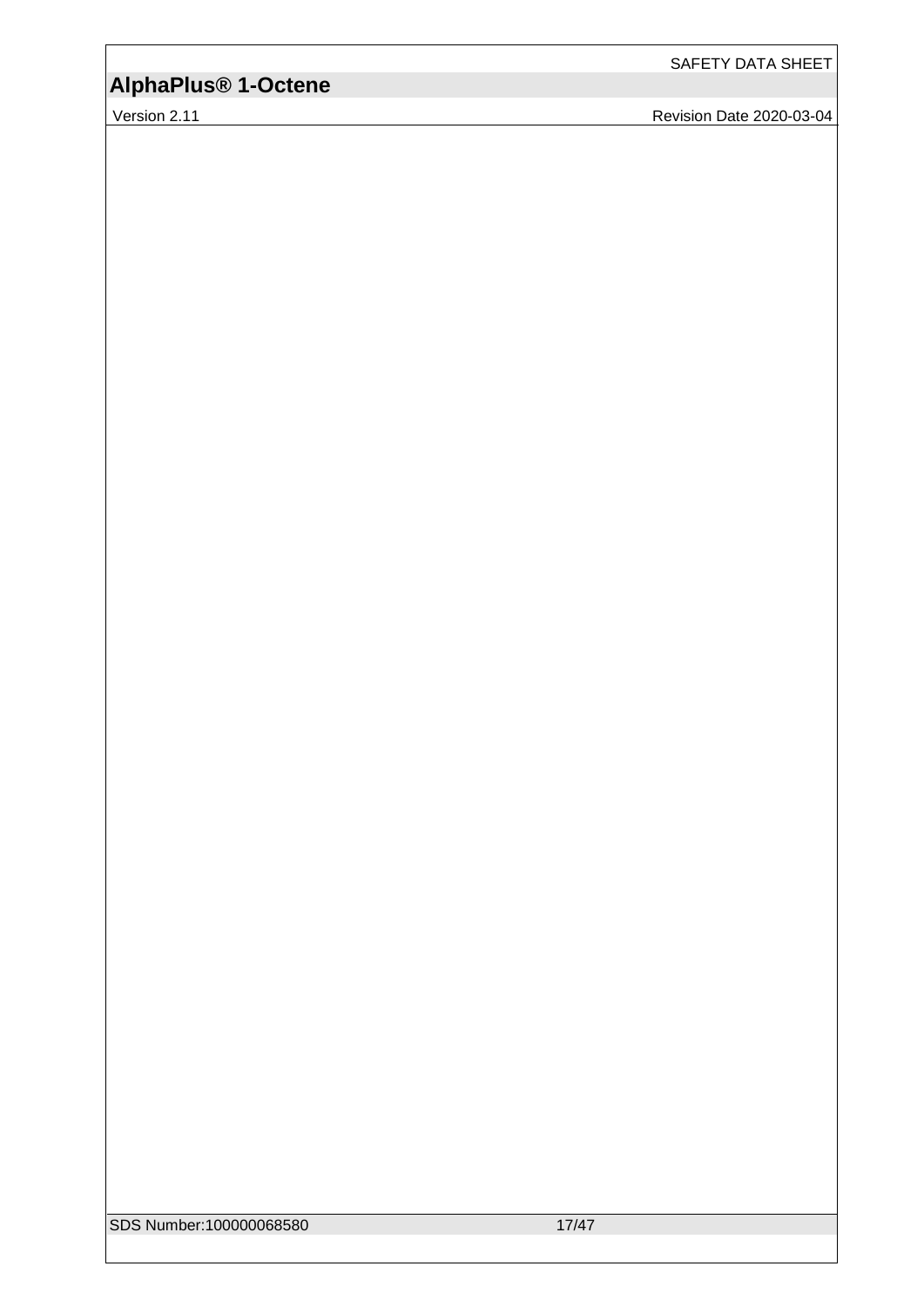SAFETY DATA SHEET

Version 2.11 **Version 2.11** Revision Date 2020-03-04

SDS Number:100000068580 17/47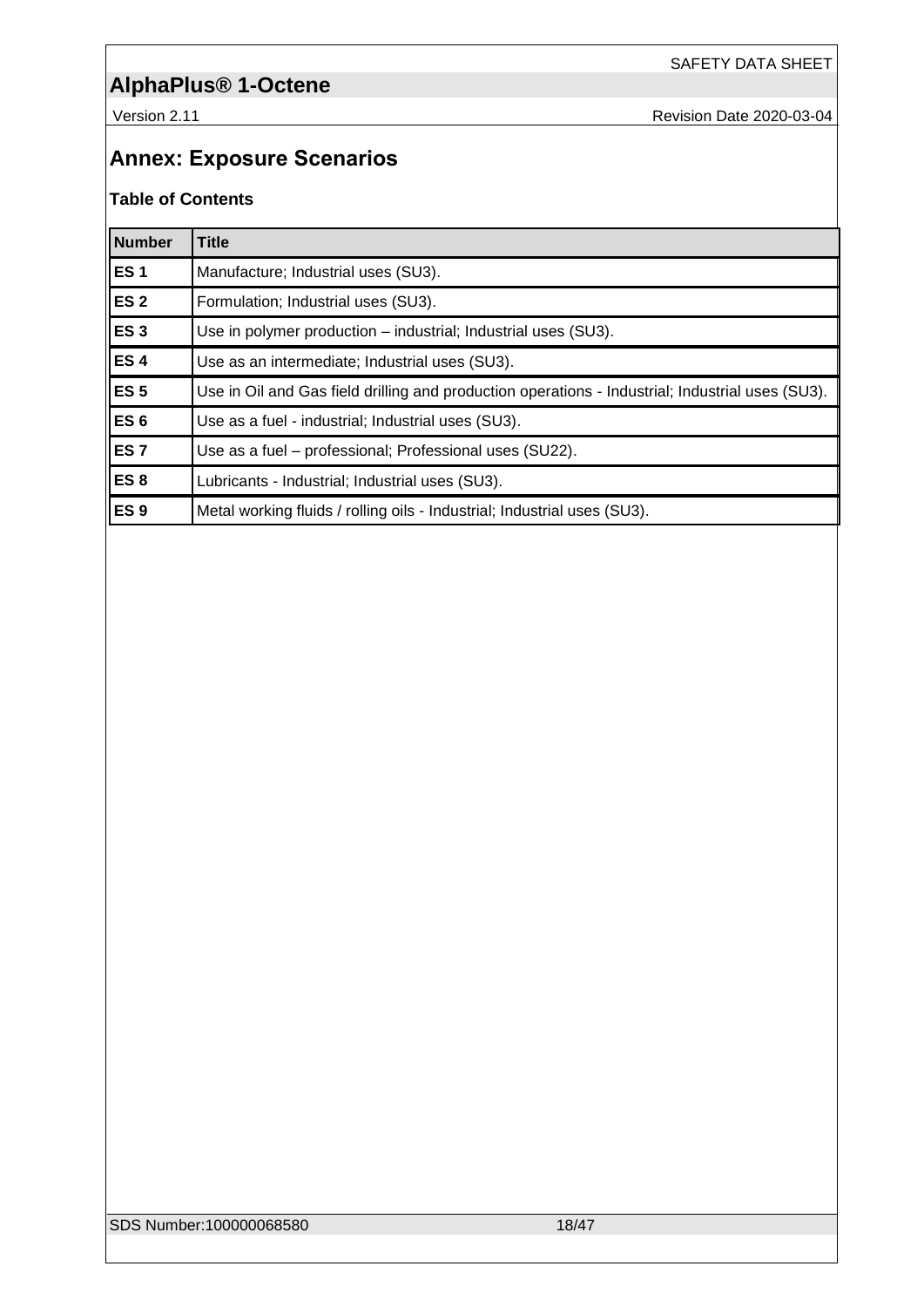SAFETY DATA SHEET

Version 2.11 **Version 2.11** Revision Date 2020-03-04

# **Annex: Exposure Scenarios**

### **Table of Contents**

| <b>Number</b>   | <b>Title</b>                                                                                     |
|-----------------|--------------------------------------------------------------------------------------------------|
| <b>ES1</b>      | Manufacture; Industrial uses (SU3).                                                              |
| ES <sub>2</sub> | Formulation; Industrial uses (SU3).                                                              |
| ES <sub>3</sub> | Use in polymer production – industrial; Industrial uses (SU3).                                   |
| ES <sub>4</sub> | Use as an intermediate; Industrial uses (SU3).                                                   |
| <b>ES5</b>      | Use in Oil and Gas field drilling and production operations - Industrial; Industrial uses (SU3). |
| ES <sub>6</sub> | Use as a fuel - industrial; Industrial uses (SU3).                                               |
| ES <sub>7</sub> | Use as a fuel - professional; Professional uses (SU22).                                          |
| ES <sub>8</sub> | Lubricants - Industrial; Industrial uses (SU3).                                                  |
| ES <sub>9</sub> | Metal working fluids / rolling oils - Industrial; Industrial uses (SU3).                         |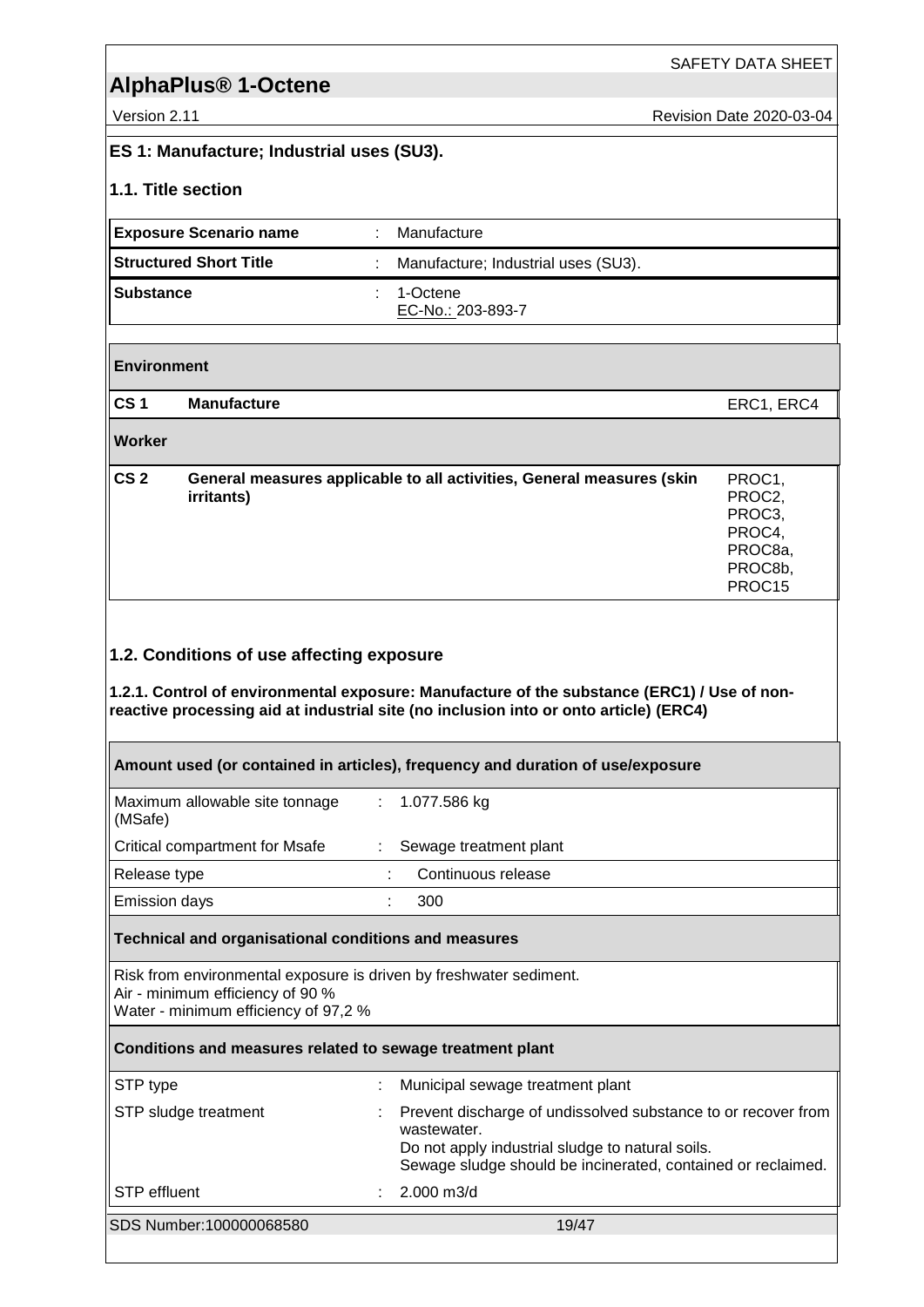|                                                                                                                                                |                                                                                                                                                                                                  | SAFETY DATA SHEET                                                               |
|------------------------------------------------------------------------------------------------------------------------------------------------|--------------------------------------------------------------------------------------------------------------------------------------------------------------------------------------------------|---------------------------------------------------------------------------------|
| <b>AlphaPlus<sup>®</sup> 1-Octene</b>                                                                                                          |                                                                                                                                                                                                  |                                                                                 |
| Version 2.11                                                                                                                                   |                                                                                                                                                                                                  | Revision Date 2020-03-04                                                        |
| ES 1: Manufacture; Industrial uses (SU3).                                                                                                      |                                                                                                                                                                                                  |                                                                                 |
| 1.1. Title section                                                                                                                             |                                                                                                                                                                                                  |                                                                                 |
| <b>Exposure Scenario name</b>                                                                                                                  | Manufacture                                                                                                                                                                                      |                                                                                 |
| <b>Structured Short Title</b>                                                                                                                  | Manufacture; Industrial uses (SU3).                                                                                                                                                              |                                                                                 |
| <b>Substance</b>                                                                                                                               | 1-Octene<br>EC-No.: 203-893-7                                                                                                                                                                    |                                                                                 |
| <b>Environment</b>                                                                                                                             |                                                                                                                                                                                                  |                                                                                 |
| CS <sub>1</sub><br><b>Manufacture</b>                                                                                                          |                                                                                                                                                                                                  | ERC1, ERC4                                                                      |
| <b>Worker</b>                                                                                                                                  |                                                                                                                                                                                                  |                                                                                 |
|                                                                                                                                                |                                                                                                                                                                                                  |                                                                                 |
| CS <sub>2</sub><br>irritants)                                                                                                                  | General measures applicable to all activities, General measures (skin                                                                                                                            | PROC1,<br>PROC2,<br>PROC <sub>3</sub><br>PROC4,<br>PROC8a,<br>PROC8b,<br>PROC15 |
|                                                                                                                                                | 1.2.1. Control of environmental exposure: Manufacture of the substance (ERC1) / Use of non-<br>reactive processing aid at industrial site (no inclusion into or onto article) (ERC4)             |                                                                                 |
|                                                                                                                                                | Amount used (or contained in articles), frequency and duration of use/exposure                                                                                                                   |                                                                                 |
| Maximum allowable site tonnage<br>(MSafe)                                                                                                      | 1.077.586 kg<br>÷                                                                                                                                                                                |                                                                                 |
| <b>Critical compartment for Msafe</b>                                                                                                          | Sewage treatment plant                                                                                                                                                                           |                                                                                 |
| Release type                                                                                                                                   | Continuous release                                                                                                                                                                               |                                                                                 |
| <b>Emission days</b>                                                                                                                           | 300                                                                                                                                                                                              |                                                                                 |
| <b>Technical and organisational conditions and measures</b>                                                                                    |                                                                                                                                                                                                  |                                                                                 |
| Risk from environmental exposure is driven by freshwater sediment.<br>Air - minimum efficiency of 90 %<br>Water - minimum efficiency of 97,2 % |                                                                                                                                                                                                  |                                                                                 |
| Conditions and measures related to sewage treatment plant                                                                                      |                                                                                                                                                                                                  |                                                                                 |
| STP type                                                                                                                                       | Municipal sewage treatment plant                                                                                                                                                                 |                                                                                 |
| STP sludge treatment                                                                                                                           | Prevent discharge of undissolved substance to or recover from<br>wastewater.<br>Do not apply industrial sludge to natural soils.<br>Sewage sludge should be incinerated, contained or reclaimed. |                                                                                 |
| <b>STP</b> effluent                                                                                                                            | 2.000 m3/d                                                                                                                                                                                       |                                                                                 |
| SDS Number:100000068580                                                                                                                        | 19/47                                                                                                                                                                                            |                                                                                 |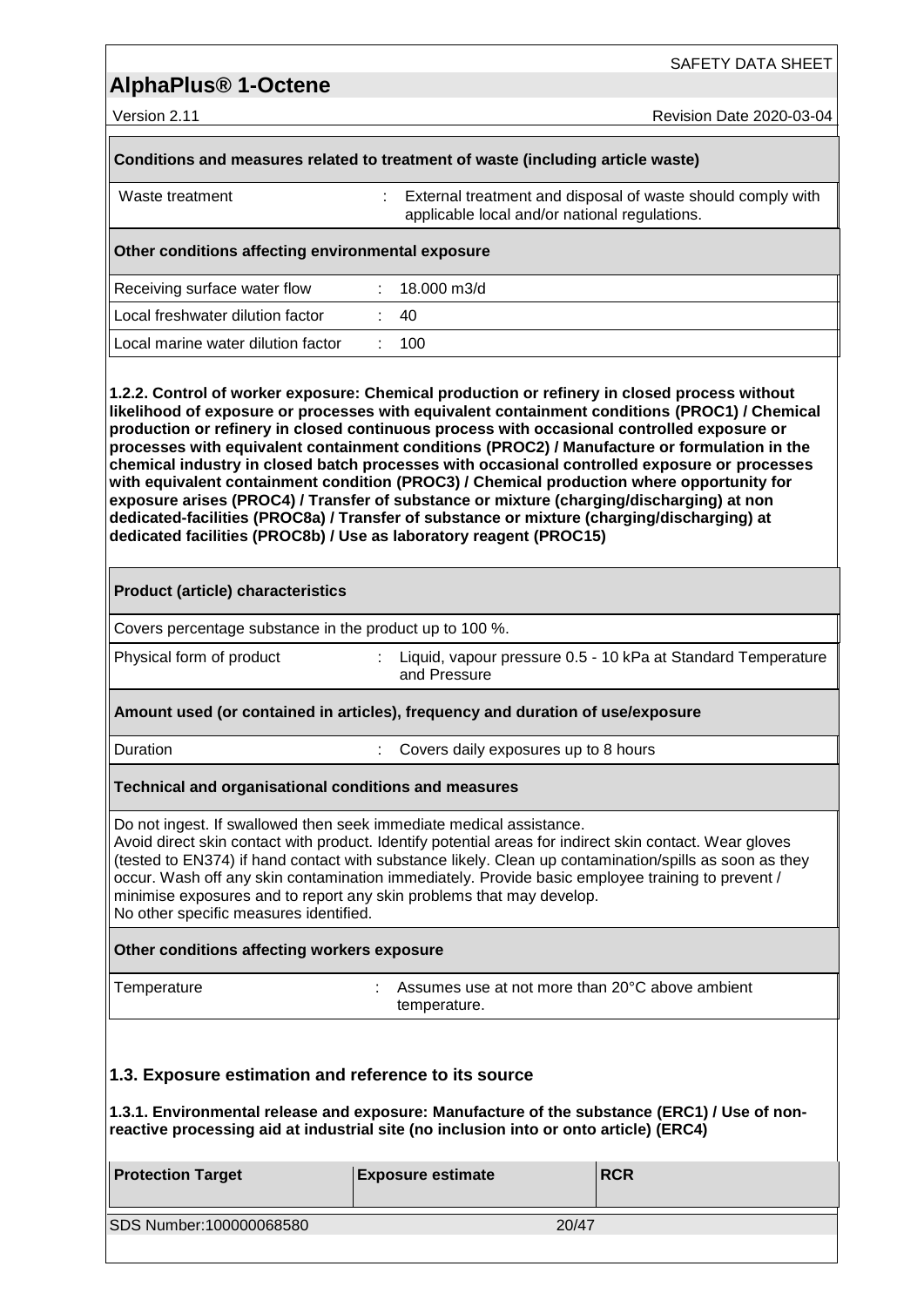# **AlphaPlus® 1-Octene**

Version 2.11 Version 2.11

| Conditions and measures related to treatment of waste (including article waste)                                                                                                                                                                                                                                                                                                                                                                                                                                                                                                                                                                                                                                                                                                                                                                          |    |                                                                 |                                                              |
|----------------------------------------------------------------------------------------------------------------------------------------------------------------------------------------------------------------------------------------------------------------------------------------------------------------------------------------------------------------------------------------------------------------------------------------------------------------------------------------------------------------------------------------------------------------------------------------------------------------------------------------------------------------------------------------------------------------------------------------------------------------------------------------------------------------------------------------------------------|----|-----------------------------------------------------------------|--------------------------------------------------------------|
| Waste treatment                                                                                                                                                                                                                                                                                                                                                                                                                                                                                                                                                                                                                                                                                                                                                                                                                                          |    | applicable local and/or national regulations.                   | External treatment and disposal of waste should comply with  |
| Other conditions affecting environmental exposure                                                                                                                                                                                                                                                                                                                                                                                                                                                                                                                                                                                                                                                                                                                                                                                                        |    |                                                                 |                                                              |
| Receiving surface water flow                                                                                                                                                                                                                                                                                                                                                                                                                                                                                                                                                                                                                                                                                                                                                                                                                             | ÷  | 18.000 m3/d                                                     |                                                              |
| Local freshwater dilution factor                                                                                                                                                                                                                                                                                                                                                                                                                                                                                                                                                                                                                                                                                                                                                                                                                         |    | 40                                                              |                                                              |
| Local marine water dilution factor                                                                                                                                                                                                                                                                                                                                                                                                                                                                                                                                                                                                                                                                                                                                                                                                                       | ÷. | 100                                                             |                                                              |
| 1.2.2. Control of worker exposure: Chemical production or refinery in closed process without<br>likelihood of exposure or processes with equivalent containment conditions (PROC1) / Chemical<br>production or refinery in closed continuous process with occasional controlled exposure or<br>processes with equivalent containment conditions (PROC2) / Manufacture or formulation in the<br>chemical industry in closed batch processes with occasional controlled exposure or processes<br>with equivalent containment condition (PROC3) / Chemical production where opportunity for<br>exposure arises (PROC4) / Transfer of substance or mixture (charging/discharging) at non<br>dedicated-facilities (PROC8a) / Transfer of substance or mixture (charging/discharging) at<br>dedicated facilities (PROC8b) / Use as laboratory reagent (PROC15) |    |                                                                 |                                                              |
| <b>Product (article) characteristics</b>                                                                                                                                                                                                                                                                                                                                                                                                                                                                                                                                                                                                                                                                                                                                                                                                                 |    |                                                                 |                                                              |
| Covers percentage substance in the product up to 100 %.                                                                                                                                                                                                                                                                                                                                                                                                                                                                                                                                                                                                                                                                                                                                                                                                  |    |                                                                 |                                                              |
| Physical form of product                                                                                                                                                                                                                                                                                                                                                                                                                                                                                                                                                                                                                                                                                                                                                                                                                                 |    | and Pressure                                                    | Liquid, vapour pressure 0.5 - 10 kPa at Standard Temperature |
| Amount used (or contained in articles), frequency and duration of use/exposure                                                                                                                                                                                                                                                                                                                                                                                                                                                                                                                                                                                                                                                                                                                                                                           |    |                                                                 |                                                              |
| Duration                                                                                                                                                                                                                                                                                                                                                                                                                                                                                                                                                                                                                                                                                                                                                                                                                                                 |    | Covers daily exposures up to 8 hours                            |                                                              |
| Technical and organisational conditions and measures                                                                                                                                                                                                                                                                                                                                                                                                                                                                                                                                                                                                                                                                                                                                                                                                     |    |                                                                 |                                                              |
| Do not ingest. If swallowed then seek immediate medical assistance.<br>Avoid direct skin contact with product. Identify potential areas for indirect skin contact. Wear gloves<br>(tested to EN374) if hand contact with substance likely. Clean up contamination/spills as soon as they<br>occur. Wash off any skin contamination immediately. Provide basic employee training to prevent /<br>minimise exposures and to report any skin problems that may develop.<br>No other specific measures identified.                                                                                                                                                                                                                                                                                                                                           |    |                                                                 |                                                              |
| Other conditions affecting workers exposure                                                                                                                                                                                                                                                                                                                                                                                                                                                                                                                                                                                                                                                                                                                                                                                                              |    |                                                                 |                                                              |
| Temperature                                                                                                                                                                                                                                                                                                                                                                                                                                                                                                                                                                                                                                                                                                                                                                                                                                              |    | Assumes use at not more than 20°C above ambient<br>temperature. |                                                              |
| 1.3. Exposure estimation and reference to its source<br>1.3.1. Environmental release and exposure: Manufacture of the substance (ERC1) / Use of non-<br>reactive processing aid at industrial site (no inclusion into or onto article) (ERC4)                                                                                                                                                                                                                                                                                                                                                                                                                                                                                                                                                                                                            |    |                                                                 |                                                              |
| <b>Protection Target</b>                                                                                                                                                                                                                                                                                                                                                                                                                                                                                                                                                                                                                                                                                                                                                                                                                                 |    | <b>Exposure estimate</b>                                        | <b>RCR</b>                                                   |
| SDS Number:100000068580                                                                                                                                                                                                                                                                                                                                                                                                                                                                                                                                                                                                                                                                                                                                                                                                                                  |    | 20/47                                                           |                                                              |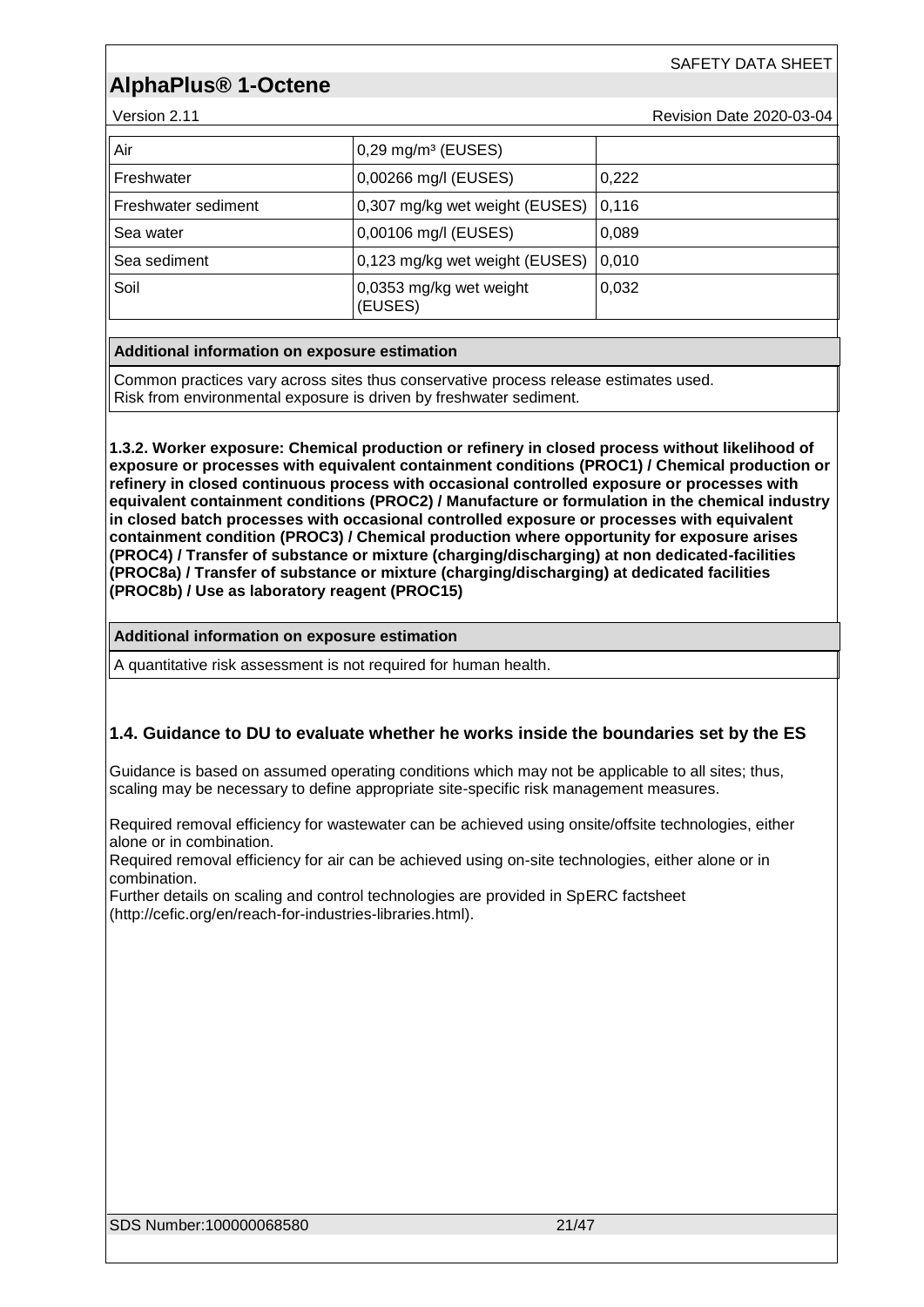### **AlphaPlus® 1-Octene**

Version 2.11 **New Search 2020-03-04** Revision Date 2020-03-04

| Air                 | $0,29$ mg/m <sup>3</sup> (EUSES)   |       |
|---------------------|------------------------------------|-------|
| Freshwater          | 0,00266 mg/l (EUSES)               | 0,222 |
| Freshwater sediment | 0,307 mg/kg wet weight (EUSES)     | 0,116 |
| Sea water           | 0,00106 mg/l (EUSES)               | 0,089 |
| Sea sediment        | 0,123 mg/kg wet weight (EUSES)     | 0,010 |
| Soil                | 0,0353 mg/kg wet weight<br>(EUSES) | 0,032 |

#### **Additional information on exposure estimation**

Common practices vary across sites thus conservative process release estimates used. Risk from environmental exposure is driven by freshwater sediment.

**1.3.2. Worker exposure: Chemical production or refinery in closed process without likelihood of exposure or processes with equivalent containment conditions (PROC1) / Chemical production or refinery in closed continuous process with occasional controlled exposure or processes with equivalent containment conditions (PROC2) / Manufacture or formulation in the chemical industry in closed batch processes with occasional controlled exposure or processes with equivalent containment condition (PROC3) / Chemical production where opportunity for exposure arises (PROC4) / Transfer of substance or mixture (charging/discharging) at non dedicated-facilities (PROC8a) / Transfer of substance or mixture (charging/discharging) at dedicated facilities (PROC8b) / Use as laboratory reagent (PROC15)**

**Additional information on exposure estimation**

A quantitative risk assessment is not required for human health.

#### **1.4. Guidance to DU to evaluate whether he works inside the boundaries set by the ES**

Guidance is based on assumed operating conditions which may not be applicable to all sites; thus, scaling may be necessary to define appropriate site-specific risk management measures.

Required removal efficiency for wastewater can be achieved using onsite/offsite technologies, either alone or in combination.

Required removal efficiency for air can be achieved using on-site technologies, either alone or in combination.

Further details on scaling and control technologies are provided in SpERC factsheet (http://cefic.org/en/reach-for-industries-libraries.html).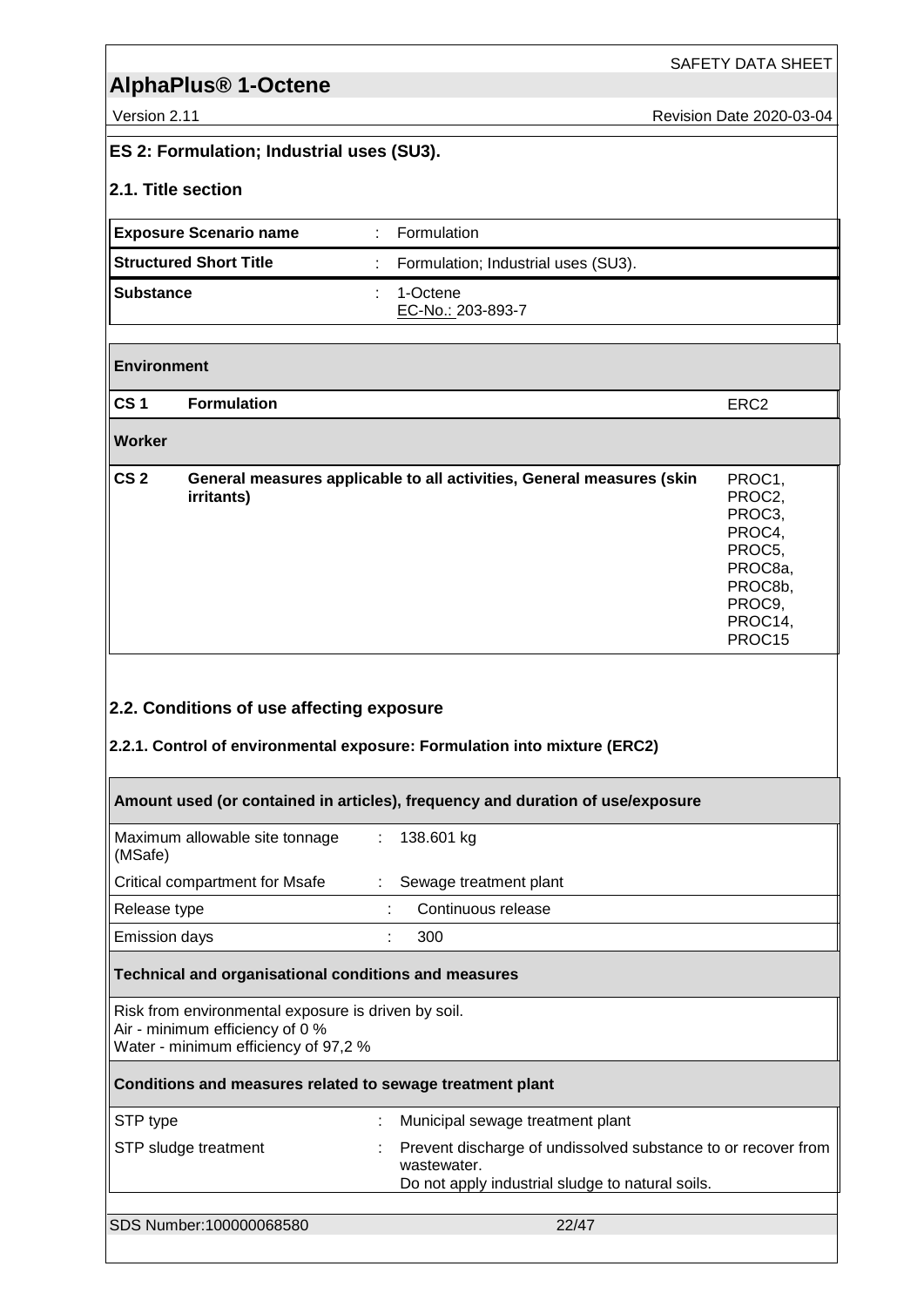|                                                                                                                                |                                                                                                                                  | SAFETY DATA SHEET                                                                                   |
|--------------------------------------------------------------------------------------------------------------------------------|----------------------------------------------------------------------------------------------------------------------------------|-----------------------------------------------------------------------------------------------------|
| <b>AlphaPlus<sup>®</sup> 1-Octene</b>                                                                                          |                                                                                                                                  |                                                                                                     |
| Version 2.11                                                                                                                   |                                                                                                                                  | Revision Date 2020-03-04                                                                            |
| ES 2: Formulation; Industrial uses (SU3).                                                                                      |                                                                                                                                  |                                                                                                     |
| 2.1. Title section                                                                                                             |                                                                                                                                  |                                                                                                     |
| <b>Exposure Scenario name</b>                                                                                                  | Formulation                                                                                                                      |                                                                                                     |
| <b>Structured Short Title</b>                                                                                                  | Formulation; Industrial uses (SU3).                                                                                              |                                                                                                     |
| <b>Substance</b><br>÷                                                                                                          | 1-Octene<br>EC-No.: 203-893-7                                                                                                    |                                                                                                     |
| <b>Environment</b>                                                                                                             |                                                                                                                                  |                                                                                                     |
| CS <sub>1</sub><br><b>Formulation</b>                                                                                          |                                                                                                                                  | ERC <sub>2</sub>                                                                                    |
| Worker                                                                                                                         |                                                                                                                                  |                                                                                                     |
| CS <sub>2</sub><br>irritants)                                                                                                  | General measures applicable to all activities, General measures (skin                                                            | PROC1,<br>PROC2,<br>PROC3,<br>PROC4,<br>PROC5,<br>PROC8a,<br>PROC8b,<br>PROC9,<br>PROC14,<br>PROC15 |
| 2.2. Conditions of use affecting exposure<br>2.2.1. Control of environmental exposure: Formulation into mixture (ERC2)         |                                                                                                                                  |                                                                                                     |
|                                                                                                                                | Amount used (or contained in articles), frequency and duration of use/exposure                                                   |                                                                                                     |
| Maximum allowable site tonnage<br>(MSafe)                                                                                      | 138.601 kg                                                                                                                       |                                                                                                     |
| <b>Critical compartment for Msafe</b>                                                                                          | Sewage treatment plant                                                                                                           |                                                                                                     |
| Release type                                                                                                                   | Continuous release                                                                                                               |                                                                                                     |
| <b>Emission days</b>                                                                                                           | 300                                                                                                                              |                                                                                                     |
| Technical and organisational conditions and measures                                                                           |                                                                                                                                  |                                                                                                     |
| Risk from environmental exposure is driven by soil.<br>Air - minimum efficiency of 0 %<br>Water - minimum efficiency of 97,2 % |                                                                                                                                  |                                                                                                     |
| Conditions and measures related to sewage treatment plant                                                                      |                                                                                                                                  |                                                                                                     |
| STP type                                                                                                                       | Municipal sewage treatment plant                                                                                                 |                                                                                                     |
| STP sludge treatment<br>÷                                                                                                      | Prevent discharge of undissolved substance to or recover from<br>wastewater.<br>Do not apply industrial sludge to natural soils. |                                                                                                     |
|                                                                                                                                |                                                                                                                                  |                                                                                                     |
| SDS Number:100000068580                                                                                                        | 22/47                                                                                                                            |                                                                                                     |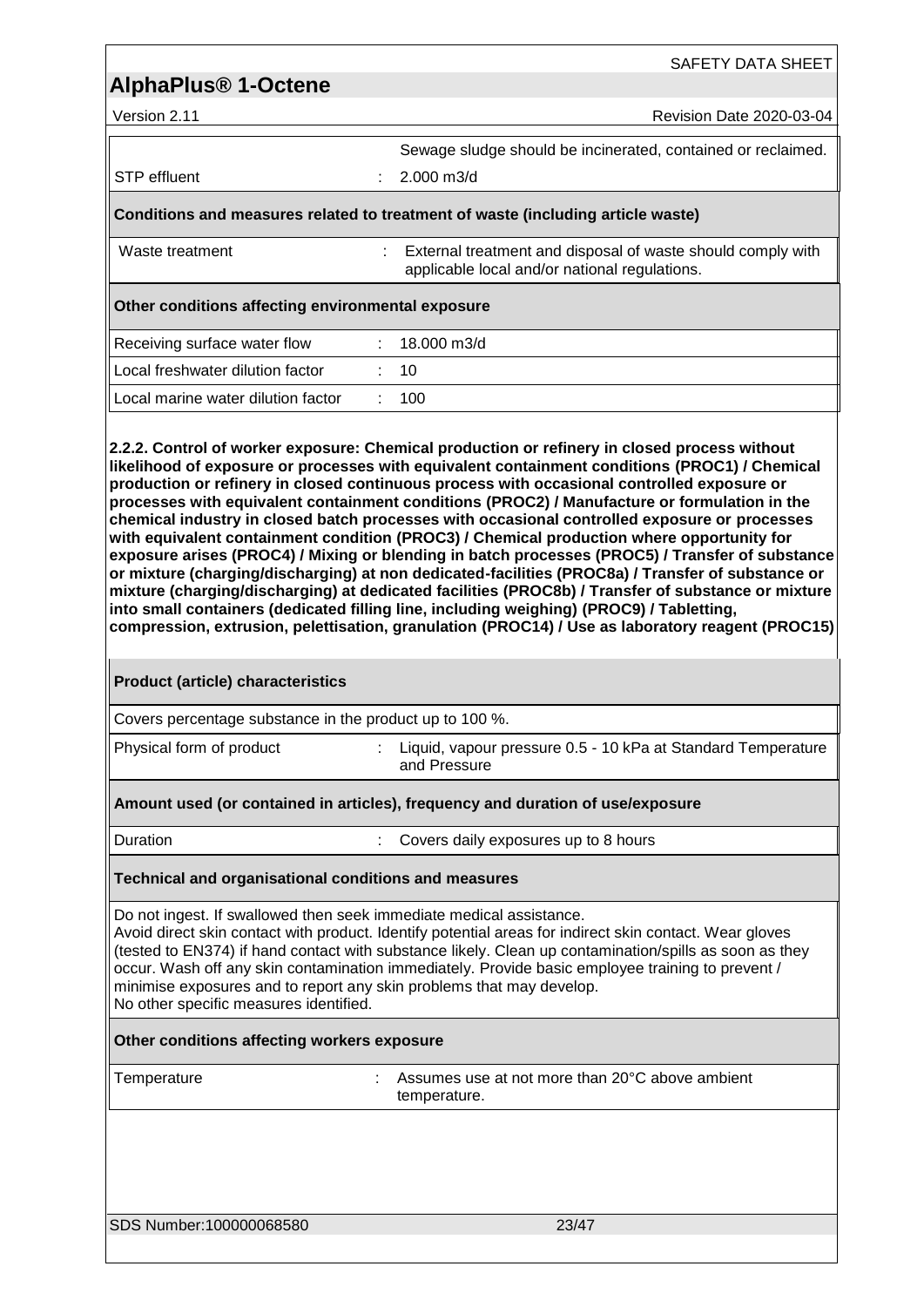|                                                                                 |  | <b>SAFETY DATA SHEET</b>                                                                                     |
|---------------------------------------------------------------------------------|--|--------------------------------------------------------------------------------------------------------------|
| <b>AlphaPlus<sup>®</sup> 1-Octene</b>                                           |  |                                                                                                              |
| Version 2.11                                                                    |  | Revision Date 2020-03-04                                                                                     |
|                                                                                 |  | Sewage sludge should be incinerated, contained or reclaimed.                                                 |
| <b>STP</b> effluent                                                             |  | $2.000 \text{ m}$ 3/d                                                                                        |
| Conditions and measures related to treatment of waste (including article waste) |  |                                                                                                              |
| Waste treatment                                                                 |  | External treatment and disposal of waste should comply with<br>applicable local and/or national regulations. |
| Other conditions affecting environmental exposure                               |  |                                                                                                              |
| Receiving surface water flow                                                    |  | 18,000 m3/d                                                                                                  |
| Local freshwater dilution factor                                                |  | 10                                                                                                           |
| Local marine water dilution factor                                              |  | 100                                                                                                          |
|                                                                                 |  |                                                                                                              |

**2.2.2. Control of worker exposure: Chemical production or refinery in closed process without likelihood of exposure or processes with equivalent containment conditions (PROC1) / Chemical production or refinery in closed continuous process with occasional controlled exposure or processes with equivalent containment conditions (PROC2) / Manufacture or formulation in the chemical industry in closed batch processes with occasional controlled exposure or processes with equivalent containment condition (PROC3) / Chemical production where opportunity for exposure arises (PROC4) / Mixing or blending in batch processes (PROC5) / Transfer of substance or mixture (charging/discharging) at non dedicated-facilities (PROC8a) / Transfer of substance or mixture (charging/discharging) at dedicated facilities (PROC8b) / Transfer of substance or mixture into small containers (dedicated filling line, including weighing) (PROC9) / Tabletting, compression, extrusion, pelettisation, granulation (PROC14) / Use as laboratory reagent (PROC15)**

#### **Product (article) characteristics**

Covers percentage substance in the product up to 100 %.

Physical form of product : Liquid, vapour pressure 0.5 - 10 kPa at Standard Temperature and Pressure

#### **Amount used (or contained in articles), frequency and duration of use/exposure**

Duration **Duration** : Covers daily exposures up to 8 hours

#### **Technical and organisational conditions and measures**

Do not ingest. If swallowed then seek immediate medical assistance. Avoid direct skin contact with product. Identify potential areas for indirect skin contact. Wear gloves (tested to EN374) if hand contact with substance likely. Clean up contamination/spills as soon as they occur. Wash off any skin contamination immediately. Provide basic employee training to prevent / minimise exposures and to report any skin problems that may develop. No other specific measures identified.

#### **Other conditions affecting workers exposure**

Temperature **Interpretent Manual Exercise** Assumes use at not more than 20°C above ambient temperature.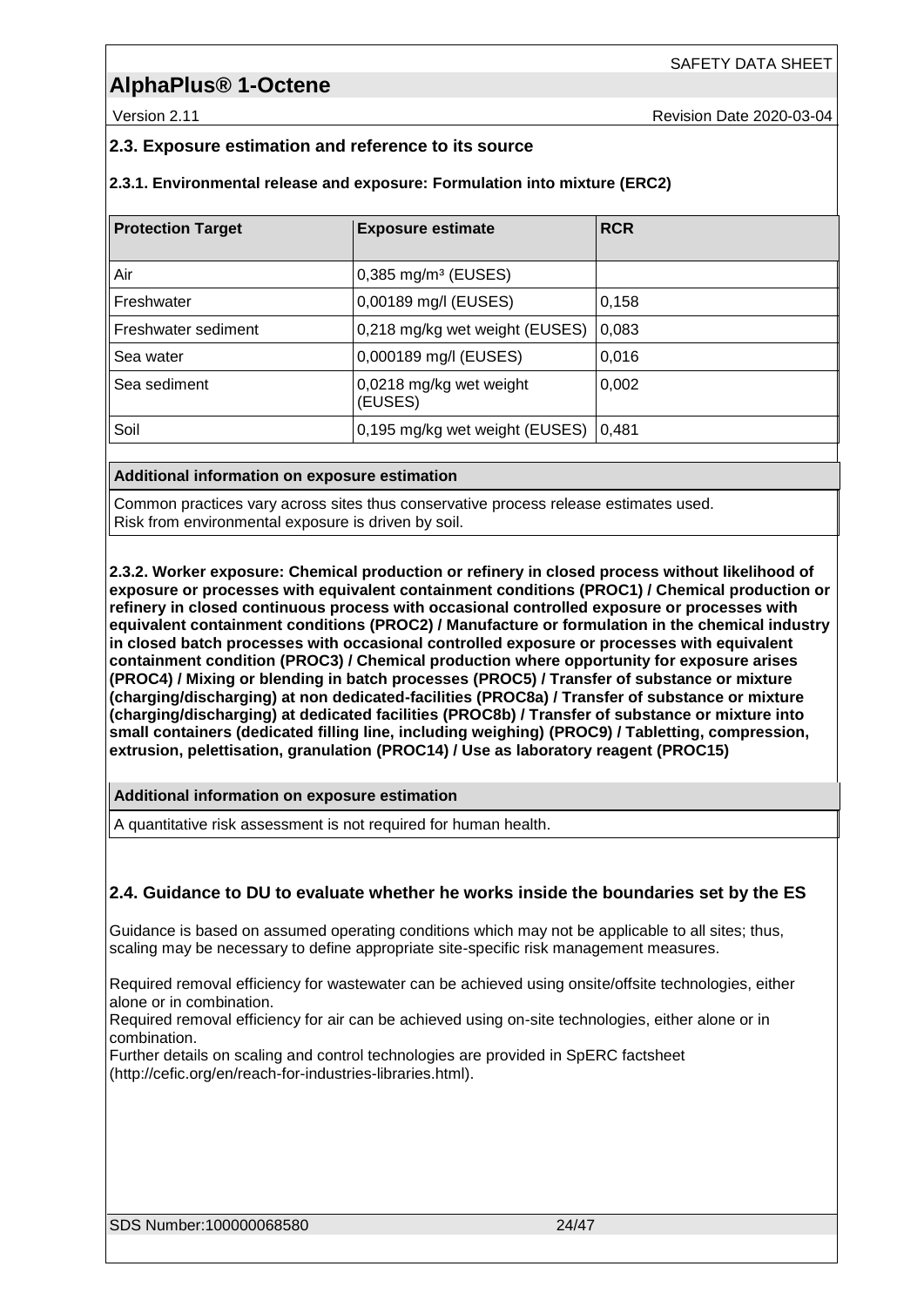Version 2.11 **New Strategies** 2020-03-04 **Revision Date 2020-03-04** 

#### **2.3. Exposure estimation and reference to its source**

#### **2.3.1. Environmental release and exposure: Formulation into mixture (ERC2)**

| <b>Protection Target</b> | <b>Exposure estimate</b>                | <b>RCR</b> |
|--------------------------|-----------------------------------------|------------|
| Air                      | $0,385$ mg/m <sup>3</sup> (EUSES)       |            |
| Freshwater               | 0,00189 mg/l (EUSES)                    | 0,158      |
| Freshwater sediment      | 0,218 mg/kg wet weight (EUSES)          | 0,083      |
| Sea water                | 0,000189 mg/l (EUSES)                   | 0,016      |
| Sea sediment             | 0,0218 mg/kg wet weight<br>(EUSES)      | 0,002      |
| Soil                     | 0,195 mg/kg wet weight (EUSES) $ 0,481$ |            |

#### **Additional information on exposure estimation**

Common practices vary across sites thus conservative process release estimates used. Risk from environmental exposure is driven by soil.

**2.3.2. Worker exposure: Chemical production or refinery in closed process without likelihood of exposure or processes with equivalent containment conditions (PROC1) / Chemical production or refinery in closed continuous process with occasional controlled exposure or processes with equivalent containment conditions (PROC2) / Manufacture or formulation in the chemical industry in closed batch processes with occasional controlled exposure or processes with equivalent containment condition (PROC3) / Chemical production where opportunity for exposure arises (PROC4) / Mixing or blending in batch processes (PROC5) / Transfer of substance or mixture (charging/discharging) at non dedicated-facilities (PROC8a) / Transfer of substance or mixture (charging/discharging) at dedicated facilities (PROC8b) / Transfer of substance or mixture into small containers (dedicated filling line, including weighing) (PROC9) / Tabletting, compression, extrusion, pelettisation, granulation (PROC14) / Use as laboratory reagent (PROC15)**

**Additional information on exposure estimation**

A quantitative risk assessment is not required for human health.

#### **2.4. Guidance to DU to evaluate whether he works inside the boundaries set by the ES**

Guidance is based on assumed operating conditions which may not be applicable to all sites; thus, scaling may be necessary to define appropriate site-specific risk management measures.

Required removal efficiency for wastewater can be achieved using onsite/offsite technologies, either alone or in combination.

Required removal efficiency for air can be achieved using on-site technologies, either alone or in combination.

Further details on scaling and control technologies are provided in SpERC factsheet (http://cefic.org/en/reach-for-industries-libraries.html).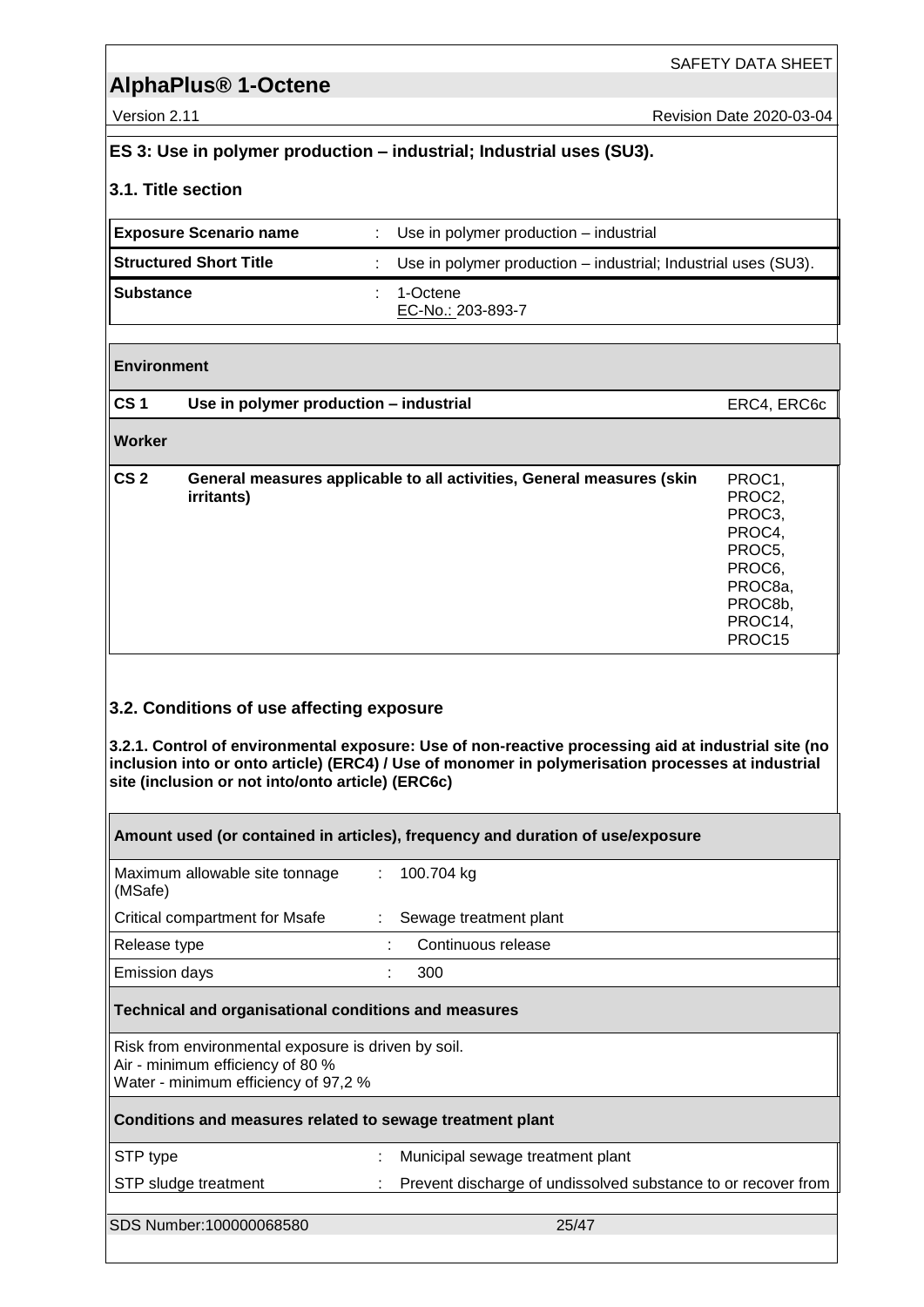Version 2.11 **Version 2.11** Revision Date 2020-03-04

#### **ES 3: Use in polymer production – industrial; Industrial uses (SU3).**

### **3.1. Title section**

| <b>Exposure Scenario name</b> | $\therefore$ Use in polymer production – industrial              |
|-------------------------------|------------------------------------------------------------------|
| <b>Structured Short Title</b> | : Use in polymer production – industrial; Industrial uses (SU3). |
| l Substance                   | 1-Octene<br>EC-No.: 203-893-7                                    |

#### **Environment**

#### **Worker**

| CS <sub>2</sub> | General measures applicable to all activities, General measures (skin | PROC1,             |
|-----------------|-----------------------------------------------------------------------|--------------------|
|                 | irritants)                                                            | PROC2,             |
|                 |                                                                       | PROC3,             |
|                 |                                                                       | PROC4,             |
|                 |                                                                       | PROC5,             |
|                 |                                                                       | PROC6,             |
|                 |                                                                       | PROC8a,            |
|                 |                                                                       | PROC8b,            |
|                 |                                                                       | PROC14,            |
|                 |                                                                       | PROC <sub>15</sub> |

### **3.2. Conditions of use affecting exposure**

**3.2.1. Control of environmental exposure: Use of non-reactive processing aid at industrial site (no inclusion into or onto article) (ERC4) / Use of monomer in polymerisation processes at industrial site (inclusion or not into/onto article) (ERC6c)**

**Amount used (or contained in articles), frequency and duration of use/exposure**

| Maximum allowable site tonnage<br>(MSafe)                                                                                       | 100.704 kg<br>÷.                                              |  |  |
|---------------------------------------------------------------------------------------------------------------------------------|---------------------------------------------------------------|--|--|
| Critical compartment for Msafe                                                                                                  | Sewage treatment plant                                        |  |  |
| Release type                                                                                                                    | Continuous release                                            |  |  |
| <b>Emission days</b>                                                                                                            | 300                                                           |  |  |
|                                                                                                                                 | <b>Technical and organisational conditions and measures</b>   |  |  |
| Risk from environmental exposure is driven by soil.<br>Air - minimum efficiency of 80 %<br>Water - minimum efficiency of 97,2 % |                                                               |  |  |
| Conditions and measures related to sewage treatment plant                                                                       |                                                               |  |  |
| STP type                                                                                                                        | Municipal sewage treatment plant                              |  |  |
| STP sludge treatment                                                                                                            | Prevent discharge of undissolved substance to or recover from |  |  |
|                                                                                                                                 |                                                               |  |  |
| SDS Number:100000068580                                                                                                         | 25/47                                                         |  |  |
|                                                                                                                                 |                                                               |  |  |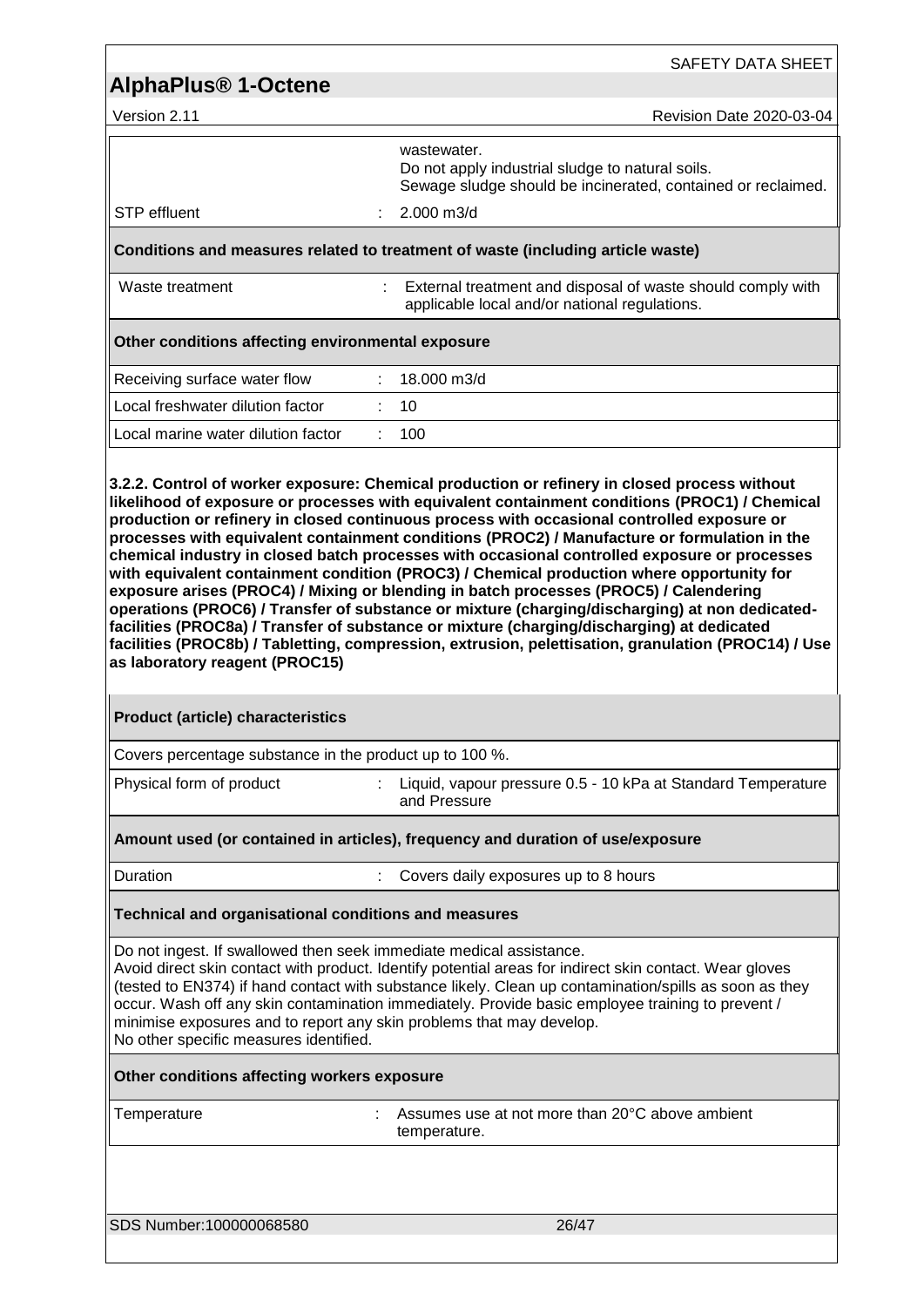SAFETY DATA SHEET

Version 2.11 **New Search 2020-03-04** Revision Date 2020-03-04

|                 | wastewater.<br>Do not apply industrial sludge to natural soils.<br>Sewage sludge should be incinerated, contained or reclaimed. |
|-----------------|---------------------------------------------------------------------------------------------------------------------------------|
| ll STP effluent | $: 2.000 \text{ m}$ 3/d                                                                                                         |
|                 |                                                                                                                                 |

**Conditions and measures related to treatment of waste (including article waste)**

Waste treatment : External treatment and disposal of waste should comply with applicable local and/or national regulations.

#### **Other conditions affecting environmental exposure**

| Receiving surface water flow          | 18.000 m3/d |
|---------------------------------------|-------------|
| Local freshwater dilution factor      | 10          |
| ll Local marine water dilution factor | 100         |

**3.2.2. Control of worker exposure: Chemical production or refinery in closed process without likelihood of exposure or processes with equivalent containment conditions (PROC1) / Chemical production or refinery in closed continuous process with occasional controlled exposure or processes with equivalent containment conditions (PROC2) / Manufacture or formulation in the chemical industry in closed batch processes with occasional controlled exposure or processes with equivalent containment condition (PROC3) / Chemical production where opportunity for exposure arises (PROC4) / Mixing or blending in batch processes (PROC5) / Calendering operations (PROC6) / Transfer of substance or mixture (charging/discharging) at non dedicatedfacilities (PROC8a) / Transfer of substance or mixture (charging/discharging) at dedicated facilities (PROC8b) / Tabletting, compression, extrusion, pelettisation, granulation (PROC14) / Use as laboratory reagent (PROC15)**

#### **Product (article) characteristics**

Covers percentage substance in the product up to 100 %.

Physical form of product : Liquid, vapour pressure 0.5 - 10 kPa at Standard Temperature

and Pressure

**Amount used (or contained in articles), frequency and duration of use/exposure**

Duration **Duration** : Covers daily exposures up to 8 hours

#### **Technical and organisational conditions and measures**

Do not ingest. If swallowed then seek immediate medical assistance. Avoid direct skin contact with product. Identify potential areas for indirect skin contact. Wear gloves (tested to EN374) if hand contact with substance likely. Clean up contamination/spills as soon as they occur. Wash off any skin contamination immediately. Provide basic employee training to prevent / minimise exposures and to report any skin problems that may develop. No other specific measures identified.

**Other conditions affecting workers exposure**

Temperature *E* Assumes use at not more than 20°C above ambient temperature.

SDS Number:100000068580 26/47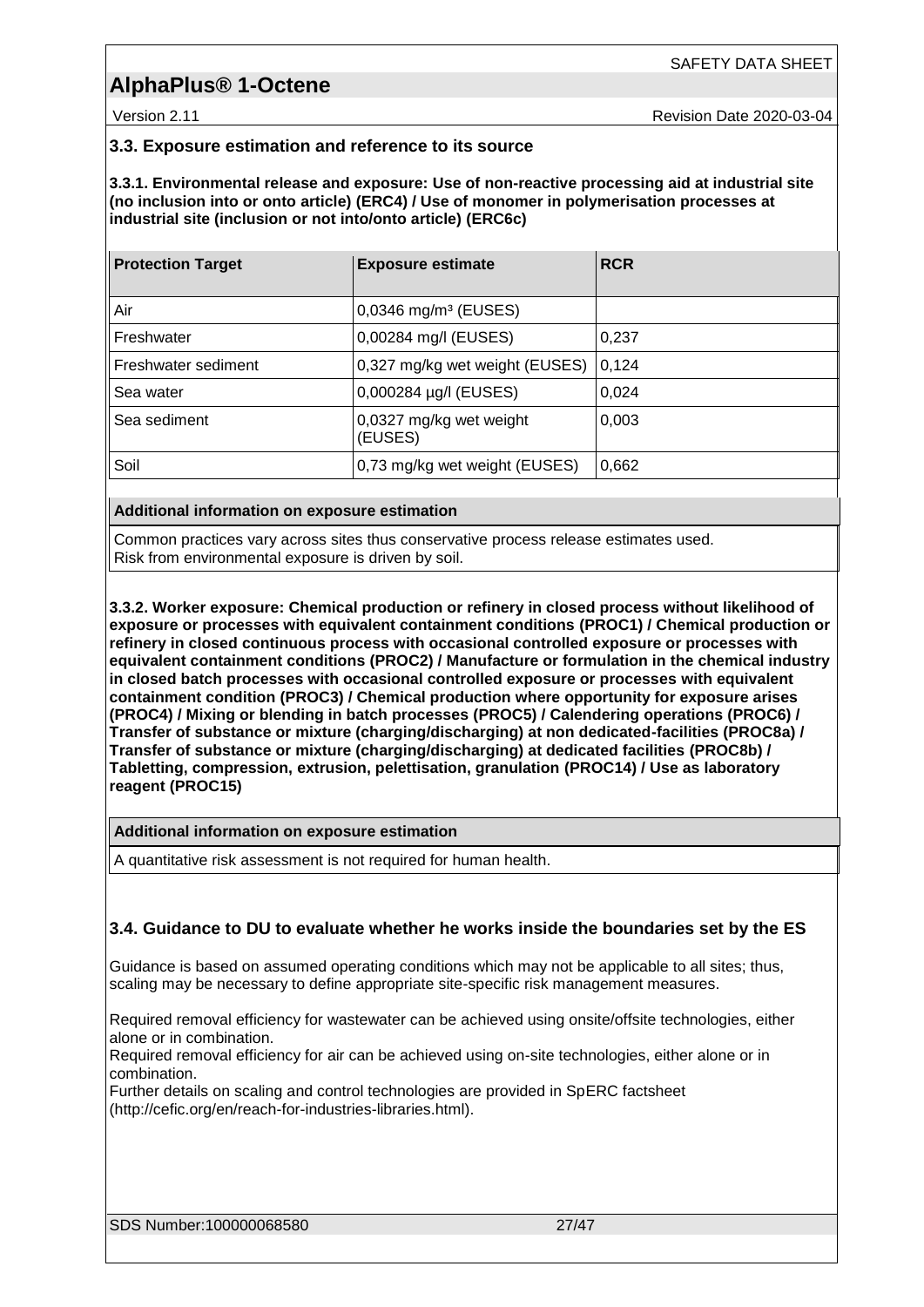Version 2.11 **New Strategies** 2020-03-04 **Revision Date 2020-03-04** 

#### **3.3. Exposure estimation and reference to its source**

**3.3.1. Environmental release and exposure: Use of non-reactive processing aid at industrial site (no inclusion into or onto article) (ERC4) / Use of monomer in polymerisation processes at industrial site (inclusion or not into/onto article) (ERC6c)**

| <b>Protection Target</b> | <b>Exposure estimate</b>           | <b>RCR</b> |
|--------------------------|------------------------------------|------------|
| Air                      | 0,0346 mg/m <sup>3</sup> (EUSES)   |            |
| Freshwater               | 0,00284 mg/l (EUSES)               | 0,237      |
| Freshwater sediment      | 0,327 mg/kg wet weight (EUSES)     | 0.124      |
| Sea water                | 0,000284 µg/l (EUSES)              | 0.024      |
| Sea sediment             | 0,0327 mg/kg wet weight<br>(EUSES) | 0,003      |
| Soil                     | 0,73 mg/kg wet weight (EUSES)      | 0,662      |

#### **Additional information on exposure estimation**

Common practices vary across sites thus conservative process release estimates used. Risk from environmental exposure is driven by soil.

**3.3.2. Worker exposure: Chemical production or refinery in closed process without likelihood of exposure or processes with equivalent containment conditions (PROC1) / Chemical production or refinery in closed continuous process with occasional controlled exposure or processes with equivalent containment conditions (PROC2) / Manufacture or formulation in the chemical industry in closed batch processes with occasional controlled exposure or processes with equivalent containment condition (PROC3) / Chemical production where opportunity for exposure arises (PROC4) / Mixing or blending in batch processes (PROC5) / Calendering operations (PROC6) / Transfer of substance or mixture (charging/discharging) at non dedicated-facilities (PROC8a) / Transfer of substance or mixture (charging/discharging) at dedicated facilities (PROC8b) / Tabletting, compression, extrusion, pelettisation, granulation (PROC14) / Use as laboratory reagent (PROC15)**

#### **Additional information on exposure estimation**

A quantitative risk assessment is not required for human health.

#### **3.4. Guidance to DU to evaluate whether he works inside the boundaries set by the ES**

Guidance is based on assumed operating conditions which may not be applicable to all sites; thus, scaling may be necessary to define appropriate site-specific risk management measures.

Required removal efficiency for wastewater can be achieved using onsite/offsite technologies, either alone or in combination.

Required removal efficiency for air can be achieved using on-site technologies, either alone or in combination.

Further details on scaling and control technologies are provided in SpERC factsheet (http://cefic.org/en/reach-for-industries-libraries.html).

SDS Number:100000068580 27/47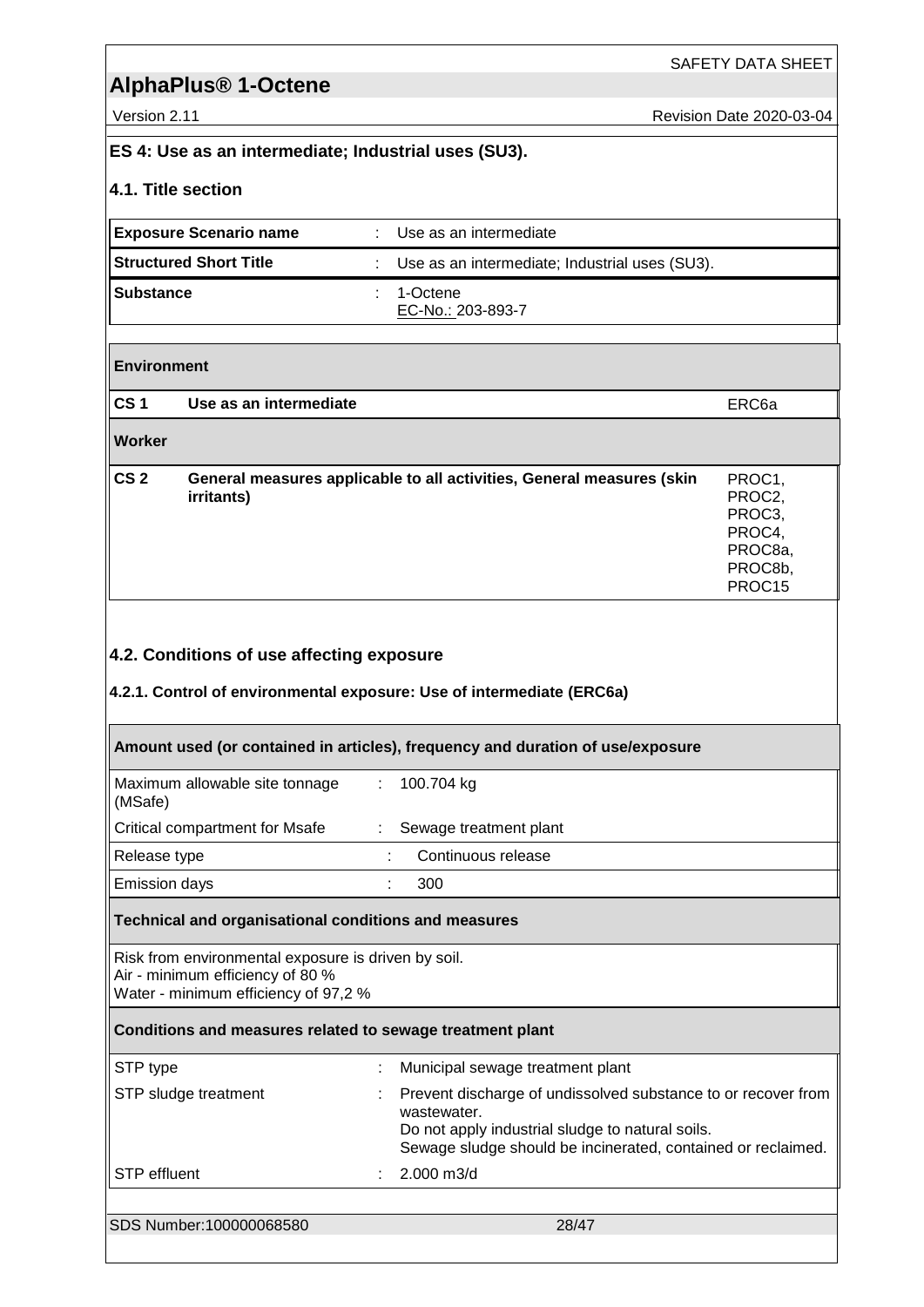|                                                                                                                                 |                                                                                                                                                                                                  | SAFETY DATA SHEET                                                    |
|---------------------------------------------------------------------------------------------------------------------------------|--------------------------------------------------------------------------------------------------------------------------------------------------------------------------------------------------|----------------------------------------------------------------------|
| <b>AlphaPlus<sup>®</sup> 1-Octene</b>                                                                                           |                                                                                                                                                                                                  |                                                                      |
| Version 2.11                                                                                                                    |                                                                                                                                                                                                  | Revision Date 2020-03-04                                             |
| ES 4: Use as an intermediate; Industrial uses (SU3).                                                                            |                                                                                                                                                                                                  |                                                                      |
| $ 4.1$ . Title section                                                                                                          |                                                                                                                                                                                                  |                                                                      |
| <b>Exposure Scenario name</b>                                                                                                   | Use as an intermediate                                                                                                                                                                           |                                                                      |
| <b>Structured Short Title</b>                                                                                                   | Use as an intermediate; Industrial uses (SU3).                                                                                                                                                   |                                                                      |
| <b>Substance</b>                                                                                                                | 1-Octene<br>EC-No.: 203-893-7                                                                                                                                                                    |                                                                      |
| <b>Environment</b>                                                                                                              |                                                                                                                                                                                                  |                                                                      |
| CS <sub>1</sub><br>Use as an intermediate                                                                                       |                                                                                                                                                                                                  | ERC6a                                                                |
| <b>Worker</b>                                                                                                                   |                                                                                                                                                                                                  |                                                                      |
| CS <sub>2</sub><br>irritants)                                                                                                   | General measures applicable to all activities, General measures (skin                                                                                                                            | PROC1,<br>PROC2,<br>PROC3,<br>PROC4,<br>PROC8a,<br>PROC8b,<br>PROC15 |
| 4.2. Conditions of use affecting exposure<br>4.2.1. Control of environmental exposure: Use of intermediate (ERC6a)              | Amount used (or contained in articles), frequency and duration of use/exposure                                                                                                                   |                                                                      |
| Maximum allowable site tonnage<br>(MSafe)                                                                                       | 100.704 kg                                                                                                                                                                                       |                                                                      |
| Critical compartment for Msafe                                                                                                  | Sewage treatment plant                                                                                                                                                                           |                                                                      |
| Release type                                                                                                                    | Continuous release                                                                                                                                                                               |                                                                      |
| <b>Emission days</b>                                                                                                            | 300                                                                                                                                                                                              |                                                                      |
| <b>Technical and organisational conditions and measures</b>                                                                     |                                                                                                                                                                                                  |                                                                      |
| Risk from environmental exposure is driven by soil.<br>Air - minimum efficiency of 80 %<br>Water - minimum efficiency of 97,2 % |                                                                                                                                                                                                  |                                                                      |
| Conditions and measures related to sewage treatment plant                                                                       |                                                                                                                                                                                                  |                                                                      |
| STP type                                                                                                                        | Municipal sewage treatment plant                                                                                                                                                                 |                                                                      |
| STP sludge treatment                                                                                                            | Prevent discharge of undissolved substance to or recover from<br>wastewater.<br>Do not apply industrial sludge to natural soils.<br>Sewage sludge should be incinerated, contained or reclaimed. |                                                                      |
| <b>STP</b> effluent                                                                                                             | 2.000 m3/d                                                                                                                                                                                       |                                                                      |
| SDS Number:100000068580                                                                                                         | 28/47                                                                                                                                                                                            |                                                                      |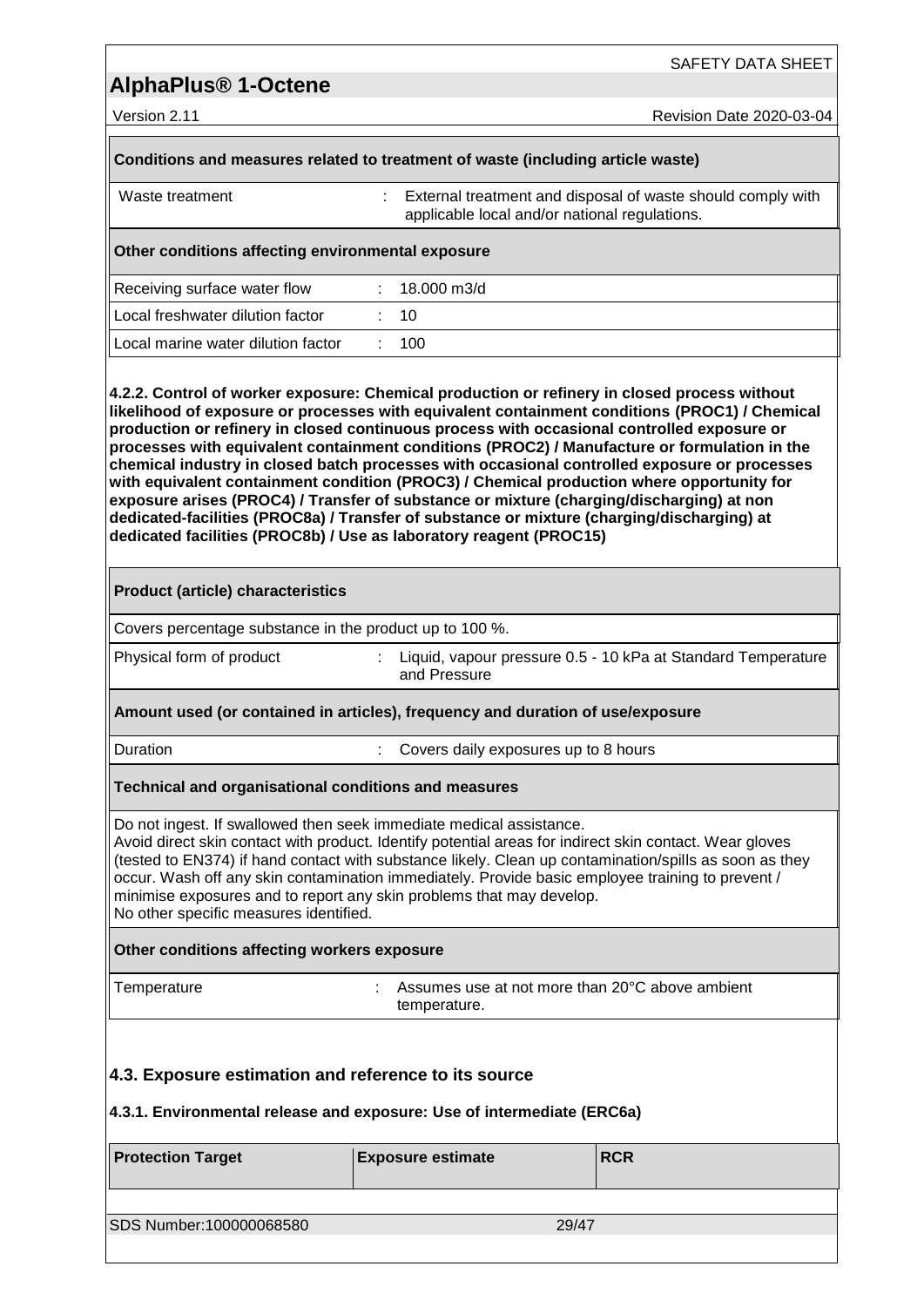# **AlphaPlus® 1-Octene**

Version 2.11 Version 2.11

| Conditions and measures related to treatment of waste (including article waste)                                                                                                                                                                                                                                                                                                                                                                                                                                                                                                                                                                                                                                                                                                                                                                          |                                             |                                                                 |                                                              |  |  |
|----------------------------------------------------------------------------------------------------------------------------------------------------------------------------------------------------------------------------------------------------------------------------------------------------------------------------------------------------------------------------------------------------------------------------------------------------------------------------------------------------------------------------------------------------------------------------------------------------------------------------------------------------------------------------------------------------------------------------------------------------------------------------------------------------------------------------------------------------------|---------------------------------------------|-----------------------------------------------------------------|--------------------------------------------------------------|--|--|
| Waste treatment                                                                                                                                                                                                                                                                                                                                                                                                                                                                                                                                                                                                                                                                                                                                                                                                                                          | ÷                                           | applicable local and/or national regulations.                   | External treatment and disposal of waste should comply with  |  |  |
| Other conditions affecting environmental exposure                                                                                                                                                                                                                                                                                                                                                                                                                                                                                                                                                                                                                                                                                                                                                                                                        |                                             |                                                                 |                                                              |  |  |
| Receiving surface water flow                                                                                                                                                                                                                                                                                                                                                                                                                                                                                                                                                                                                                                                                                                                                                                                                                             | ÷.                                          | 18.000 m3/d                                                     |                                                              |  |  |
| Local freshwater dilution factor                                                                                                                                                                                                                                                                                                                                                                                                                                                                                                                                                                                                                                                                                                                                                                                                                         | ÷.                                          | 10                                                              |                                                              |  |  |
| Local marine water dilution factor                                                                                                                                                                                                                                                                                                                                                                                                                                                                                                                                                                                                                                                                                                                                                                                                                       | $\mathcal{L}^{\mathcal{L}}$                 | 100                                                             |                                                              |  |  |
| 4.2.2. Control of worker exposure: Chemical production or refinery in closed process without<br>likelihood of exposure or processes with equivalent containment conditions (PROC1) / Chemical<br>production or refinery in closed continuous process with occasional controlled exposure or<br>processes with equivalent containment conditions (PROC2) / Manufacture or formulation in the<br>chemical industry in closed batch processes with occasional controlled exposure or processes<br>with equivalent containment condition (PROC3) / Chemical production where opportunity for<br>exposure arises (PROC4) / Transfer of substance or mixture (charging/discharging) at non<br>dedicated-facilities (PROC8a) / Transfer of substance or mixture (charging/discharging) at<br>dedicated facilities (PROC8b) / Use as laboratory reagent (PROC15) |                                             |                                                                 |                                                              |  |  |
| <b>Product (article) characteristics</b>                                                                                                                                                                                                                                                                                                                                                                                                                                                                                                                                                                                                                                                                                                                                                                                                                 |                                             |                                                                 |                                                              |  |  |
| Covers percentage substance in the product up to 100 %.                                                                                                                                                                                                                                                                                                                                                                                                                                                                                                                                                                                                                                                                                                                                                                                                  |                                             |                                                                 |                                                              |  |  |
| Physical form of product                                                                                                                                                                                                                                                                                                                                                                                                                                                                                                                                                                                                                                                                                                                                                                                                                                 |                                             | and Pressure                                                    | Liquid, vapour pressure 0.5 - 10 kPa at Standard Temperature |  |  |
| Amount used (or contained in articles), frequency and duration of use/exposure                                                                                                                                                                                                                                                                                                                                                                                                                                                                                                                                                                                                                                                                                                                                                                           |                                             |                                                                 |                                                              |  |  |
| Duration                                                                                                                                                                                                                                                                                                                                                                                                                                                                                                                                                                                                                                                                                                                                                                                                                                                 |                                             | Covers daily exposures up to 8 hours                            |                                                              |  |  |
| Technical and organisational conditions and measures                                                                                                                                                                                                                                                                                                                                                                                                                                                                                                                                                                                                                                                                                                                                                                                                     |                                             |                                                                 |                                                              |  |  |
| Do not ingest. If swallowed then seek immediate medical assistance.<br>Avoid direct skin contact with product. Identify potential areas for indirect skin contact. Wear gloves<br>(tested to EN374) if hand contact with substance likely. Clean up contamination/spills as soon as they<br>occur. Wash off any skin contamination immediately. Provide basic employee training to prevent /<br>minimise exposures and to report any skin problems that may develop.<br>No other specific measures identified.                                                                                                                                                                                                                                                                                                                                           |                                             |                                                                 |                                                              |  |  |
|                                                                                                                                                                                                                                                                                                                                                                                                                                                                                                                                                                                                                                                                                                                                                                                                                                                          | Other conditions affecting workers exposure |                                                                 |                                                              |  |  |
| Temperature                                                                                                                                                                                                                                                                                                                                                                                                                                                                                                                                                                                                                                                                                                                                                                                                                                              |                                             | Assumes use at not more than 20°C above ambient<br>temperature. |                                                              |  |  |
| 4.3. Exposure estimation and reference to its source<br>4.3.1. Environmental release and exposure: Use of intermediate (ERC6a)                                                                                                                                                                                                                                                                                                                                                                                                                                                                                                                                                                                                                                                                                                                           |                                             |                                                                 |                                                              |  |  |
| <b>Protection Target</b>                                                                                                                                                                                                                                                                                                                                                                                                                                                                                                                                                                                                                                                                                                                                                                                                                                 |                                             | <b>Exposure estimate</b>                                        | <b>RCR</b>                                                   |  |  |
|                                                                                                                                                                                                                                                                                                                                                                                                                                                                                                                                                                                                                                                                                                                                                                                                                                                          |                                             |                                                                 |                                                              |  |  |
| SDS Number:100000068580                                                                                                                                                                                                                                                                                                                                                                                                                                                                                                                                                                                                                                                                                                                                                                                                                                  |                                             | 29/47                                                           |                                                              |  |  |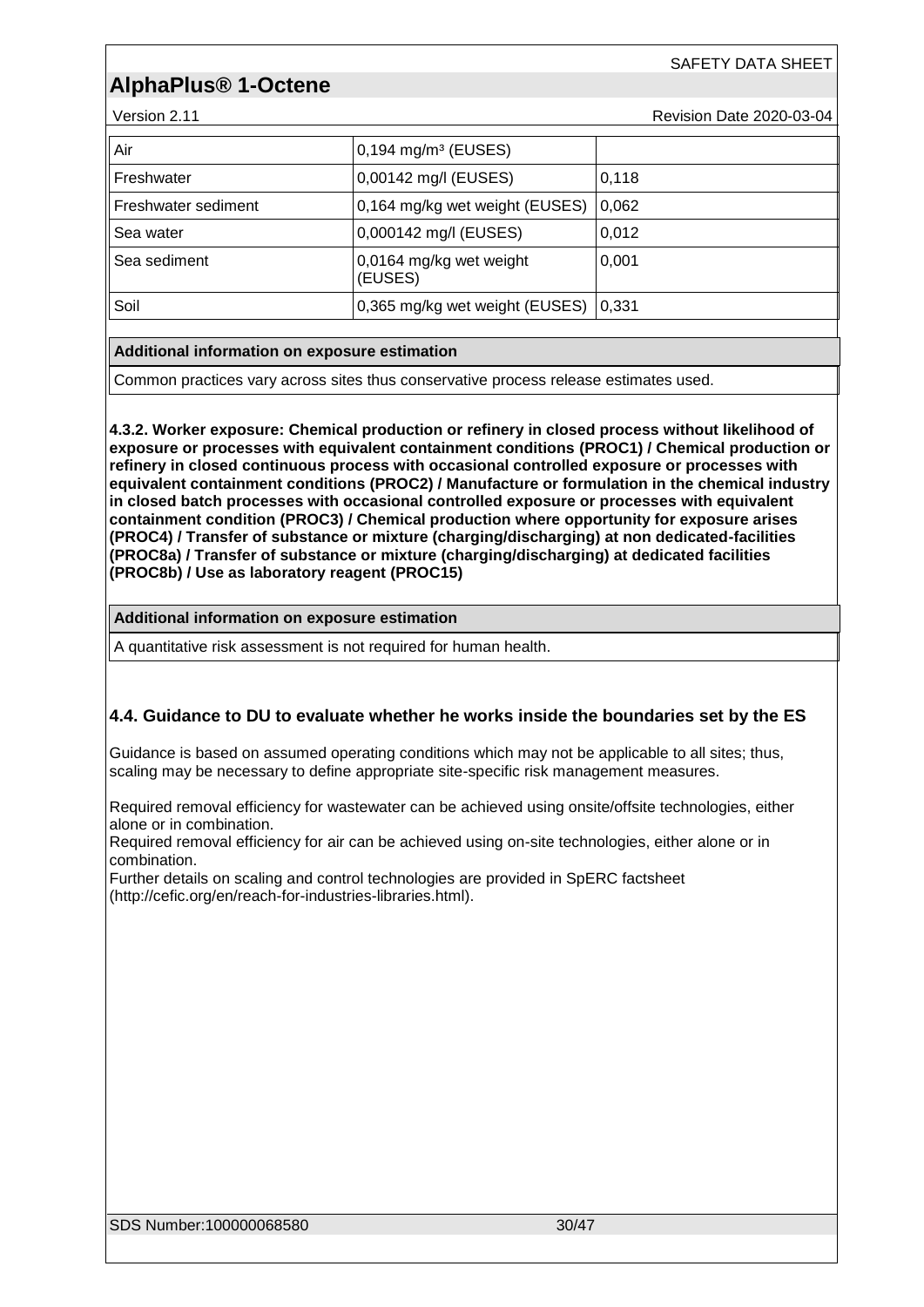### **AlphaPlus® 1-Octene**

Version 2.11 **New Search 2020-03-04** Revision Date 2020-03-04

| Air                 | $0,194$ mg/m <sup>3</sup> (EUSES)       |       |
|---------------------|-----------------------------------------|-------|
| Freshwater          | 0,00142 mg/l (EUSES)                    | 0,118 |
| Freshwater sediment | 0,164 mg/kg wet weight (EUSES)          | 0,062 |
| Sea water           | 0,000142 mg/l (EUSES)                   | 0,012 |
| Sea sediment        | 0,0164 mg/kg wet weight<br>(EUSES)      | 0,001 |
| Soil                | 0,365 mg/kg wet weight (EUSES) $ 0,331$ |       |

#### **Additional information on exposure estimation**

Common practices vary across sites thus conservative process release estimates used.

**4.3.2. Worker exposure: Chemical production or refinery in closed process without likelihood of exposure or processes with equivalent containment conditions (PROC1) / Chemical production or refinery in closed continuous process with occasional controlled exposure or processes with equivalent containment conditions (PROC2) / Manufacture or formulation in the chemical industry in closed batch processes with occasional controlled exposure or processes with equivalent containment condition (PROC3) / Chemical production where opportunity for exposure arises (PROC4) / Transfer of substance or mixture (charging/discharging) at non dedicated-facilities (PROC8a) / Transfer of substance or mixture (charging/discharging) at dedicated facilities (PROC8b) / Use as laboratory reagent (PROC15)**

**Additional information on exposure estimation**

A quantitative risk assessment is not required for human health.

#### **4.4. Guidance to DU to evaluate whether he works inside the boundaries set by the ES**

Guidance is based on assumed operating conditions which may not be applicable to all sites; thus, scaling may be necessary to define appropriate site-specific risk management measures.

Required removal efficiency for wastewater can be achieved using onsite/offsite technologies, either alone or in combination.

Required removal efficiency for air can be achieved using on-site technologies, either alone or in combination.

Further details on scaling and control technologies are provided in SpERC factsheet (http://cefic.org/en/reach-for-industries-libraries.html).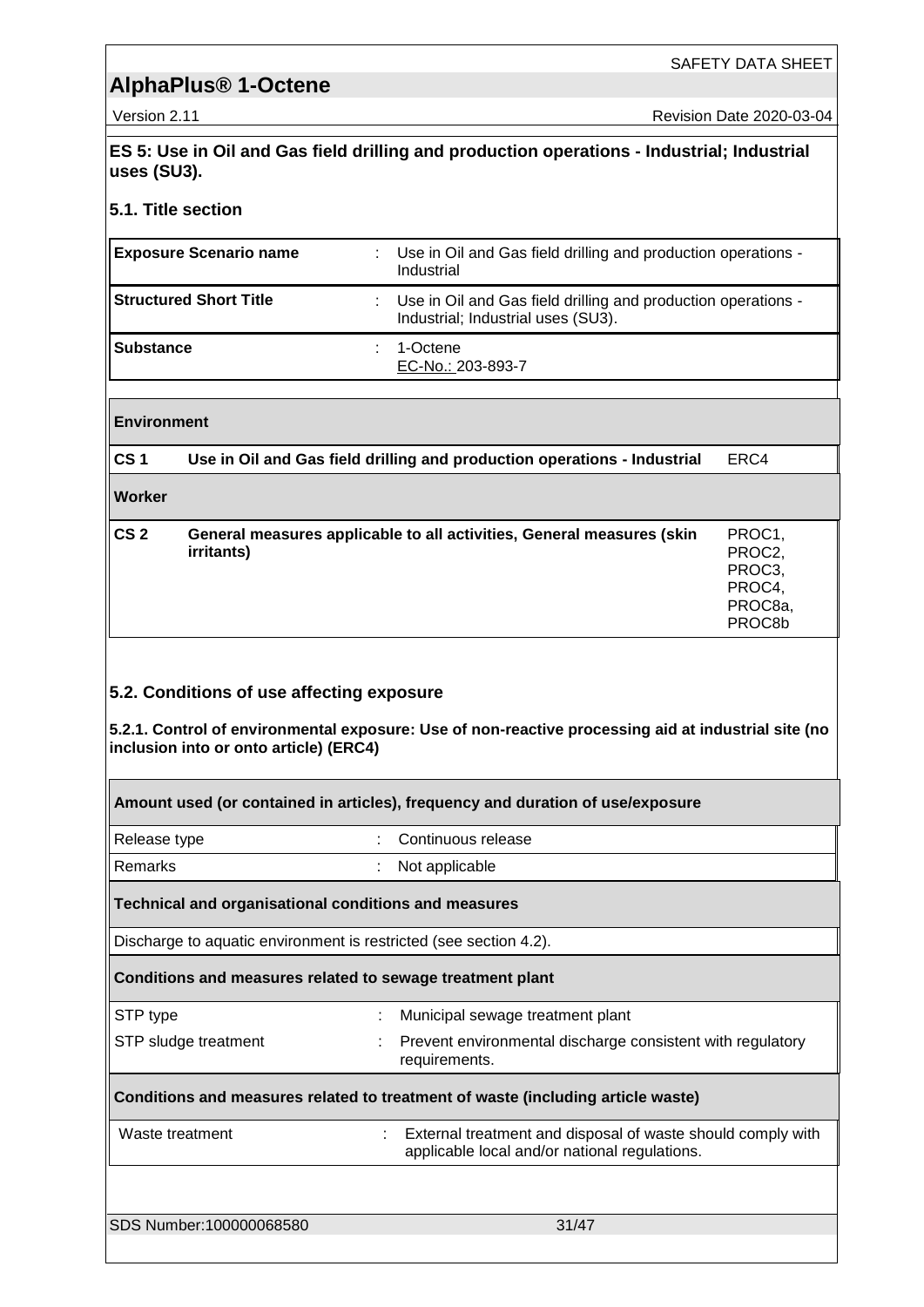SAFETY DATA SHEET

Version 2.11 **Version 2.11** Revision Date 2020-03-04

PROC8a, PROC8b

#### **ES 5: Use in Oil and Gas field drilling and production operations - Industrial; Industrial uses (SU3).**

#### **5.1. Title section**

| <b>Exposure Scenario name</b> | Use in Oil and Gas field drilling and production operations -<br>Industrial                           |
|-------------------------------|-------------------------------------------------------------------------------------------------------|
| <b>Structured Short Title</b> | : Use in Oil and Gas field drilling and production operations -<br>Industrial; Industrial uses (SU3). |
| <b>Substance</b>              | 1-Octene<br>EC-No.: 203-893-7                                                                         |

#### **Environment**

| $\overline{CS}$ 1 | Use in Oil and Gas field drilling and production operations - Industrial | ERC4 |  |
|-------------------|--------------------------------------------------------------------------|------|--|
|-------------------|--------------------------------------------------------------------------|------|--|

**Worker**

| CS <sub>2</sub> | General measures applicable to all activities, General measures (skin | PROC1.              |
|-----------------|-----------------------------------------------------------------------|---------------------|
|                 | irritants)                                                            | PROC2,              |
|                 |                                                                       | PROC <sub>3</sub> . |
|                 |                                                                       | PROC4.              |

### **5.2. Conditions of use affecting exposure**

**5.2.1. Control of environmental exposure: Use of non-reactive processing aid at industrial site (no inclusion into or onto article) (ERC4)**

| Amount used (or contained in articles), frequency and duration of use/exposure |                      |  |  |
|--------------------------------------------------------------------------------|----------------------|--|--|
| Release type                                                                   | : Continuous release |  |  |
| l Remarks                                                                      | : Not applicable     |  |  |
| Technical and organisational conditions and measures                           |                      |  |  |

Discharge to aquatic environment is restricted (see section 4.2).

#### **Conditions and measures related to sewage treatment plant**

| Conditions and measures related to treatment of waste (including article waste)                            |  |  |
|------------------------------------------------------------------------------------------------------------|--|--|
| <b>STP</b> sludge treatment<br>Prevent environmental discharge consistent with regulatory<br>requirements. |  |  |
| <b>STP</b> type<br>: Municipal sewage treatment plant                                                      |  |  |

Waste treatment : External treatment and disposal of waste should comply with applicable local and/or national regulations.

SDS Number:100000068580 31/47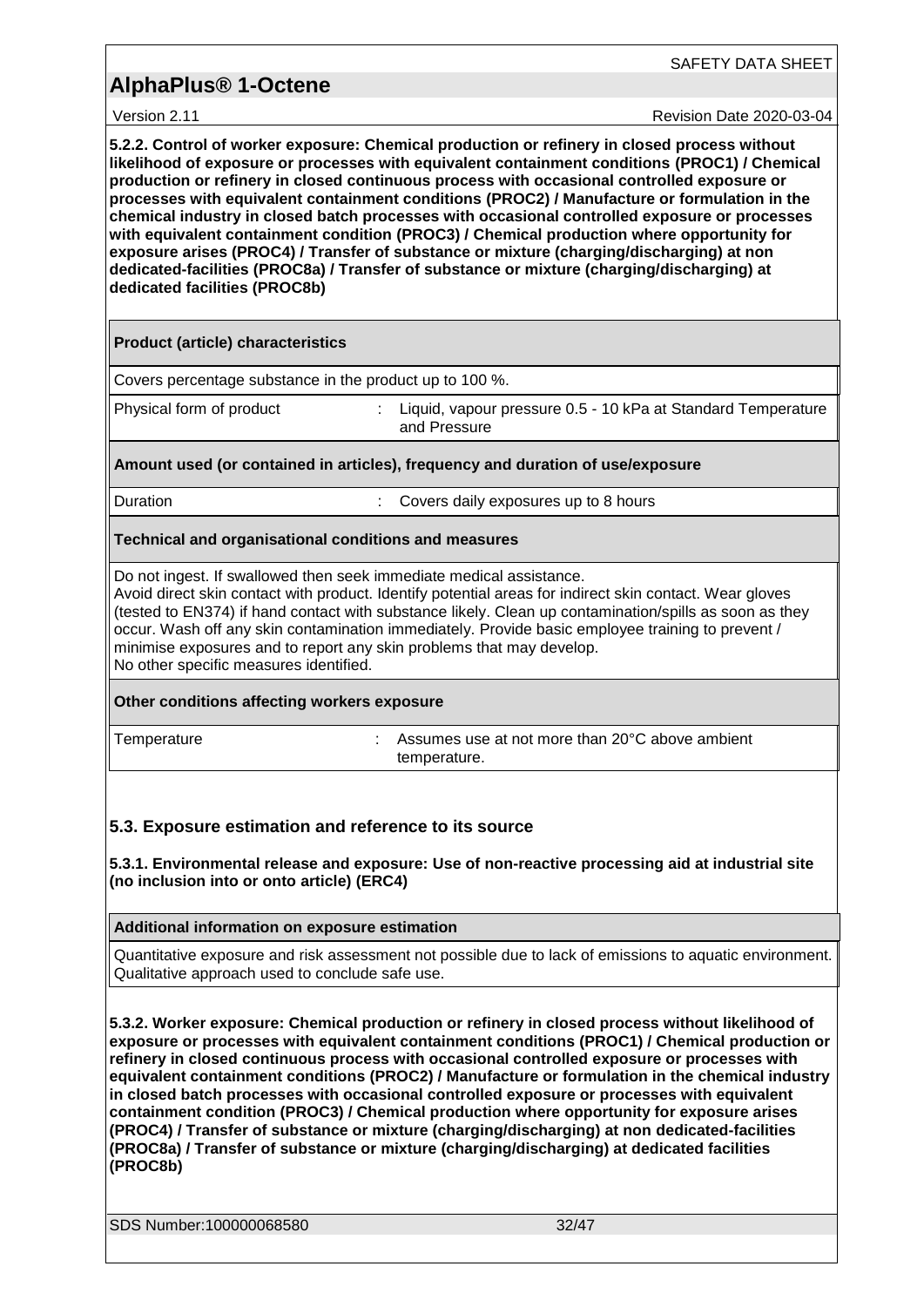SAFETY DATA SHEET

Version 2.11 **Version 2.11** Revision Date 2020-03-04

**5.2.2. Control of worker exposure: Chemical production or refinery in closed process without likelihood of exposure or processes with equivalent containment conditions (PROC1) / Chemical production or refinery in closed continuous process with occasional controlled exposure or processes with equivalent containment conditions (PROC2) / Manufacture or formulation in the chemical industry in closed batch processes with occasional controlled exposure or processes with equivalent containment condition (PROC3) / Chemical production where opportunity for exposure arises (PROC4) / Transfer of substance or mixture (charging/discharging) at non dedicated-facilities (PROC8a) / Transfer of substance or mixture (charging/discharging) at dedicated facilities (PROC8b)**

#### **Product (article) characteristics**

Covers percentage substance in the product up to 100 %.

Physical form of product : Liquid, vapour pressure 0.5 - 10 kPa at Standard Temperature and Pressure

**Amount used (or contained in articles), frequency and duration of use/exposure**

Duration **Duration** : Covers daily exposures up to 8 hours

**Technical and organisational conditions and measures**

Do not ingest. If swallowed then seek immediate medical assistance. Avoid direct skin contact with product. Identify potential areas for indirect skin contact. Wear gloves (tested to EN374) if hand contact with substance likely. Clean up contamination/spills as soon as they occur. Wash off any skin contamination immediately. Provide basic employee training to prevent / minimise exposures and to report any skin problems that may develop. No other specific measures identified.

### **Other conditions affecting workers exposure**

Temperature *E* Temperature **in the System Constant Assumes use at not more than 20°C above ambient** temperature.

#### **5.3. Exposure estimation and reference to its source**

**5.3.1. Environmental release and exposure: Use of non-reactive processing aid at industrial site (no inclusion into or onto article) (ERC4)**

#### **Additional information on exposure estimation**

Quantitative exposure and risk assessment not possible due to lack of emissions to aquatic environment. Qualitative approach used to conclude safe use.

**5.3.2. Worker exposure: Chemical production or refinery in closed process without likelihood of exposure or processes with equivalent containment conditions (PROC1) / Chemical production or refinery in closed continuous process with occasional controlled exposure or processes with equivalent containment conditions (PROC2) / Manufacture or formulation in the chemical industry in closed batch processes with occasional controlled exposure or processes with equivalent containment condition (PROC3) / Chemical production where opportunity for exposure arises (PROC4) / Transfer of substance or mixture (charging/discharging) at non dedicated-facilities (PROC8a) / Transfer of substance or mixture (charging/discharging) at dedicated facilities (PROC8b)**

SDS Number:100000068580 32/47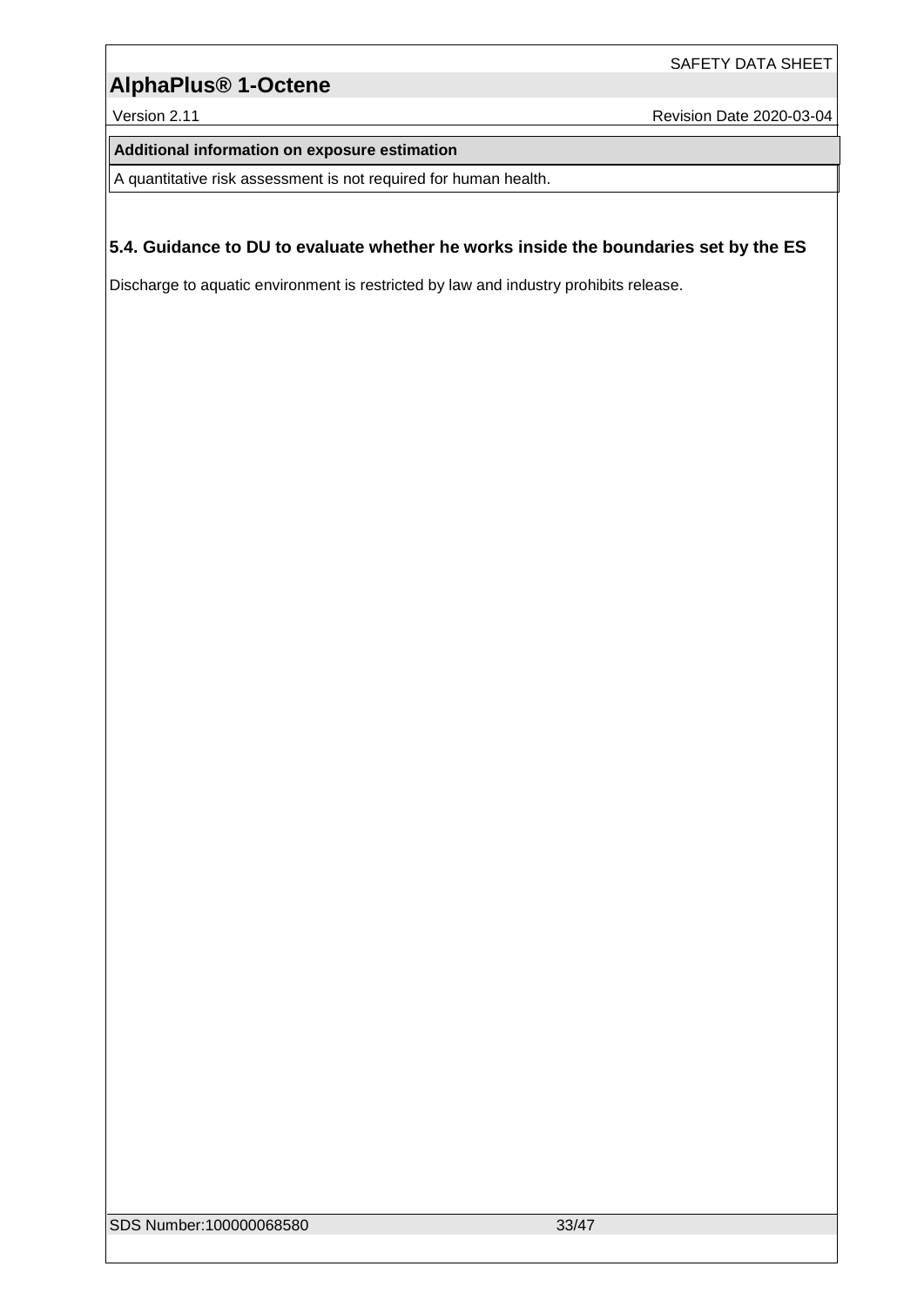## **AlphaPlus® 1-Octene**

Version 2.11 **Version 2.11** Revision Date 2020-03-04

#### **Additional information on exposure estimation**

A quantitative risk assessment is not required for human health.

#### **5.4. Guidance to DU to evaluate whether he works inside the boundaries set by the ES**

Discharge to aquatic environment is restricted by law and industry prohibits release.

SDS Number:100000068580 33/47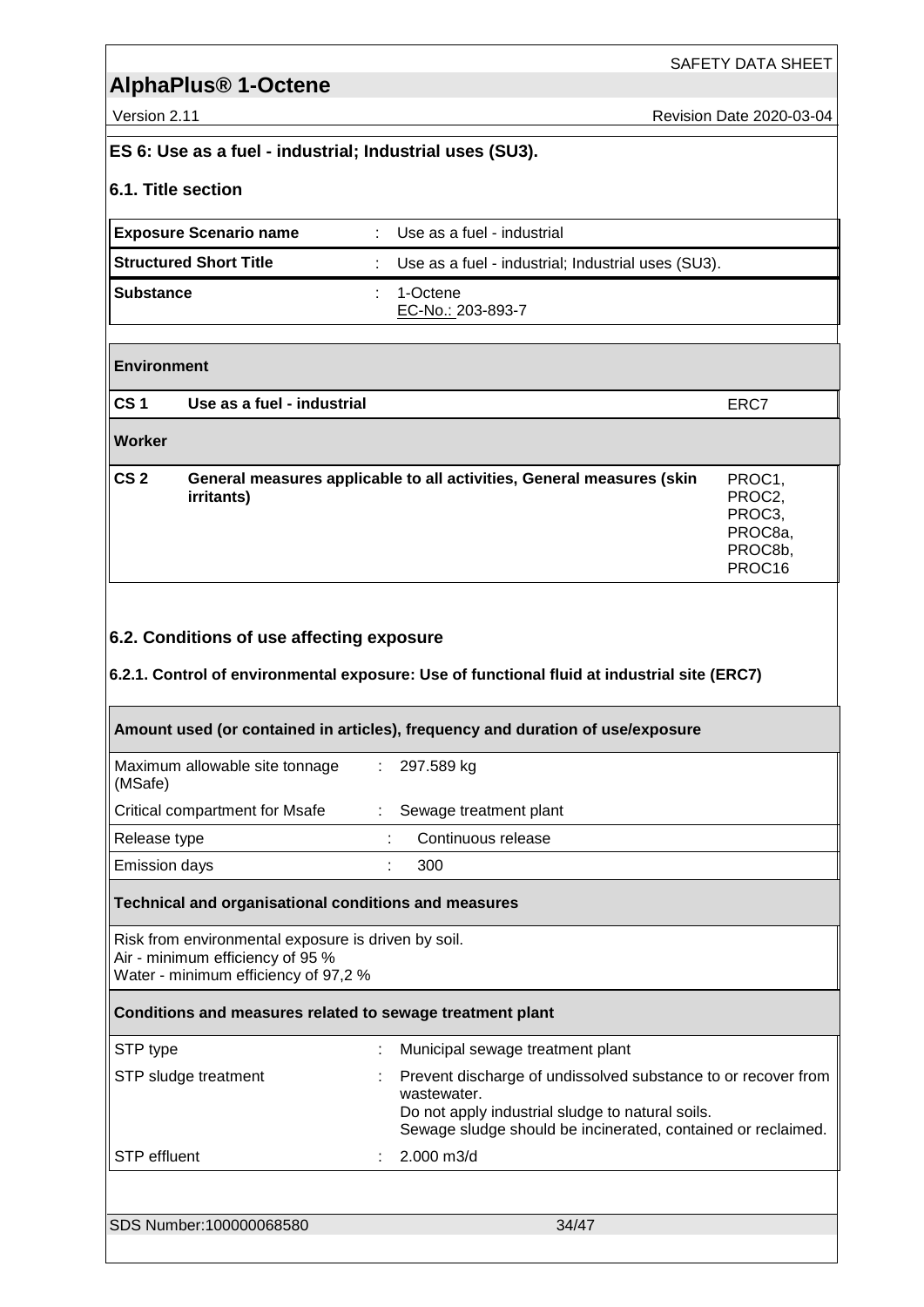|                                                                                                                                 |   |                                                                                                                                                                                                  | SAFETY DATA SHEET                                          |
|---------------------------------------------------------------------------------------------------------------------------------|---|--------------------------------------------------------------------------------------------------------------------------------------------------------------------------------------------------|------------------------------------------------------------|
| <b>AlphaPlus<sup>®</sup> 1-Octene</b><br>Version 2.11                                                                           |   |                                                                                                                                                                                                  | <b>Revision Date 2020-03-04</b>                            |
| ES 6: Use as a fuel - industrial; Industrial uses (SU3).                                                                        |   |                                                                                                                                                                                                  |                                                            |
| 6.1. Title section                                                                                                              |   |                                                                                                                                                                                                  |                                                            |
|                                                                                                                                 |   |                                                                                                                                                                                                  |                                                            |
| <b>Exposure Scenario name</b>                                                                                                   |   | Use as a fuel - industrial                                                                                                                                                                       |                                                            |
| <b>Structured Short Title</b>                                                                                                   |   | Use as a fuel - industrial; Industrial uses (SU3).                                                                                                                                               |                                                            |
| <b>Substance</b>                                                                                                                |   | 1-Octene<br>EC-No.: 203-893-7                                                                                                                                                                    |                                                            |
| <b>Environment</b>                                                                                                              |   |                                                                                                                                                                                                  |                                                            |
| CS <sub>1</sub><br>Use as a fuel - industrial                                                                                   |   |                                                                                                                                                                                                  | ERC7                                                       |
| <b>Worker</b>                                                                                                                   |   |                                                                                                                                                                                                  |                                                            |
| CS <sub>2</sub><br>irritants)                                                                                                   |   | General measures applicable to all activities, General measures (skin                                                                                                                            | PROC1,<br>PROC2,<br>PROC3,<br>PROC8a,<br>PROC8b,<br>PROC16 |
|                                                                                                                                 |   | 6.2.1. Control of environmental exposure: Use of functional fluid at industrial site (ERC7)<br>Amount used (or contained in articles), frequency and duration of use/exposure                    |                                                            |
| Maximum allowable site tonnage<br>(MSafe)                                                                                       |   | 297.589 kg                                                                                                                                                                                       |                                                            |
| <b>Critical compartment for Msafe</b>                                                                                           |   | Sewage treatment plant                                                                                                                                                                           |                                                            |
| Release type                                                                                                                    |   | Continuous release                                                                                                                                                                               |                                                            |
| <b>Emission days</b>                                                                                                            |   | 300                                                                                                                                                                                              |                                                            |
| <b>Technical and organisational conditions and measures</b>                                                                     |   |                                                                                                                                                                                                  |                                                            |
| Risk from environmental exposure is driven by soil.<br>Air - minimum efficiency of 95 %<br>Water - minimum efficiency of 97,2 % |   |                                                                                                                                                                                                  |                                                            |
| Conditions and measures related to sewage treatment plant                                                                       |   |                                                                                                                                                                                                  |                                                            |
| STP type                                                                                                                        | ÷ | Municipal sewage treatment plant                                                                                                                                                                 |                                                            |
| STP sludge treatment                                                                                                            |   | Prevent discharge of undissolved substance to or recover from<br>wastewater.<br>Do not apply industrial sludge to natural soils.<br>Sewage sludge should be incinerated, contained or reclaimed. |                                                            |
| <b>STP</b> effluent                                                                                                             |   | 2.000 m3/d                                                                                                                                                                                       |                                                            |
|                                                                                                                                 |   |                                                                                                                                                                                                  |                                                            |
| SDS Number:100000068580                                                                                                         |   | 34/47                                                                                                                                                                                            |                                                            |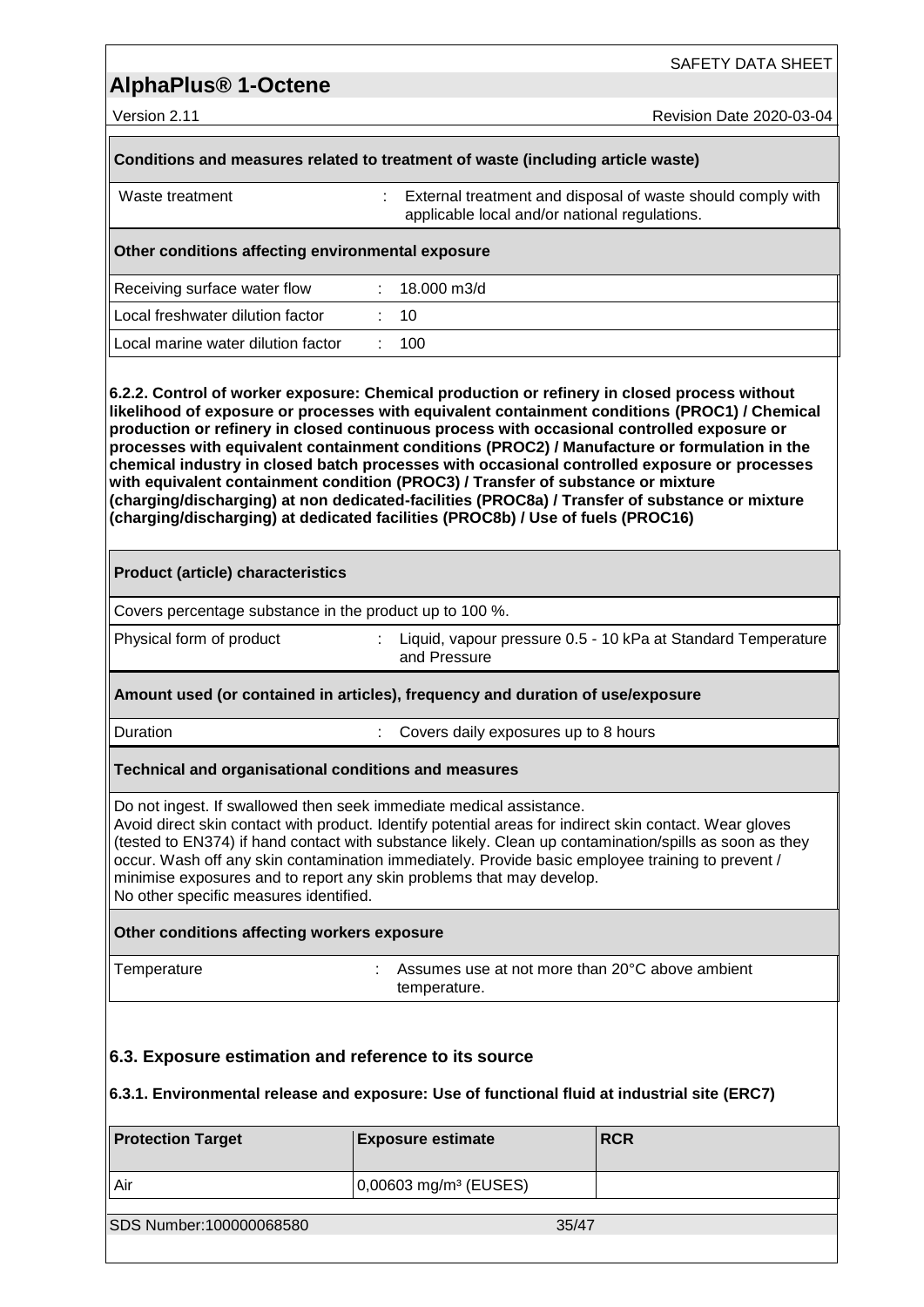# **AlphaPlus® 1-Octene**

Version 2.11 **Version 2.11** Revision Date 2020-03-04

| Conditions and measures related to treatment of waste (including article waste)                                                                                                                                                                                                                                                                                                                                                                                                                                                                                                                                                                                                                                                                                      |  |                                                                 |                                                              |  |
|----------------------------------------------------------------------------------------------------------------------------------------------------------------------------------------------------------------------------------------------------------------------------------------------------------------------------------------------------------------------------------------------------------------------------------------------------------------------------------------------------------------------------------------------------------------------------------------------------------------------------------------------------------------------------------------------------------------------------------------------------------------------|--|-----------------------------------------------------------------|--------------------------------------------------------------|--|
| Waste treatment                                                                                                                                                                                                                                                                                                                                                                                                                                                                                                                                                                                                                                                                                                                                                      |  | applicable local and/or national regulations.                   | External treatment and disposal of waste should comply with  |  |
| Other conditions affecting environmental exposure                                                                                                                                                                                                                                                                                                                                                                                                                                                                                                                                                                                                                                                                                                                    |  |                                                                 |                                                              |  |
| Receiving surface water flow                                                                                                                                                                                                                                                                                                                                                                                                                                                                                                                                                                                                                                                                                                                                         |  | 18.000 m3/d                                                     |                                                              |  |
| Local freshwater dilution factor                                                                                                                                                                                                                                                                                                                                                                                                                                                                                                                                                                                                                                                                                                                                     |  | 10                                                              |                                                              |  |
| Local marine water dilution factor                                                                                                                                                                                                                                                                                                                                                                                                                                                                                                                                                                                                                                                                                                                                   |  | 100                                                             |                                                              |  |
| 6.2.2. Control of worker exposure: Chemical production or refinery in closed process without<br>likelihood of exposure or processes with equivalent containment conditions (PROC1) / Chemical<br>production or refinery in closed continuous process with occasional controlled exposure or<br>processes with equivalent containment conditions (PROC2) / Manufacture or formulation in the<br>chemical industry in closed batch processes with occasional controlled exposure or processes<br>with equivalent containment condition (PROC3) / Transfer of substance or mixture<br>(charging/discharging) at non dedicated-facilities (PROC8a) / Transfer of substance or mixture<br>(charging/discharging) at dedicated facilities (PROC8b) / Use of fuels (PROC16) |  |                                                                 |                                                              |  |
| <b>Product (article) characteristics</b>                                                                                                                                                                                                                                                                                                                                                                                                                                                                                                                                                                                                                                                                                                                             |  |                                                                 |                                                              |  |
| Covers percentage substance in the product up to 100 %.                                                                                                                                                                                                                                                                                                                                                                                                                                                                                                                                                                                                                                                                                                              |  |                                                                 |                                                              |  |
| Physical form of product                                                                                                                                                                                                                                                                                                                                                                                                                                                                                                                                                                                                                                                                                                                                             |  | and Pressure                                                    | Liquid, vapour pressure 0.5 - 10 kPa at Standard Temperature |  |
| Amount used (or contained in articles), frequency and duration of use/exposure                                                                                                                                                                                                                                                                                                                                                                                                                                                                                                                                                                                                                                                                                       |  |                                                                 |                                                              |  |
| Duration                                                                                                                                                                                                                                                                                                                                                                                                                                                                                                                                                                                                                                                                                                                                                             |  | Covers daily exposures up to 8 hours                            |                                                              |  |
| Technical and organisational conditions and measures                                                                                                                                                                                                                                                                                                                                                                                                                                                                                                                                                                                                                                                                                                                 |  |                                                                 |                                                              |  |
| Do not ingest. If swallowed then seek immediate medical assistance.<br>Avoid direct skin contact with product. Identify potential areas for indirect skin contact. Wear gloves<br>(tested to EN374) if hand contact with substance likely. Clean up contamination/spills as soon as they<br>occur. Wash off any skin contamination immediately. Provide basic employee training to prevent /<br>minimise exposures and to report any skin problems that may develop.<br>No other specific measures identified.                                                                                                                                                                                                                                                       |  |                                                                 |                                                              |  |
| Other conditions affecting workers exposure                                                                                                                                                                                                                                                                                                                                                                                                                                                                                                                                                                                                                                                                                                                          |  |                                                                 |                                                              |  |
| Temperature                                                                                                                                                                                                                                                                                                                                                                                                                                                                                                                                                                                                                                                                                                                                                          |  | Assumes use at not more than 20°C above ambient<br>temperature. |                                                              |  |
| 6.3. Exposure estimation and reference to its source<br>6.3.1. Environmental release and exposure: Use of functional fluid at industrial site (ERC7)                                                                                                                                                                                                                                                                                                                                                                                                                                                                                                                                                                                                                 |  |                                                                 |                                                              |  |
| <b>Protection Target</b>                                                                                                                                                                                                                                                                                                                                                                                                                                                                                                                                                                                                                                                                                                                                             |  | <b>Exposure estimate</b>                                        | <b>RCR</b>                                                   |  |
| Air                                                                                                                                                                                                                                                                                                                                                                                                                                                                                                                                                                                                                                                                                                                                                                  |  | 0,00603 mg/m <sup>3</sup> (EUSES)                               |                                                              |  |
| SDS Number:100000068580                                                                                                                                                                                                                                                                                                                                                                                                                                                                                                                                                                                                                                                                                                                                              |  | 35/47                                                           |                                                              |  |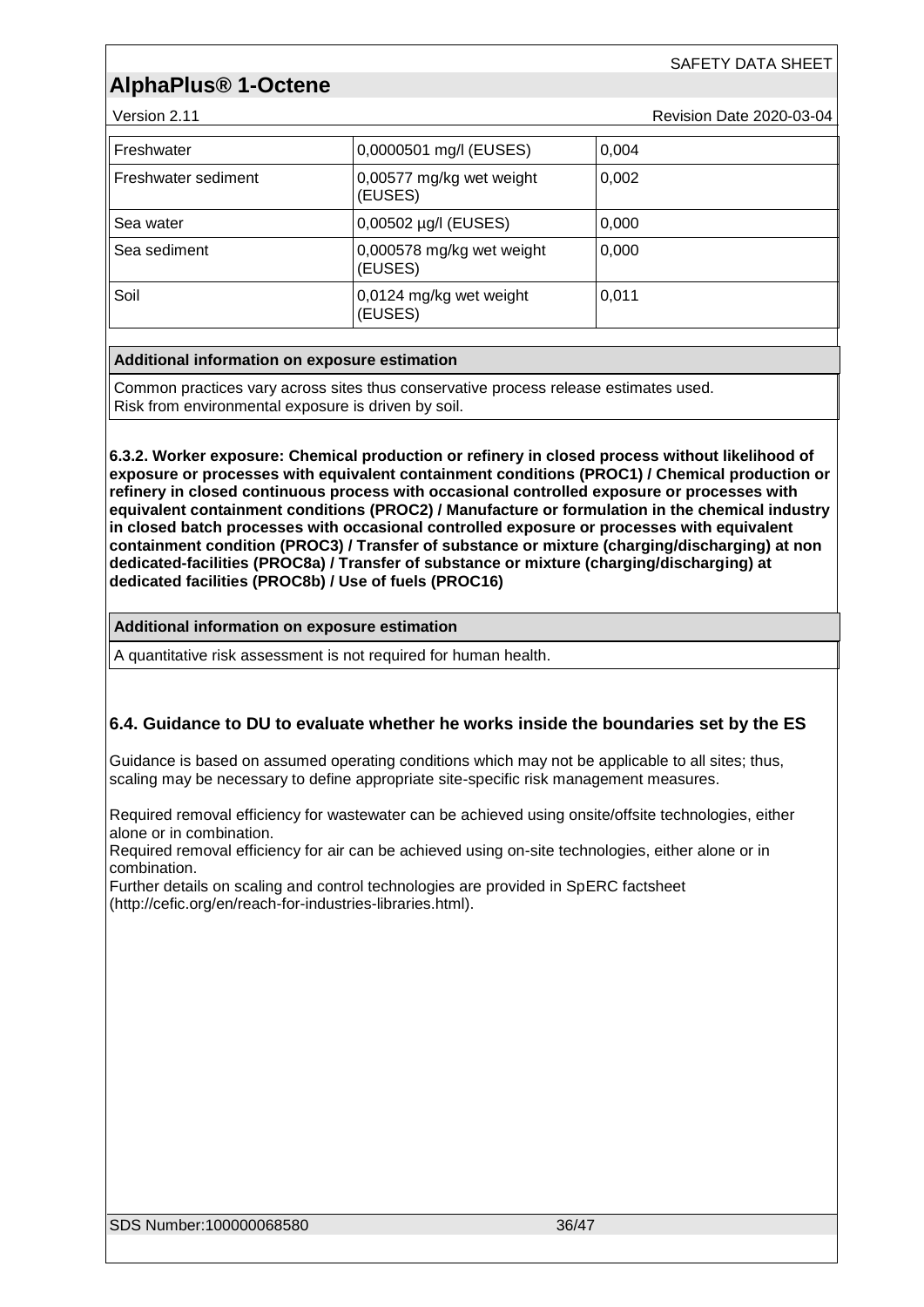### **AlphaPlus® 1-Octene**

Version 2.11 **New Search 2020-03-04** Revision Date 2020-03-04

| Freshwater          | 0,0000501 mg/l (EUSES)<br>0,004      |       |  |  |
|---------------------|--------------------------------------|-------|--|--|
| Freshwater sediment | 0,00577 mg/kg wet weight<br>(EUSES)  | 0,002 |  |  |
| Sea water           | 0,00502 µg/l (EUSES)                 | 0,000 |  |  |
| Sea sediment        | 0,000578 mg/kg wet weight<br>(EUSES) | 0,000 |  |  |
| Soil                | 0,0124 mg/kg wet weight<br>(EUSES)   | 0,011 |  |  |

#### **Additional information on exposure estimation**

Common practices vary across sites thus conservative process release estimates used. Risk from environmental exposure is driven by soil.

**6.3.2. Worker exposure: Chemical production or refinery in closed process without likelihood of exposure or processes with equivalent containment conditions (PROC1) / Chemical production or refinery in closed continuous process with occasional controlled exposure or processes with equivalent containment conditions (PROC2) / Manufacture or formulation in the chemical industry in closed batch processes with occasional controlled exposure or processes with equivalent containment condition (PROC3) / Transfer of substance or mixture (charging/discharging) at non dedicated-facilities (PROC8a) / Transfer of substance or mixture (charging/discharging) at dedicated facilities (PROC8b) / Use of fuels (PROC16)**

#### **Additional information on exposure estimation**

A quantitative risk assessment is not required for human health.

#### **6.4. Guidance to DU to evaluate whether he works inside the boundaries set by the ES**

Guidance is based on assumed operating conditions which may not be applicable to all sites; thus, scaling may be necessary to define appropriate site-specific risk management measures.

Required removal efficiency for wastewater can be achieved using onsite/offsite technologies, either alone or in combination.

Required removal efficiency for air can be achieved using on-site technologies, either alone or in combination.

Further details on scaling and control technologies are provided in SpERC factsheet (http://cefic.org/en/reach-for-industries-libraries.html).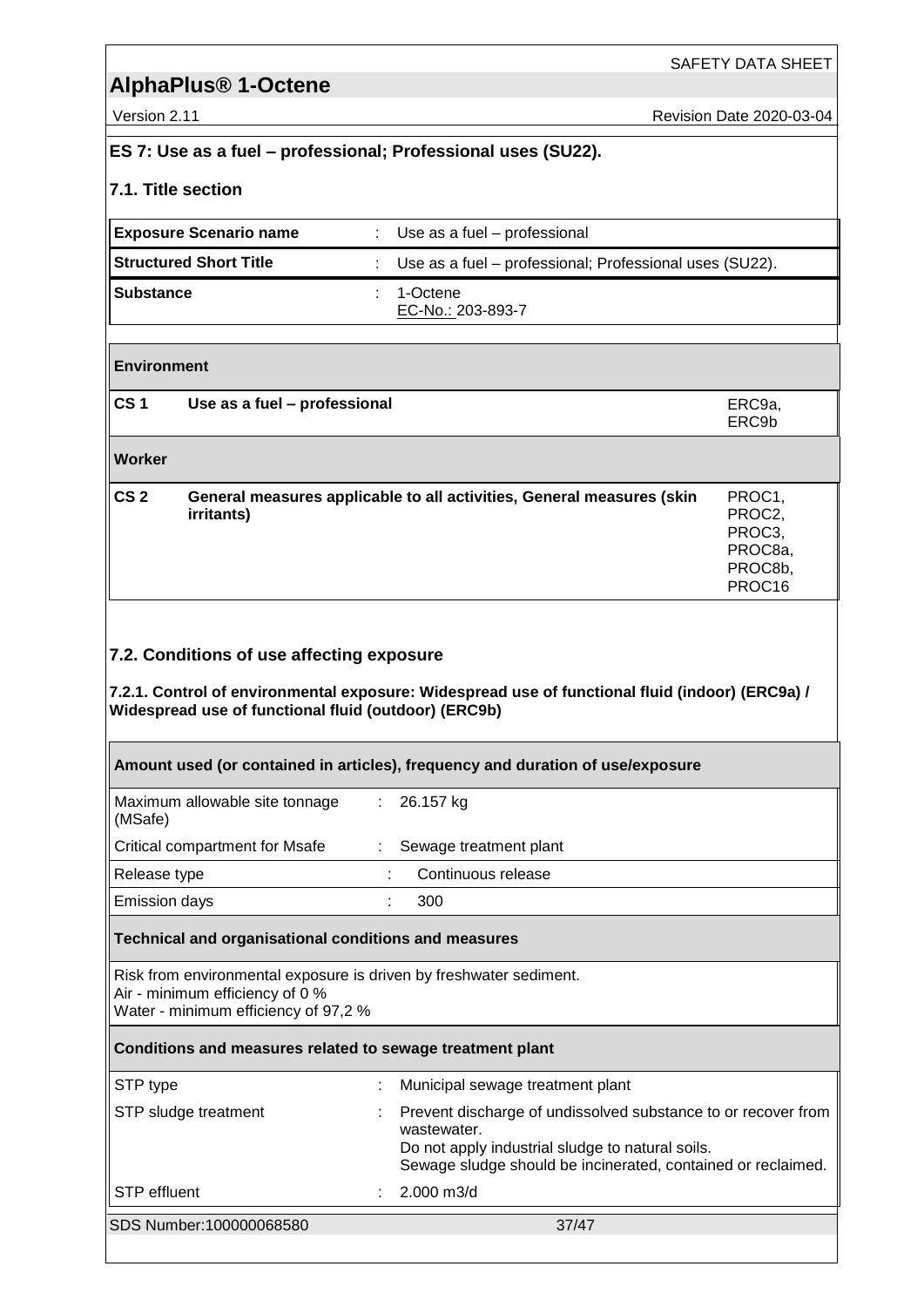|                                                                                                                                                                                                      |                                                                                                                                                                                                  | SAFETY DATA SHEET                                          |
|------------------------------------------------------------------------------------------------------------------------------------------------------------------------------------------------------|--------------------------------------------------------------------------------------------------------------------------------------------------------------------------------------------------|------------------------------------------------------------|
| <b>AlphaPlus<sup>®</sup> 1-Octene</b>                                                                                                                                                                |                                                                                                                                                                                                  |                                                            |
| Version 2.11                                                                                                                                                                                         |                                                                                                                                                                                                  | <b>Revision Date 2020-03-04</b>                            |
| ES 7: Use as a fuel - professional; Professional uses (SU22).                                                                                                                                        |                                                                                                                                                                                                  |                                                            |
| 7.1. Title section                                                                                                                                                                                   |                                                                                                                                                                                                  |                                                            |
| <b>Exposure Scenario name</b>                                                                                                                                                                        | Use as a fuel – professional                                                                                                                                                                     |                                                            |
| <b>Structured Short Title</b>                                                                                                                                                                        | Use as a fuel - professional; Professional uses (SU22).                                                                                                                                          |                                                            |
| <b>Substance</b>                                                                                                                                                                                     | 1-Octene<br>EC-No.: 203-893-7                                                                                                                                                                    |                                                            |
| <b>Environment</b>                                                                                                                                                                                   |                                                                                                                                                                                                  |                                                            |
| CS <sub>1</sub><br>Use as a fuel - professional                                                                                                                                                      |                                                                                                                                                                                                  | ERC9a,<br>ERC9b                                            |
| Worker                                                                                                                                                                                               |                                                                                                                                                                                                  |                                                            |
| CS <sub>2</sub><br>irritants)                                                                                                                                                                        | General measures applicable to all activities, General measures (skin                                                                                                                            | PROC1,<br>PROC2,<br>PROC3,<br>PROC8a,<br>PROC8b,<br>PROC16 |
| 7.2. Conditions of use affecting exposure<br>7.2.1. Control of environmental exposure: Widespread use of functional fluid (indoor) (ERC9a) /<br>Widespread use of functional fluid (outdoor) (ERC9b) |                                                                                                                                                                                                  |                                                            |
|                                                                                                                                                                                                      | Amount used (or contained in articles), frequency and duration of use/exposure                                                                                                                   |                                                            |
| Maximum allowable site tonnage<br>(MSafe)                                                                                                                                                            | ÷.<br>26.157 kg                                                                                                                                                                                  |                                                            |
| Critical compartment for Msafe                                                                                                                                                                       | Sewage treatment plant                                                                                                                                                                           |                                                            |
| Release type                                                                                                                                                                                         | Continuous release                                                                                                                                                                               |                                                            |
| <b>Emission days</b>                                                                                                                                                                                 | 300                                                                                                                                                                                              |                                                            |
| <b>Technical and organisational conditions and measures</b>                                                                                                                                          |                                                                                                                                                                                                  |                                                            |
| Risk from environmental exposure is driven by freshwater sediment.<br>Air - minimum efficiency of 0 %<br>Water - minimum efficiency of 97,2 %                                                        |                                                                                                                                                                                                  |                                                            |
| Conditions and measures related to sewage treatment plant                                                                                                                                            |                                                                                                                                                                                                  |                                                            |
| STP type                                                                                                                                                                                             | Municipal sewage treatment plant                                                                                                                                                                 |                                                            |
| STP sludge treatment                                                                                                                                                                                 | Prevent discharge of undissolved substance to or recover from<br>wastewater.<br>Do not apply industrial sludge to natural soils.<br>Sewage sludge should be incinerated, contained or reclaimed. |                                                            |
| <b>STP</b> effluent                                                                                                                                                                                  | 2.000 m3/d                                                                                                                                                                                       |                                                            |
| SDS Number:100000068580                                                                                                                                                                              | 37/47                                                                                                                                                                                            |                                                            |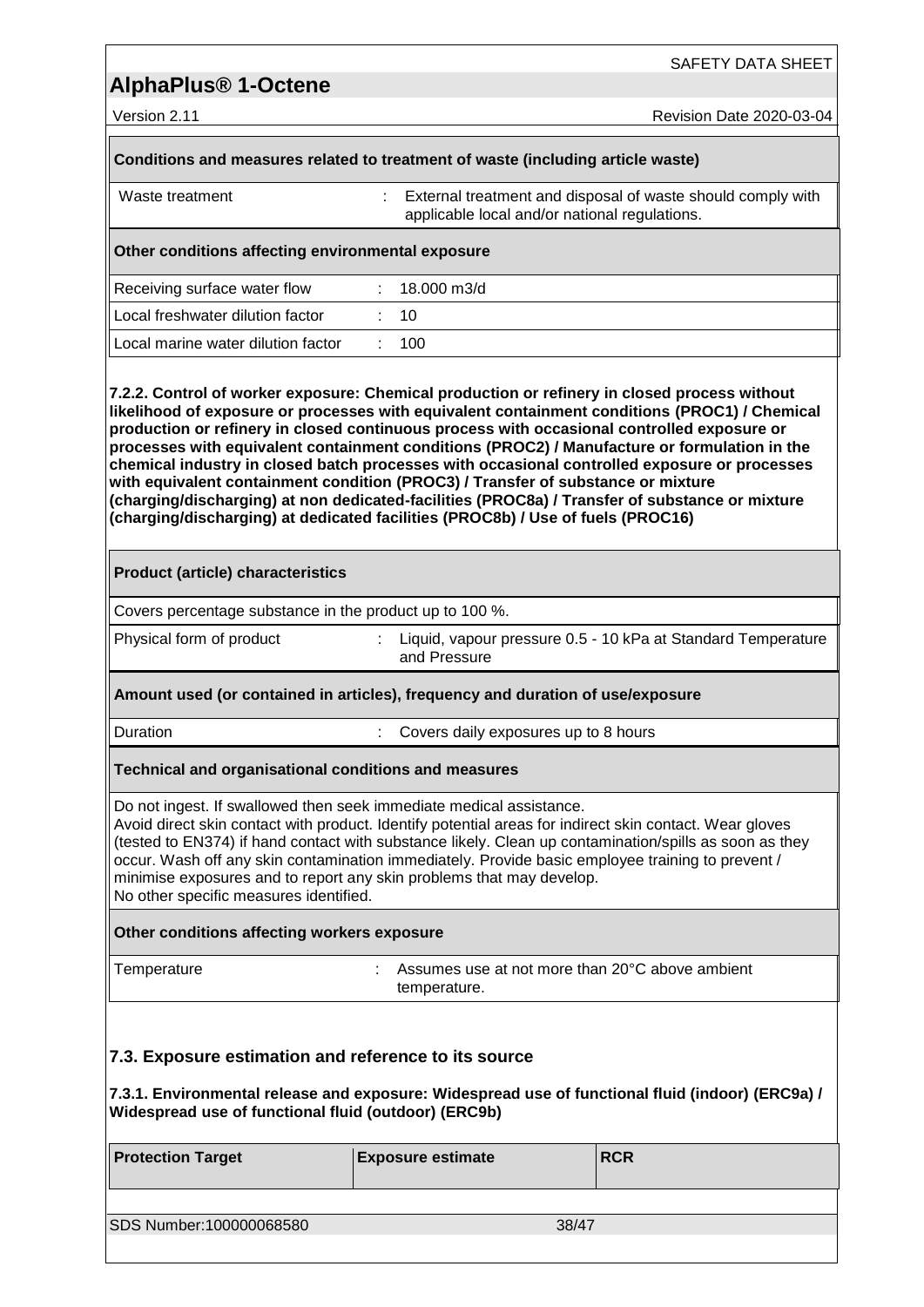# **AlphaPlus® 1-Octene**

Version 2.11 Version 2.11

| Conditions and measures related to treatment of waste (including article waste)                                                                                                                                                                                                                                                                                                                                                                                                                                                                                                                                                                                                                                                                                      |                                                                                                                                                                                                                                                                                                                                                                                               |                                                              |
|----------------------------------------------------------------------------------------------------------------------------------------------------------------------------------------------------------------------------------------------------------------------------------------------------------------------------------------------------------------------------------------------------------------------------------------------------------------------------------------------------------------------------------------------------------------------------------------------------------------------------------------------------------------------------------------------------------------------------------------------------------------------|-----------------------------------------------------------------------------------------------------------------------------------------------------------------------------------------------------------------------------------------------------------------------------------------------------------------------------------------------------------------------------------------------|--------------------------------------------------------------|
| Waste treatment                                                                                                                                                                                                                                                                                                                                                                                                                                                                                                                                                                                                                                                                                                                                                      | applicable local and/or national regulations.                                                                                                                                                                                                                                                                                                                                                 | External treatment and disposal of waste should comply with  |
| Other conditions affecting environmental exposure                                                                                                                                                                                                                                                                                                                                                                                                                                                                                                                                                                                                                                                                                                                    |                                                                                                                                                                                                                                                                                                                                                                                               |                                                              |
| Receiving surface water flow                                                                                                                                                                                                                                                                                                                                                                                                                                                                                                                                                                                                                                                                                                                                         | 18.000 m3/d<br>$\mathbb{R}^n$                                                                                                                                                                                                                                                                                                                                                                 |                                                              |
| Local freshwater dilution factor                                                                                                                                                                                                                                                                                                                                                                                                                                                                                                                                                                                                                                                                                                                                     | 10                                                                                                                                                                                                                                                                                                                                                                                            |                                                              |
| Local marine water dilution factor                                                                                                                                                                                                                                                                                                                                                                                                                                                                                                                                                                                                                                                                                                                                   | $\mathcal{L}^{\mathcal{L}}$<br>100                                                                                                                                                                                                                                                                                                                                                            |                                                              |
| 7.2.2. Control of worker exposure: Chemical production or refinery in closed process without<br>likelihood of exposure or processes with equivalent containment conditions (PROC1) / Chemical<br>production or refinery in closed continuous process with occasional controlled exposure or<br>processes with equivalent containment conditions (PROC2) / Manufacture or formulation in the<br>chemical industry in closed batch processes with occasional controlled exposure or processes<br>with equivalent containment condition (PROC3) / Transfer of substance or mixture<br>(charging/discharging) at non dedicated-facilities (PROC8a) / Transfer of substance or mixture<br>(charging/discharging) at dedicated facilities (PROC8b) / Use of fuels (PROC16) |                                                                                                                                                                                                                                                                                                                                                                                               |                                                              |
| <b>Product (article) characteristics</b>                                                                                                                                                                                                                                                                                                                                                                                                                                                                                                                                                                                                                                                                                                                             |                                                                                                                                                                                                                                                                                                                                                                                               |                                                              |
| Covers percentage substance in the product up to 100 %.                                                                                                                                                                                                                                                                                                                                                                                                                                                                                                                                                                                                                                                                                                              |                                                                                                                                                                                                                                                                                                                                                                                               |                                                              |
| Physical form of product                                                                                                                                                                                                                                                                                                                                                                                                                                                                                                                                                                                                                                                                                                                                             | $\mathcal{I}^{\mathcal{I}}$ .<br>and Pressure                                                                                                                                                                                                                                                                                                                                                 | Liquid, vapour pressure 0.5 - 10 kPa at Standard Temperature |
|                                                                                                                                                                                                                                                                                                                                                                                                                                                                                                                                                                                                                                                                                                                                                                      | Amount used (or contained in articles), frequency and duration of use/exposure                                                                                                                                                                                                                                                                                                                |                                                              |
| Duration                                                                                                                                                                                                                                                                                                                                                                                                                                                                                                                                                                                                                                                                                                                                                             | Covers daily exposures up to 8 hours                                                                                                                                                                                                                                                                                                                                                          |                                                              |
| Technical and organisational conditions and measures                                                                                                                                                                                                                                                                                                                                                                                                                                                                                                                                                                                                                                                                                                                 |                                                                                                                                                                                                                                                                                                                                                                                               |                                                              |
| Do not ingest. If swallowed then seek immediate medical assistance.<br>No other specific measures identified.                                                                                                                                                                                                                                                                                                                                                                                                                                                                                                                                                                                                                                                        | Avoid direct skin contact with product. Identify potential areas for indirect skin contact. Wear gloves<br>(tested to EN374) if hand contact with substance likely. Clean up contamination/spills as soon as they<br>occur. Wash off any skin contamination immediately. Provide basic employee training to prevent /<br>minimise exposures and to report any skin problems that may develop. |                                                              |
| Other conditions affecting workers exposure                                                                                                                                                                                                                                                                                                                                                                                                                                                                                                                                                                                                                                                                                                                          |                                                                                                                                                                                                                                                                                                                                                                                               |                                                              |
| Temperature                                                                                                                                                                                                                                                                                                                                                                                                                                                                                                                                                                                                                                                                                                                                                          | Assumes use at not more than 20°C above ambient<br>temperature.                                                                                                                                                                                                                                                                                                                               |                                                              |
| 7.3. Exposure estimation and reference to its source<br>7.3.1. Environmental release and exposure: Widespread use of functional fluid (indoor) (ERC9a) /<br>Widespread use of functional fluid (outdoor) (ERC9b)                                                                                                                                                                                                                                                                                                                                                                                                                                                                                                                                                     |                                                                                                                                                                                                                                                                                                                                                                                               |                                                              |
| <b>Protection Target</b>                                                                                                                                                                                                                                                                                                                                                                                                                                                                                                                                                                                                                                                                                                                                             | <b>Exposure estimate</b>                                                                                                                                                                                                                                                                                                                                                                      | <b>RCR</b>                                                   |
|                                                                                                                                                                                                                                                                                                                                                                                                                                                                                                                                                                                                                                                                                                                                                                      |                                                                                                                                                                                                                                                                                                                                                                                               |                                                              |
| SDS Number:100000068580                                                                                                                                                                                                                                                                                                                                                                                                                                                                                                                                                                                                                                                                                                                                              | 38/47                                                                                                                                                                                                                                                                                                                                                                                         |                                                              |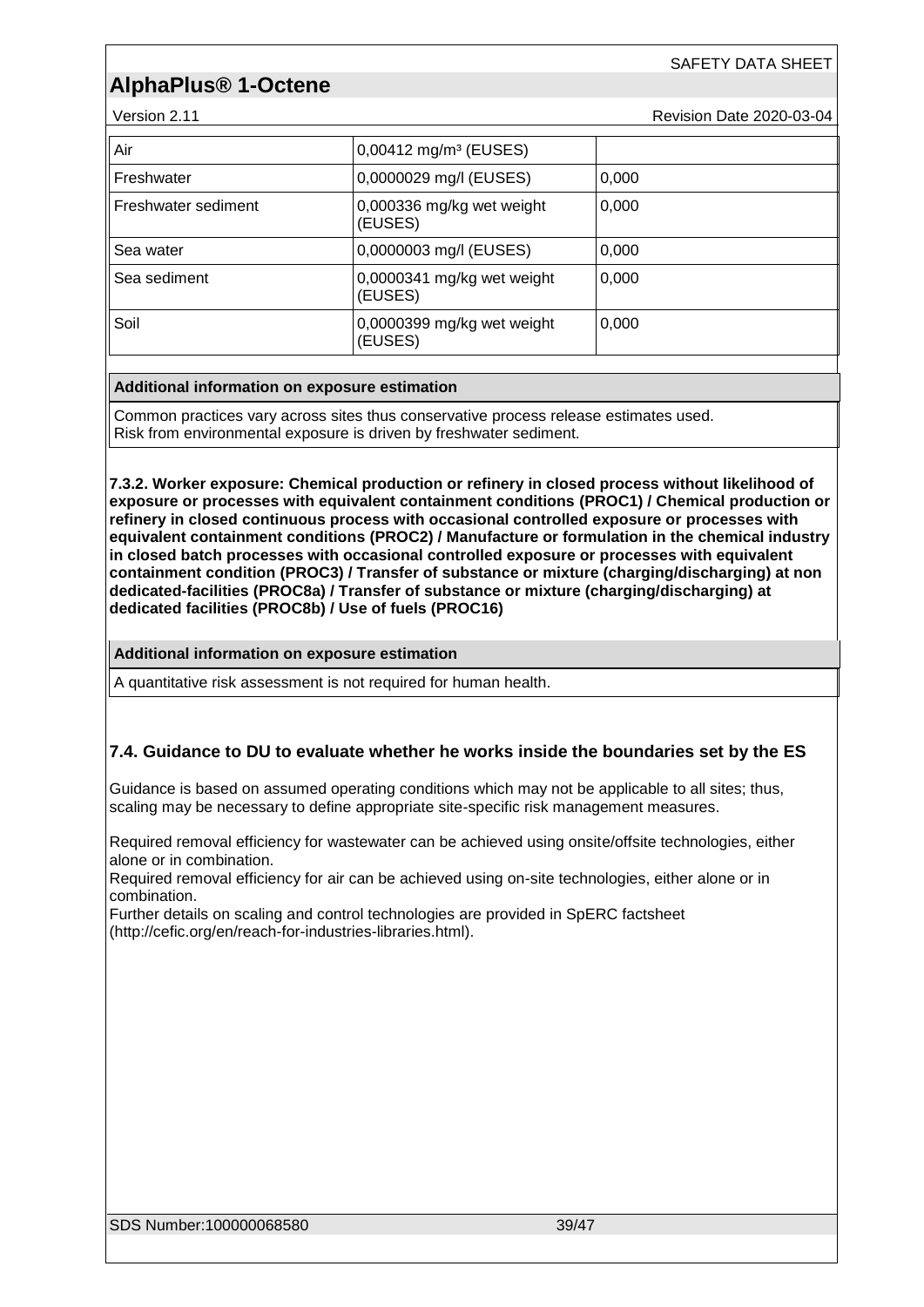### **AlphaPlus® 1-Octene**

Version 2.11 **New Search 2020-03-04** Revision Date 2020-03-04

| Air                 | 0,00412 mg/m <sup>3</sup> (EUSES)       |       |  |  |
|---------------------|-----------------------------------------|-------|--|--|
| Freshwater          | 0,0000029 mg/l (EUSES)                  | 0,000 |  |  |
| Freshwater sediment | 0,000336 mg/kg wet weight<br>(EUSES)    | 0,000 |  |  |
| Sea water           | 0,0000003 mg/l (EUSES)                  | 0,000 |  |  |
| Sea sediment        | $0,0000341$ mg/kg wet weight<br>(EUSES) | 0,000 |  |  |
| Soil                | $0,0000399$ mg/kg wet weight<br>(EUSES) | 0,000 |  |  |

#### **Additional information on exposure estimation**

Common practices vary across sites thus conservative process release estimates used. Risk from environmental exposure is driven by freshwater sediment.

**7.3.2. Worker exposure: Chemical production or refinery in closed process without likelihood of exposure or processes with equivalent containment conditions (PROC1) / Chemical production or refinery in closed continuous process with occasional controlled exposure or processes with equivalent containment conditions (PROC2) / Manufacture or formulation in the chemical industry in closed batch processes with occasional controlled exposure or processes with equivalent containment condition (PROC3) / Transfer of substance or mixture (charging/discharging) at non dedicated-facilities (PROC8a) / Transfer of substance or mixture (charging/discharging) at dedicated facilities (PROC8b) / Use of fuels (PROC16)**

**Additional information on exposure estimation**

A quantitative risk assessment is not required for human health.

#### **7.4. Guidance to DU to evaluate whether he works inside the boundaries set by the ES**

Guidance is based on assumed operating conditions which may not be applicable to all sites; thus, scaling may be necessary to define appropriate site-specific risk management measures.

Required removal efficiency for wastewater can be achieved using onsite/offsite technologies, either alone or in combination.

Required removal efficiency for air can be achieved using on-site technologies, either alone or in combination.

Further details on scaling and control technologies are provided in SpERC factsheet (http://cefic.org/en/reach-for-industries-libraries.html).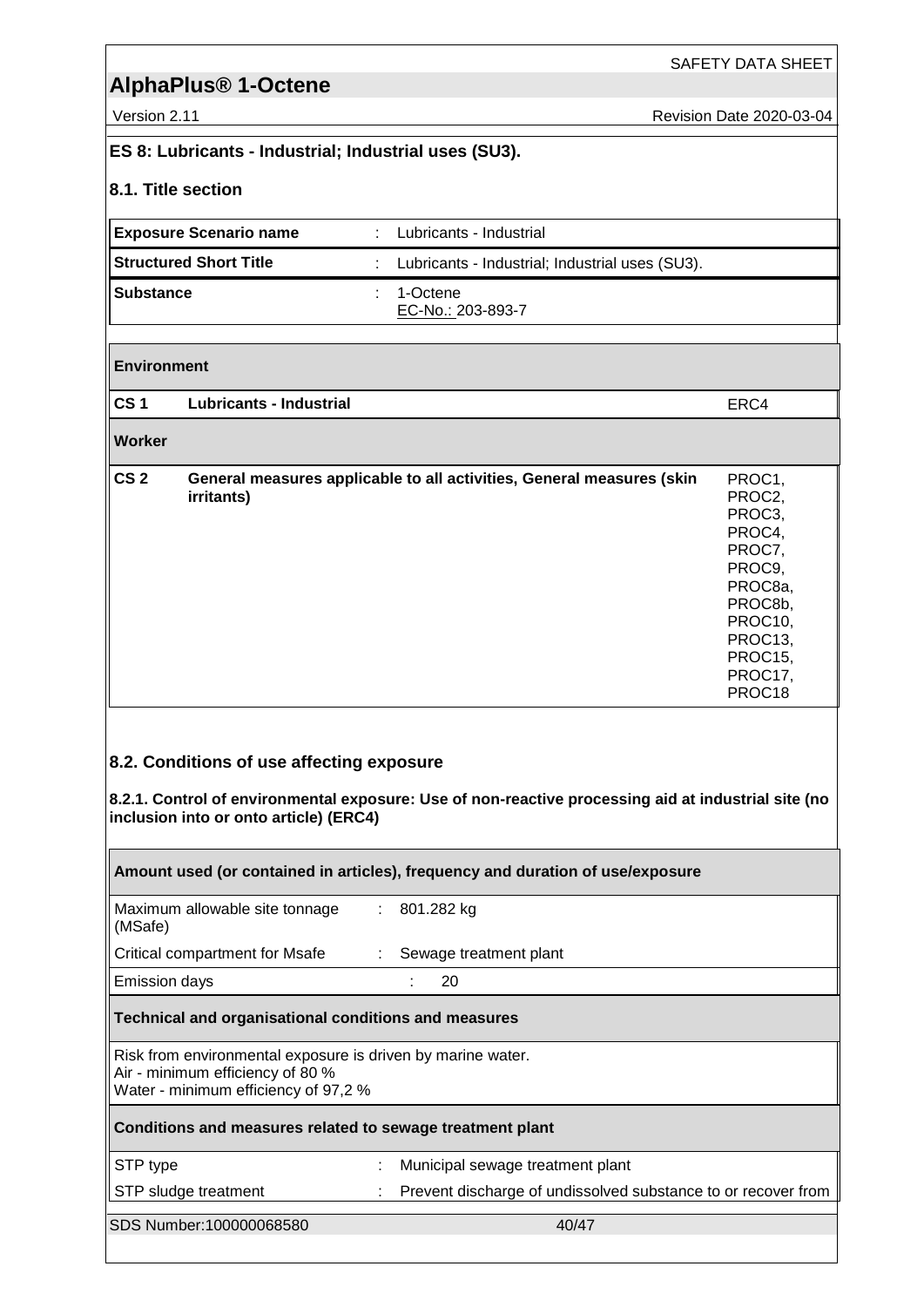|                                                                                                                                                                                            | <b>SAFETY DATA SHEET</b>                                                                                                             |
|--------------------------------------------------------------------------------------------------------------------------------------------------------------------------------------------|--------------------------------------------------------------------------------------------------------------------------------------|
| <b>AlphaPlus® 1-Octene</b>                                                                                                                                                                 |                                                                                                                                      |
| Version 2.11                                                                                                                                                                               | Revision Date 2020-03-04                                                                                                             |
| ES 8: Lubricants - Industrial; Industrial uses (SU3).                                                                                                                                      |                                                                                                                                      |
| $ 8.1$ . Title section                                                                                                                                                                     |                                                                                                                                      |
| <b>Exposure Scenario name</b><br>Lubricants - Industrial                                                                                                                                   |                                                                                                                                      |
| <b>Structured Short Title</b><br>Lubricants - Industrial; Industrial uses (SU3).                                                                                                           |                                                                                                                                      |
| <b>Substance</b><br>1-Octene<br>EC-No.: 203-893-7                                                                                                                                          |                                                                                                                                      |
| <b>Environment</b>                                                                                                                                                                         |                                                                                                                                      |
| CS <sub>1</sub><br><b>Lubricants - Industrial</b>                                                                                                                                          | ERC4                                                                                                                                 |
| Worker                                                                                                                                                                                     |                                                                                                                                      |
| CS <sub>2</sub><br>General measures applicable to all activities, General measures (skin<br>irritants)                                                                                     | PROC1,<br>PROC2,<br>PROC3,<br>PROC4,<br>PROC7,<br>PROC9,<br>PROC8a,<br>PROC8b,<br>PROC10,<br>PROC13,<br>PROC15,<br>PROC17,<br>PROC18 |
| 8.2. Conditions of use affecting exposure<br>8.2.1. Control of environmental exposure: Use of non-reactive processing aid at industrial site (no<br>inclusion into or onto article) (ERC4) |                                                                                                                                      |
| Amount used (or contained in articles), frequency and duration of use/exposure                                                                                                             |                                                                                                                                      |
| Maximum allowable site tonnage<br>801.282 kg<br>$\mathcal{I}^{\mathcal{I}}$ .<br>(MSafe)                                                                                                   |                                                                                                                                      |
| Critical compartment for Msafe<br>Sewage treatment plant                                                                                                                                   |                                                                                                                                      |
| <b>Emission days</b><br>20                                                                                                                                                                 |                                                                                                                                      |
| <b>Technical and organisational conditions and measures</b>                                                                                                                                |                                                                                                                                      |
| Risk from environmental exposure is driven by marine water.<br>Air - minimum efficiency of 80 %<br>Water - minimum efficiency of 97,2 %                                                    |                                                                                                                                      |
| Conditions and measures related to sewage treatment plant                                                                                                                                  |                                                                                                                                      |
| STP type<br>Municipal sewage treatment plant                                                                                                                                               |                                                                                                                                      |
| Prevent discharge of undissolved substance to or recover from<br>STP sludge treatment                                                                                                      |                                                                                                                                      |
| SDS Number:100000068580<br>40/47                                                                                                                                                           |                                                                                                                                      |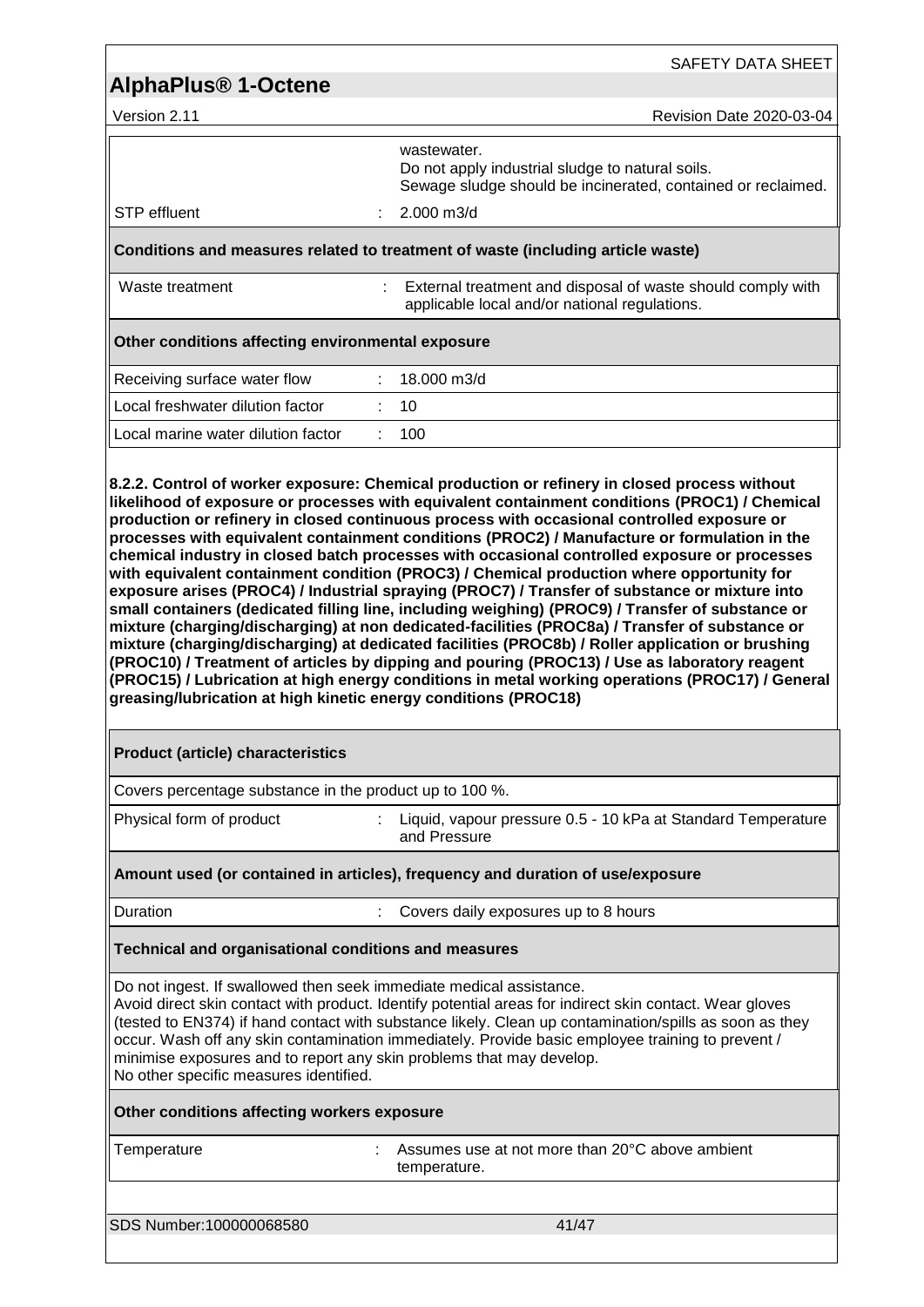SAFETY DATA SHEET

Version 2.11 **New Strategies** 2020-03-04 **Revision Date 2020-03-04** 

| Conditions and measures related to treatment of waste (including article waste) |                                                                                                                                 |
|---------------------------------------------------------------------------------|---------------------------------------------------------------------------------------------------------------------------------|
| STP effluent                                                                    | $: 2.000 \text{ m}$ 3/d                                                                                                         |
|                                                                                 | wastewater.<br>Do not apply industrial sludge to natural soils.<br>Sewage sludge should be incinerated, contained or reclaimed. |

Waste treatment : External treatment and disposal of waste should comply with applicable local and/or national regulations.

#### **Other conditions affecting environmental exposure**

| Receiving surface water flow          | 18.000 m3/d |
|---------------------------------------|-------------|
| Local freshwater dilution factor      | 10          |
| ll Local marine water dilution factor | 100         |

**8.2.2. Control of worker exposure: Chemical production or refinery in closed process without likelihood of exposure or processes with equivalent containment conditions (PROC1) / Chemical production or refinery in closed continuous process with occasional controlled exposure or processes with equivalent containment conditions (PROC2) / Manufacture or formulation in the chemical industry in closed batch processes with occasional controlled exposure or processes with equivalent containment condition (PROC3) / Chemical production where opportunity for exposure arises (PROC4) / Industrial spraying (PROC7) / Transfer of substance or mixture into small containers (dedicated filling line, including weighing) (PROC9) / Transfer of substance or mixture (charging/discharging) at non dedicated-facilities (PROC8a) / Transfer of substance or mixture (charging/discharging) at dedicated facilities (PROC8b) / Roller application or brushing (PROC10) / Treatment of articles by dipping and pouring (PROC13) / Use as laboratory reagent (PROC15) / Lubrication at high energy conditions in metal working operations (PROC17) / General greasing/lubrication at high kinetic energy conditions (PROC18)**

#### **Product (article) characteristics**

Covers percentage substance in the product up to 100 %.

Physical form of product : Liquid, vapour pressure 0.5 - 10 kPa at Standard Temperature and Pressure

#### **Amount used (or contained in articles), frequency and duration of use/exposure**

Duration **Duration** : Covers daily exposures up to 8 hours

#### **Technical and organisational conditions and measures**

Do not ingest. If swallowed then seek immediate medical assistance.

Avoid direct skin contact with product. Identify potential areas for indirect skin contact. Wear gloves (tested to EN374) if hand contact with substance likely. Clean up contamination/spills as soon as they occur. Wash off any skin contamination immediately. Provide basic employee training to prevent / minimise exposures and to report any skin problems that may develop. No other specific measures identified.

**Other conditions affecting workers exposure**

Temperature **1200** CONSTANDING MASSUMES use at not more than 20°C above ambient temperature.

SDS Number:100000068580 41/47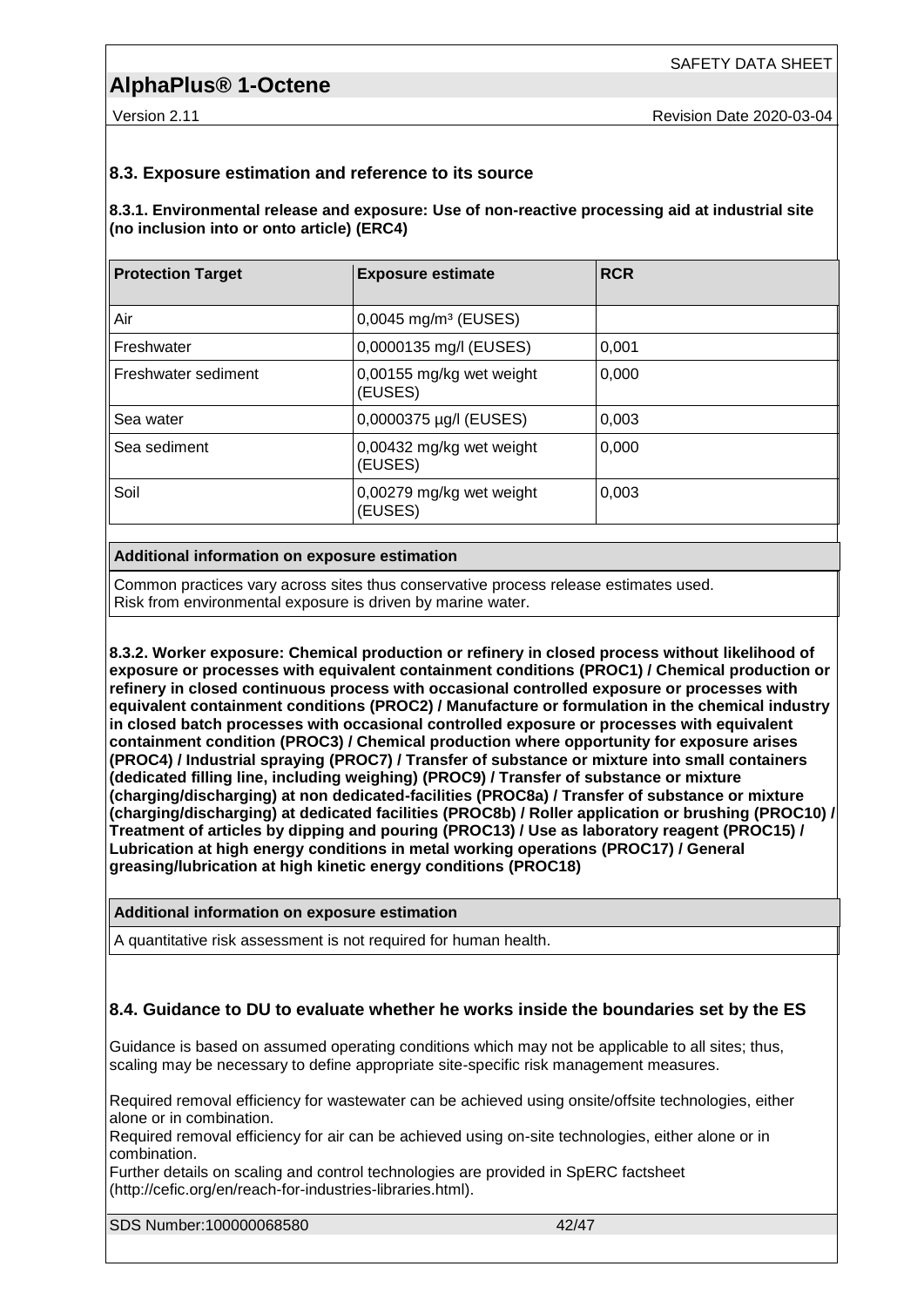Version 2.11 **New Strategies 2020-03-04** Revision Date 2020-03-04

#### **8.3. Exposure estimation and reference to its source**

**8.3.1. Environmental release and exposure: Use of non-reactive processing aid at industrial site (no inclusion into or onto article) (ERC4)**

| <b>Protection Target</b> | <b>Exposure estimate</b>            | <b>RCR</b> |
|--------------------------|-------------------------------------|------------|
| Air                      | $0,0045$ mg/m <sup>3</sup> (EUSES)  |            |
| Freshwater               | 0,0000135 mg/l (EUSES)              | 0,001      |
| Freshwater sediment      | 0,00155 mg/kg wet weight<br>(EUSES) | 0,000      |
| Sea water                | 0,0000375 µg/l (EUSES)              | 0,003      |
| Sea sediment             | 0,00432 mg/kg wet weight<br>(EUSES) | 0,000      |
| Soil                     | 0,00279 mg/kg wet weight<br>(EUSES) | 0,003      |

#### **Additional information on exposure estimation**

Common practices vary across sites thus conservative process release estimates used. Risk from environmental exposure is driven by marine water.

**8.3.2. Worker exposure: Chemical production or refinery in closed process without likelihood of exposure or processes with equivalent containment conditions (PROC1) / Chemical production or refinery in closed continuous process with occasional controlled exposure or processes with equivalent containment conditions (PROC2) / Manufacture or formulation in the chemical industry in closed batch processes with occasional controlled exposure or processes with equivalent containment condition (PROC3) / Chemical production where opportunity for exposure arises (PROC4) / Industrial spraying (PROC7) / Transfer of substance or mixture into small containers (dedicated filling line, including weighing) (PROC9) / Transfer of substance or mixture (charging/discharging) at non dedicated-facilities (PROC8a) / Transfer of substance or mixture (charging/discharging) at dedicated facilities (PROC8b) / Roller application or brushing (PROC10) / Treatment of articles by dipping and pouring (PROC13) / Use as laboratory reagent (PROC15) / Lubrication at high energy conditions in metal working operations (PROC17) / General greasing/lubrication at high kinetic energy conditions (PROC18)**

#### **Additional information on exposure estimation**

A quantitative risk assessment is not required for human health.

#### **8.4. Guidance to DU to evaluate whether he works inside the boundaries set by the ES**

Guidance is based on assumed operating conditions which may not be applicable to all sites; thus, scaling may be necessary to define appropriate site-specific risk management measures.

Required removal efficiency for wastewater can be achieved using onsite/offsite technologies, either alone or in combination.

Required removal efficiency for air can be achieved using on-site technologies, either alone or in combination.

Further details on scaling and control technologies are provided in SpERC factsheet (http://cefic.org/en/reach-for-industries-libraries.html).

SDS Number:100000068580 42/47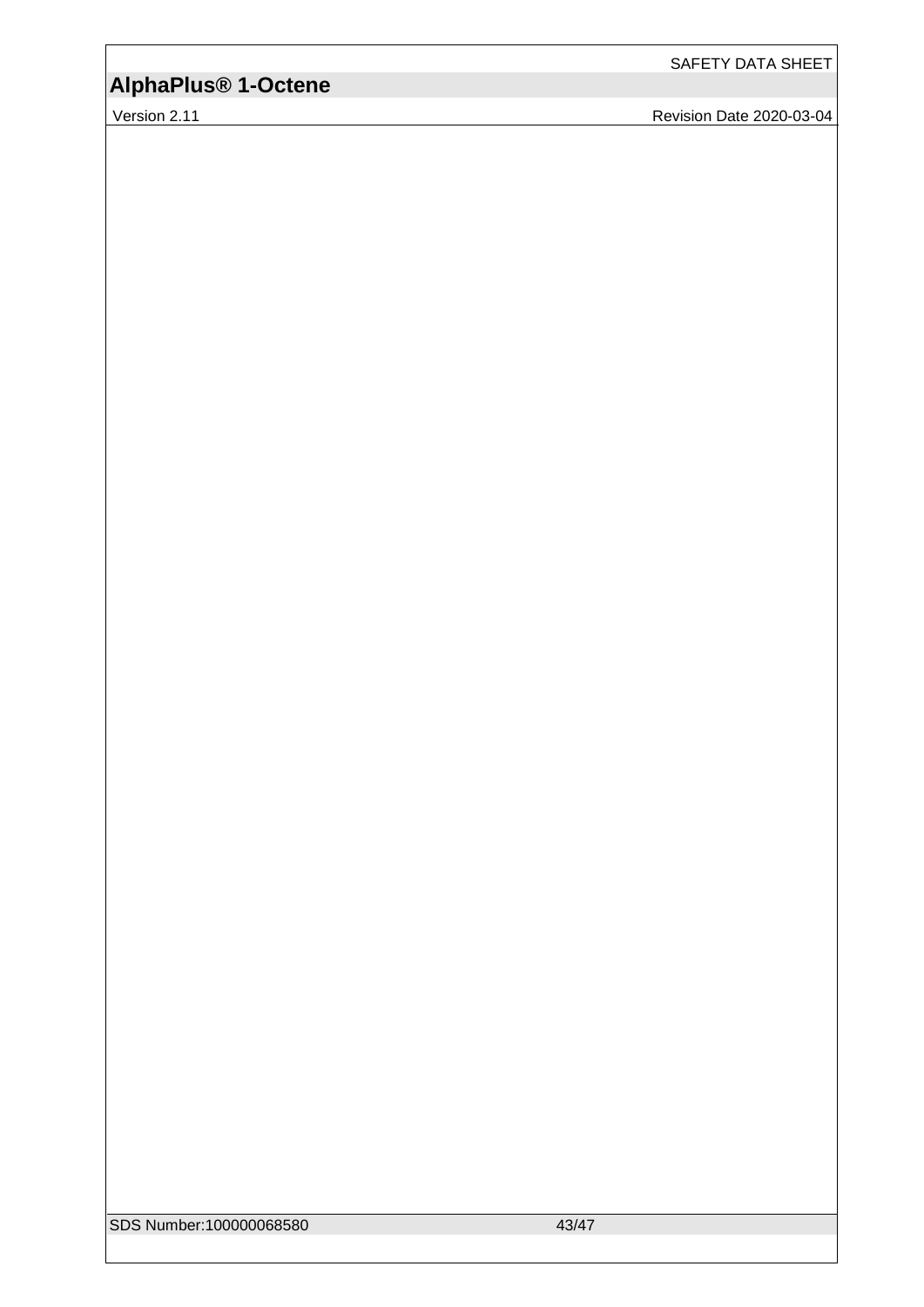SAFETY DATA SHEET

Version 2.11 **Version 2.11** Revision Date 2020-03-04

SDS Number:100000068580 43/47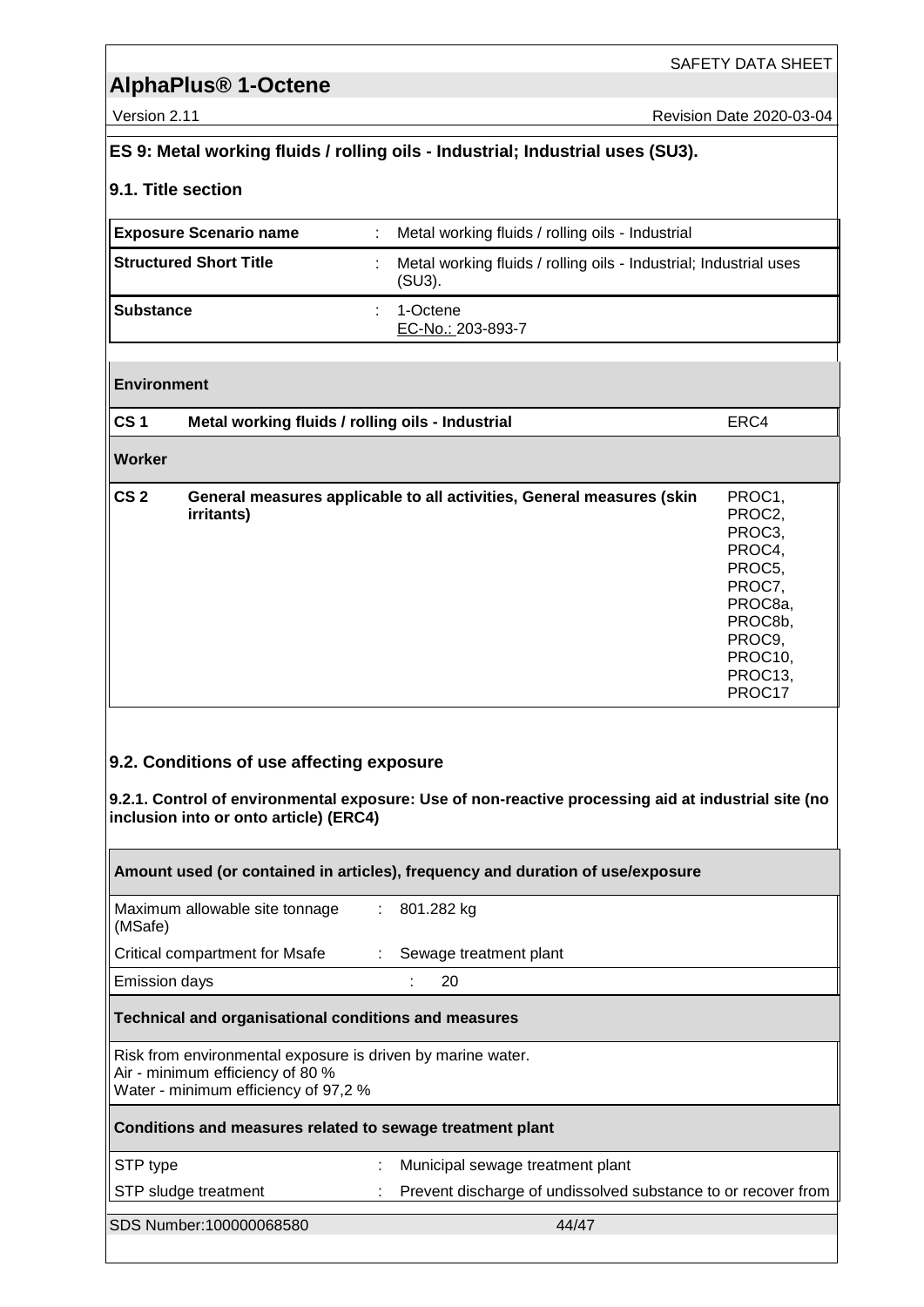| SAFETY DATA SHEET |  |
|-------------------|--|
|                   |  |

PROC3, PROC4, PROC5, PROC7, PROC8a, PROC8b, PROC9, PROC10, PROC13, PROC17

# Version 2.11 **New Strategies** 2020-03-04 **Revision Date 2020-03-04 ES 9: Metal working fluids / rolling oils - Industrial; Industrial uses (SU3). 9.1. Title section Exposure Scenario name** : Metal working fluids / rolling oils - Industrial **Structured Short Title** : Metal working fluids / rolling oils - Industrial; Industrial uses (SU3). Substance : 1-Octene EC-No.: 203-893-7 **Environment CS 1 Metal working fluids / rolling oils - Industrial** ERC4 **Worker CS 2 General measures applicable to all activities, General measures (skin irritants)** PROC1, PROC2,

#### **9.2. Conditions of use affecting exposure**

**9.2.1. Control of environmental exposure: Use of non-reactive processing aid at industrial site (no inclusion into or onto article) (ERC4)**

|                                                                                                                                         | Amount used (or contained in articles), frequency and duration of use/exposure |
|-----------------------------------------------------------------------------------------------------------------------------------------|--------------------------------------------------------------------------------|
| Maximum allowable site tonnage : 801.282 kg<br>(MSafe)                                                                                  |                                                                                |
| Critical compartment for Msafe : Sewage treatment plant                                                                                 |                                                                                |
| Emission days                                                                                                                           | 20                                                                             |
| Technical and organisational conditions and measures                                                                                    |                                                                                |
| Risk from environmental exposure is driven by marine water.<br>Air - minimum efficiency of 80 %<br>Water - minimum efficiency of 97,2 % |                                                                                |
| Conditions and measures related to sewage treatment plant                                                                               |                                                                                |
| STP type                                                                                                                                | Municipal sewage treatment plant                                               |
| STP sludge treatment                                                                                                                    | Prevent discharge of undissolved substance to or recover from                  |
| SDS Number:100000068580                                                                                                                 | 44/47                                                                          |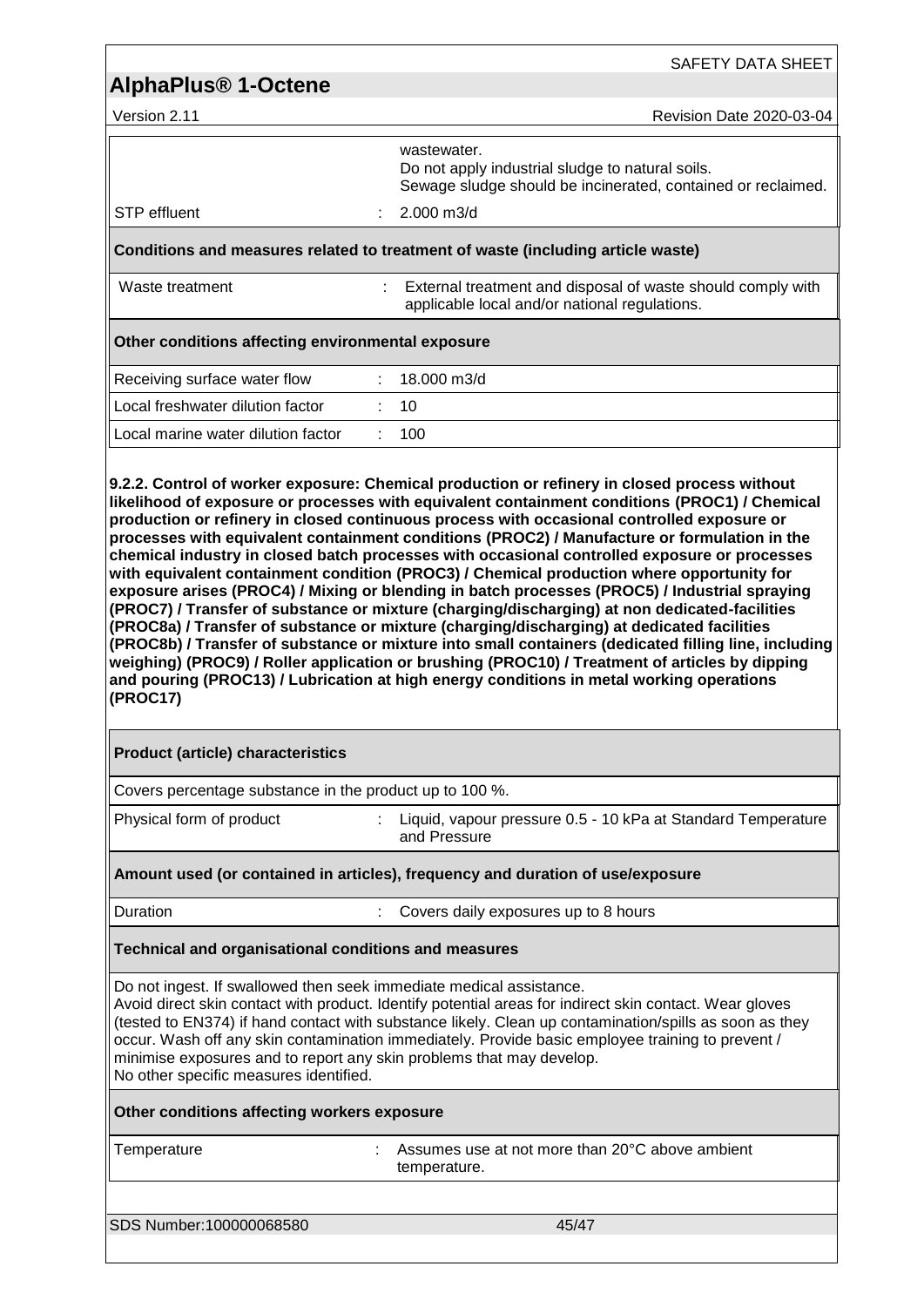SAFETY DATA SHEET

Version 2.11 **New Strategies** 2020-03-04 **Revision Date 2020-03-04** 

|                 | wastewater.<br>Do not apply industrial sludge to natural soils.<br>Sewage sludge should be incinerated, contained or reclaimed. |
|-----------------|---------------------------------------------------------------------------------------------------------------------------------|
| ll STP effluent | 2.000 m3/d                                                                                                                      |
|                 | $\blacksquare$ . The compact of the compact of the following control of the control of the compact of the compact of $\Lambda$  |

**Conditions and measures related to treatment of waste (including article waste)**

Waste treatment : External treatment and disposal of waste should comply with applicable local and/or national regulations.

#### **Other conditions affecting environmental exposure**

| Receiving surface water flow          | 18.000 m3/d |
|---------------------------------------|-------------|
| Local freshwater dilution factor      | 10.         |
| ll Local marine water dilution factor | 100         |

**9.2.2. Control of worker exposure: Chemical production or refinery in closed process without likelihood of exposure or processes with equivalent containment conditions (PROC1) / Chemical production or refinery in closed continuous process with occasional controlled exposure or processes with equivalent containment conditions (PROC2) / Manufacture or formulation in the chemical industry in closed batch processes with occasional controlled exposure or processes with equivalent containment condition (PROC3) / Chemical production where opportunity for exposure arises (PROC4) / Mixing or blending in batch processes (PROC5) / Industrial spraying (PROC7) / Transfer of substance or mixture (charging/discharging) at non dedicated-facilities (PROC8a) / Transfer of substance or mixture (charging/discharging) at dedicated facilities (PROC8b) / Transfer of substance or mixture into small containers (dedicated filling line, including weighing) (PROC9) / Roller application or brushing (PROC10) / Treatment of articles by dipping and pouring (PROC13) / Lubrication at high energy conditions in metal working operations (PROC17)**

#### **Product (article) characteristics**

Covers percentage substance in the product up to 100 %.

Physical form of product : Liquid, vapour pressure 0.5 - 10 kPa at Standard Temperature and Pressure

#### **Amount used (or contained in articles), frequency and duration of use/exposure**

: Covers daily exposures up to 8 hours

#### **Technical and organisational conditions and measures**

Do not ingest. If swallowed then seek immediate medical assistance.

Avoid direct skin contact with product. Identify potential areas for indirect skin contact. Wear gloves (tested to EN374) if hand contact with substance likely. Clean up contamination/spills as soon as they occur. Wash off any skin contamination immediately. Provide basic employee training to prevent / minimise exposures and to report any skin problems that may develop. No other specific measures identified.

**Other conditions affecting workers exposure**

Temperature *E* Assumes use at not more than 20°C above ambient temperature.

SDS Number:100000068580 45/47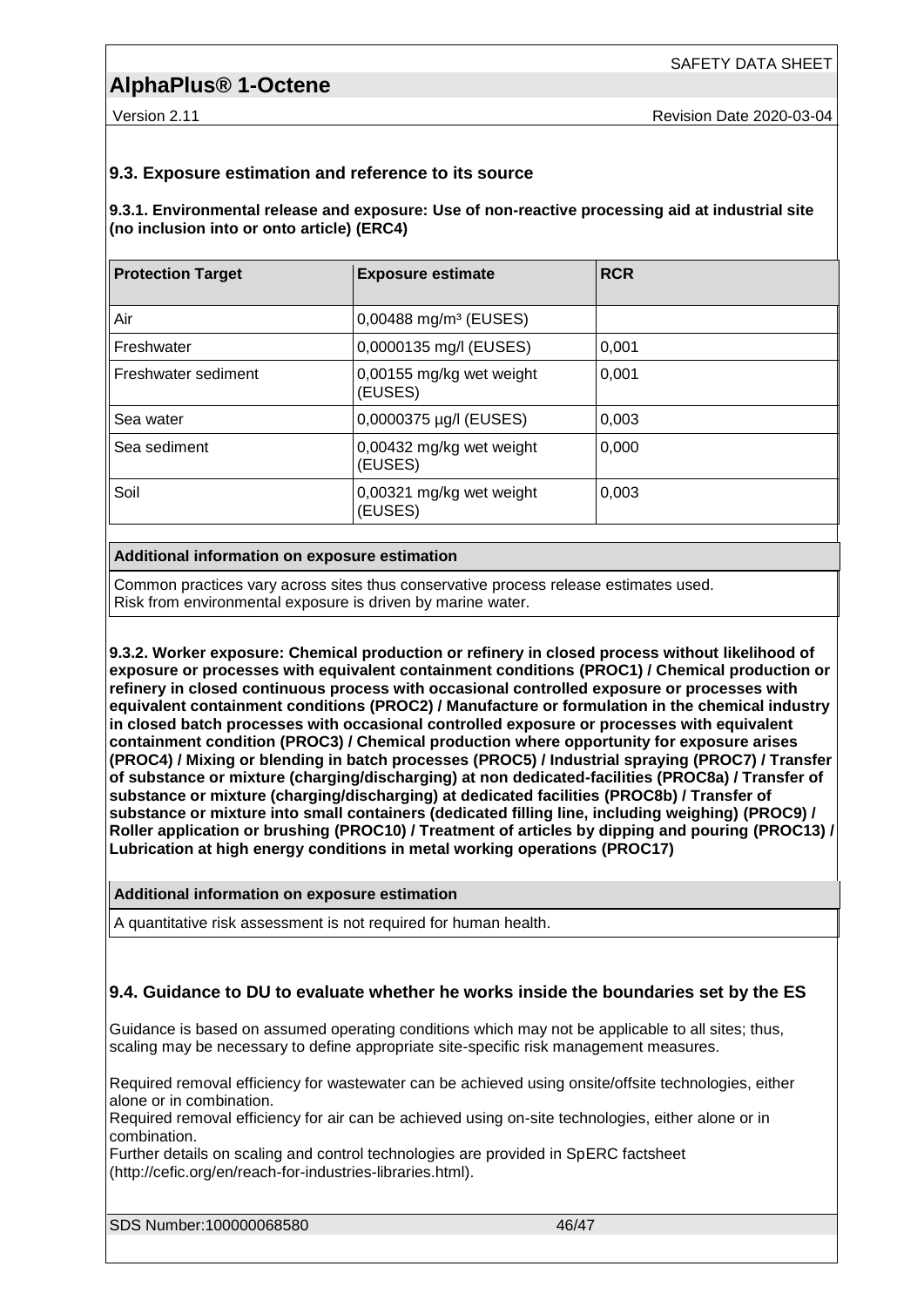Version 2.11 **New Search 2020-03-04** Revision Date 2020-03-04

#### **9.3. Exposure estimation and reference to its source**

**9.3.1. Environmental release and exposure: Use of non-reactive processing aid at industrial site (no inclusion into or onto article) (ERC4)**

| <b>Protection Target</b> | <b>Exposure estimate</b>            | <b>RCR</b> |
|--------------------------|-------------------------------------|------------|
| Air                      | 0,00488 mg/m <sup>3</sup> (EUSES)   |            |
| Freshwater               | 0,0000135 mg/l (EUSES)              | 0,001      |
| Freshwater sediment      | 0,00155 mg/kg wet weight<br>(EUSES) | 0,001      |
| Sea water                | 0,0000375 µg/l (EUSES)              | 0,003      |
| Sea sediment             | 0,00432 mg/kg wet weight<br>(EUSES) | 0,000      |
| Soil                     | 0,00321 mg/kg wet weight<br>(EUSES) | 0,003      |

#### **Additional information on exposure estimation**

Common practices vary across sites thus conservative process release estimates used. Risk from environmental exposure is driven by marine water.

**9.3.2. Worker exposure: Chemical production or refinery in closed process without likelihood of exposure or processes with equivalent containment conditions (PROC1) / Chemical production or refinery in closed continuous process with occasional controlled exposure or processes with equivalent containment conditions (PROC2) / Manufacture or formulation in the chemical industry in closed batch processes with occasional controlled exposure or processes with equivalent containment condition (PROC3) / Chemical production where opportunity for exposure arises (PROC4) / Mixing or blending in batch processes (PROC5) / Industrial spraying (PROC7) / Transfer of substance or mixture (charging/discharging) at non dedicated-facilities (PROC8a) / Transfer of substance or mixture (charging/discharging) at dedicated facilities (PROC8b) / Transfer of substance or mixture into small containers (dedicated filling line, including weighing) (PROC9) / Roller application or brushing (PROC10) / Treatment of articles by dipping and pouring (PROC13) / Lubrication at high energy conditions in metal working operations (PROC17)**

#### **Additional information on exposure estimation**

A quantitative risk assessment is not required for human health.

#### **9.4. Guidance to DU to evaluate whether he works inside the boundaries set by the ES**

Guidance is based on assumed operating conditions which may not be applicable to all sites; thus, scaling may be necessary to define appropriate site-specific risk management measures.

Required removal efficiency for wastewater can be achieved using onsite/offsite technologies, either alone or in combination.

Required removal efficiency for air can be achieved using on-site technologies, either alone or in combination.

Further details on scaling and control technologies are provided in SpERC factsheet (http://cefic.org/en/reach-for-industries-libraries.html).

SDS Number:100000068580 46/47